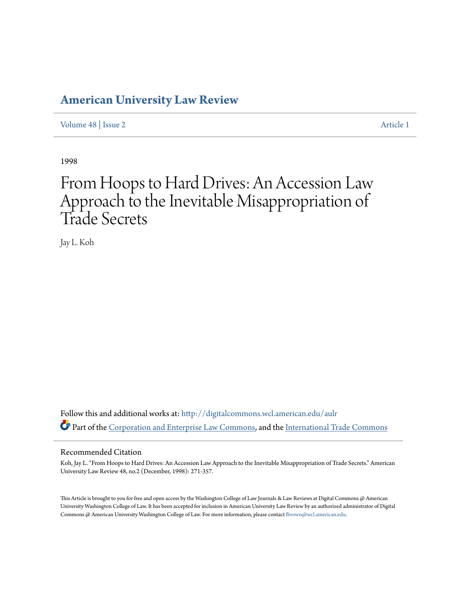### **[American University Law Review](http://digitalcommons.wcl.american.edu/aulr?utm_source=digitalcommons.wcl.american.edu%2Faulr%2Fvol48%2Fiss2%2F1&utm_medium=PDF&utm_campaign=PDFCoverPages)**

[Volume 48](http://digitalcommons.wcl.american.edu/aulr/vol48?utm_source=digitalcommons.wcl.american.edu%2Faulr%2Fvol48%2Fiss2%2F1&utm_medium=PDF&utm_campaign=PDFCoverPages) | [Issue 2](http://digitalcommons.wcl.american.edu/aulr/vol48/iss2?utm_source=digitalcommons.wcl.american.edu%2Faulr%2Fvol48%2Fiss2%2F1&utm_medium=PDF&utm_campaign=PDFCoverPages) [Article 1](http://digitalcommons.wcl.american.edu/aulr/vol48/iss2/1?utm_source=digitalcommons.wcl.american.edu%2Faulr%2Fvol48%2Fiss2%2F1&utm_medium=PDF&utm_campaign=PDFCoverPages)

1998

# From Hoops to Hard Drives: An Accession Law Approach to the Inevitable Misappropriation of Trade Secrets

Jay L. Koh

Follow this and additional works at: [http://digitalcommons.wcl.american.edu/aulr](http://digitalcommons.wcl.american.edu/aulr?utm_source=digitalcommons.wcl.american.edu%2Faulr%2Fvol48%2Fiss2%2F1&utm_medium=PDF&utm_campaign=PDFCoverPages) Part of the [Corporation and Enterprise Law Commons,](http://network.bepress.com/hgg/discipline/900?utm_source=digitalcommons.wcl.american.edu%2Faulr%2Fvol48%2Fiss2%2F1&utm_medium=PDF&utm_campaign=PDFCoverPages) and the [International Trade Commons](http://network.bepress.com/hgg/discipline/848?utm_source=digitalcommons.wcl.american.edu%2Faulr%2Fvol48%2Fiss2%2F1&utm_medium=PDF&utm_campaign=PDFCoverPages)

#### Recommended Citation

Koh, Jay L. "From Hoops to Hard Drives: An Accession Law Approach to the Inevitable Misappropriation of Trade Secrets." American University Law Review 48, no.2 (December, 1998): 271-357.

This Article is brought to you for free and open access by the Washington College of Law Journals & Law Reviews at Digital Commons @ American University Washington College of Law. It has been accepted for inclusion in American University Law Review by an authorized administrator of Digital Commons @ American University Washington College of Law. For more information, please contact [fbrown@wcl.american.edu](mailto:fbrown@wcl.american.edu).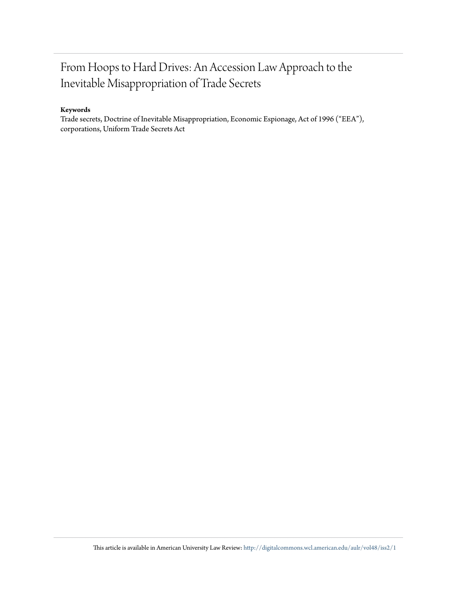## From Hoops to Hard Drives: An Accession Law Approach to the Inevitable Misappropriation of Trade Secrets

#### **Keywords**

Trade secrets, Doctrine of Inevitable Misappropriation, Economic Espionage, Act of 1996 ("EEA"), corporations, Uniform Trade Secrets Act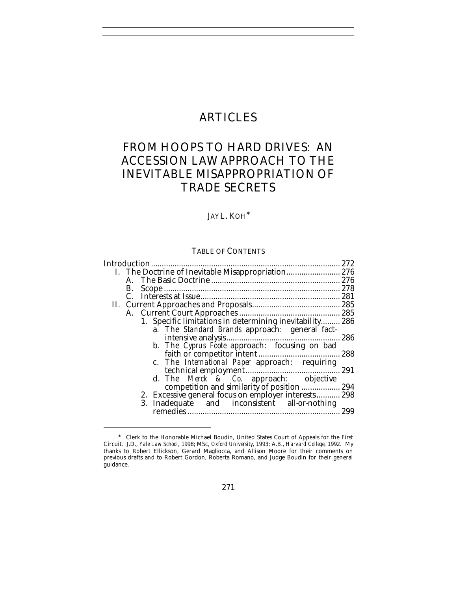## ARTICLES

## FROM HOOPS TO HARD DRIVES: AN ACCESSION LAW APPROACH TO THE INEVITABLE MISAPPROPRIATION OF TRADE SECRETS

#### JAY L. KOH<sup>∗</sup>

#### TABLE OF CONTENTS

| Introduction |    |                                                          |     |
|--------------|----|----------------------------------------------------------|-----|
|              |    | I. The Doctrine of Inevitable Misappropriation 276       |     |
|              |    |                                                          |     |
|              | В. |                                                          |     |
|              |    |                                                          |     |
|              |    |                                                          |     |
|              |    |                                                          |     |
|              |    | 1. Specific limitations in determining inevitability 286 |     |
|              |    | a. The <i>Standard Brands</i> approach: general fact-    |     |
|              |    |                                                          | 286 |
|              |    | b. The Cyprus Foote approach: focusing on bad            |     |
|              |    |                                                          |     |
|              |    | c. The <i>International Paper</i> approach: requiring    |     |
|              |    |                                                          | 291 |
|              |    | d. The <i>Merck</i> $\&& Co.$ approach: objective        |     |
|              |    |                                                          |     |
|              |    | 2. Excessive general focus on employer interests 298     |     |
|              |    | 3. Inadequate and inconsistent all-or-nothing            |     |
|              |    |                                                          | 299 |
|              |    |                                                          |     |

<sup>∗</sup> Clerk to the Honorable Michael Boudin, United States Court of Appeals for the First Circuit. J.D., *Yale Law School*, 1998; MSc, *Oxford University*, 1993; A.B., *Harvard College*, 1992. My thanks to Robert Ellickson, Gerard Magliocca, and Allison Moore for their comments on previous drafts and to Robert Gordon, Roberta Romano, and Judge Boudin for their general guidance.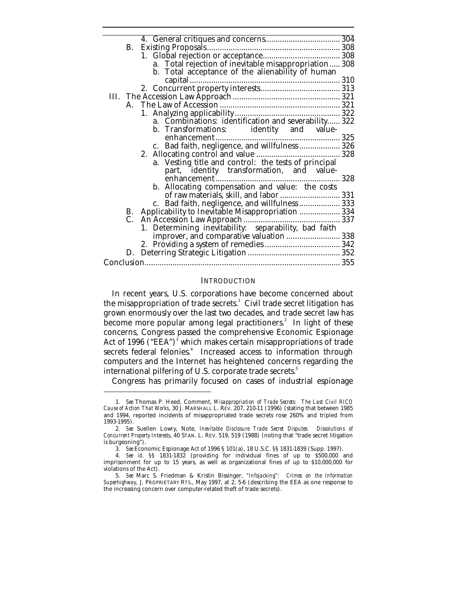| <b>B.</b> |                                                       |     |
|-----------|-------------------------------------------------------|-----|
|           |                                                       |     |
|           | a. Total rejection of inevitable misappropriation 308 |     |
|           | b. Total acceptance of the alienability of human      |     |
|           |                                                       |     |
|           |                                                       |     |
|           |                                                       |     |
|           |                                                       |     |
|           |                                                       |     |
|           |                                                       |     |
|           | b. Transformations: identity and value-               |     |
|           |                                                       |     |
|           | c. Bad faith, negligence, and willfulness  326        |     |
|           |                                                       |     |
|           | a. Vesting title and control: the tests of principal  |     |
|           | part, identity transformation, and value-             |     |
|           |                                                       | 328 |
|           | b. Allocating compensation and value: the costs       |     |
|           | of raw materials, skill, and labor  331               |     |
|           | c. Bad faith, negligence, and willfulness 333         |     |
|           | B. Applicability to Inevitable Misappropriation  334  |     |
|           |                                                       |     |
|           | 1. Determining inevitability: separability, bad faith |     |
|           | improver, and comparative valuation  338              |     |
|           |                                                       |     |
|           |                                                       |     |
|           |                                                       |     |
|           |                                                       |     |

#### **INTRODUCTION**

In recent years, U.S. corporations have become concerned about the misappropriation of trade secrets. $^{\rm 1}$  Civil trade secret litigation has grown enormously over the last two decades, and trade secret law has become more popular among legal practitioners.<sup>2</sup> In light of these concerns, Congress passed the comprehensive Economic Espionage Act of 1996  $\rm (^{\circ}EEA^{''})^{3}$  which makes certain misappropriations of trade secrets federal felonies.<sup>4</sup> Increased access to information through computers and the Internet has heightened concerns regarding the international pilfering of U.S. corporate trade secrets.<sup>5</sup>

Congress has primarily focused on cases of industrial espionage

<sup>1</sup>*. See* Thomas P. Heed, Comment, *Misappropriation of Trade Secrets: The Last Civil RICO Cause of Action That Works*, 30 J. MARSHALL L. REV. 207, 210-11 (1996) (stating that between 1985 and 1994, reported incidents of misappropriated trade secrets rose 260% and tripled from 1993-1995).

<sup>2</sup>*. See* Suellen Lowry, Note, *Inevitable Disclosure Trade Secret Disputes: Dissolutions of Concurrent Property Interests*, 40 STAN. L. REV. 519, 519 (1988) (noting that "trade secret litigation is burgeoning").

<sup>3</sup>*. See* Economic Espionage Act of 1996 § 101(a), 18 U.S.C. §§ 1831-1839 (Supp. 1997).

<sup>4</sup>*. See id.* §§ 1831-1832 (providing for individual fines of up to \$500,000 and imprisonment for up to 15 years, as well as organizational fines of up to \$10,000,000 for violations of the Act).

<sup>5</sup>*. See* Marc S. Friedman & Kristin Bissinger, *"Infojacking": Crimes on the Information Superhighway*, J. PROPRIETARY RTS., May 1997, at 2, 5-6 (describing the EEA as one response to the increasing concern over computer-related theft of trade secrets).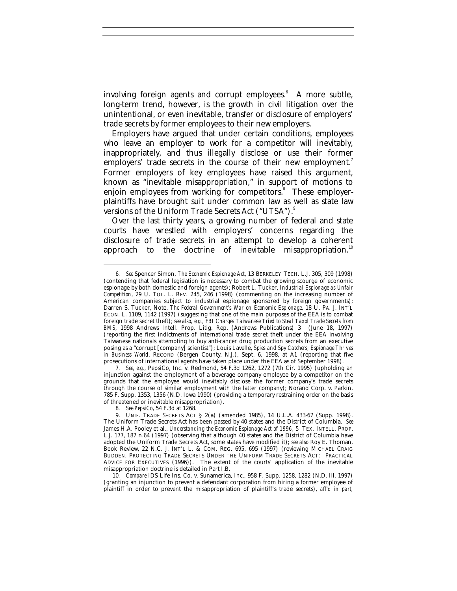involving foreign agents and corrupt employees.<sup>6</sup> A more subtle, long-term trend, however, is the growth in civil litigation over the unintentional, or even inevitable, transfer or disclosure of employers' trade secrets by former employees to their new employers.

Employers have argued that under certain conditions, employees who leave an employer to work for a competitor will inevitably, inappropriately, and thus illegally disclose or use their former employers' trade secrets in the course of their new employment.<sup>7</sup> Former employers of key employees have raised this argument, known as "inevitable misappropriation," in support of motions to enjoin employees from working for competitors.<sup>8</sup> These employerplaintiffs have brought suit under common law as well as state law versions of the Uniform Trade Secrets Act ("UTSA").<sup>9</sup>

Over the last thirty years, a growing number of federal and state courts have wrestled with employers' concerns regarding the disclosure of trade secrets in an attempt to develop a coherent approach to the doctrine of inevitable misappropriation.<sup>10</sup>

-

10*. Compare* IDS Life Ins. Co. v. Sunamerica, Inc., 958 F. Supp. 1258, 1282 (N.D. Ill. 1997) (granting an injunction to prevent a defendant corporation from hiring a former employee of plaintiff in order to prevent the misappropriation of plaintiff's trade secrets), *aff'd in part,*

<sup>6</sup>*. See* Spencer Simon, *The Economic Espionage Act*, 13 BERKELEY TECH. L.J. 305, 309 (1998) (contending that federal legislation is necessary to combat the growing scourge of economic espionage by both domestic and foreign agents); Robert L. Tucker, *Industrial Espionage as Unfair Competition*, 29 U. TOL. L. REV. 245, 246 (1998) (commenting on the increasing number of American companies subject to industrial espionage sponsored by foreign governments); Darren S. Tucker, Note, *The Federal Government's War on Economic Espionage*, 18 U. PA. J. INT'L ECON. L. 1109, 1142 (1997) (suggesting that one of the main purposes of the EEA is to combat foreign trade secret theft); s*ee also, e.g.*, *FBI Charges Taiwanese Tried to Steal Taxol Trade Secrets from BMS*, 1998 Andrews Intell. Prop. Litig. Rep. (Andrews Publications) 3 (June 18, 1997) (reporting the first indictments of international trade secret theft under the EEA involving Taiwanese nationals attempting to buy anti-cancer drug production secrets from an executive posing as a "corrupt [company] scientist"); Louis Lavelle, *Spies and Spy Catchers; Espionage Thrives in Business World*, RECORD (Bergen County, N.J.), Sept. 6, 1998, at A1 (reporting that five prosecutions of international agents have taken place under the EEA as of September 1998).

<sup>7</sup>*. See, e.g.*, PepsiCo, Inc. v. Redmond, 54 F.3d 1262, 1272 (7th Cir. 1995) (upholding an injunction against the employment of a beverage company employee by a competitor on the grounds that the employee would inevitably disclose the former company's trade secrets through the course of similar employment with the latter company); Norand Corp. v. Parkin, 785 F. Supp. 1353, 1356 (N.D. Iowa 1990) (providing a temporary restraining order on the basis of threatened or inevitable misappropriation).

<sup>8</sup>*. See PepsiCo*, 54 F.3d at 1268.

<sup>9.</sup> UNIF. TRADE SECRETS ACT § 2(a) (amended 1985), 14 U.L.A. 433-67 (Supp. 1998). The Uniform Trade Secrets Act has been passed by 40 states and the District of Columbia. *See* James H.A. Pooley et al., *Understanding the Economic Espionage Act of 1996*, 5 TEX. INTELL. PROP. L.J. 177, 187 n.64 (1997) (observing that although 40 states and the District of Columbia have adopted the Uniform Trade Secrets Act, some states have modified it); *see also* Roy E. Thoman, Book Review, 22 N.C. J. INT'L L. & COM. REG. 695, 695 (1997) (reviewing MICHAEL CRAIG BUDDEN, PROTECTING TRADE SECRETS UNDER THE UNIFORM TRADE SECRETS ACT: PRACTICAL ADVICE FOR EXECUTIVES (1996)). The extent of the courts' application of the inevitable misappropriation doctrine is detailed in Part I.B.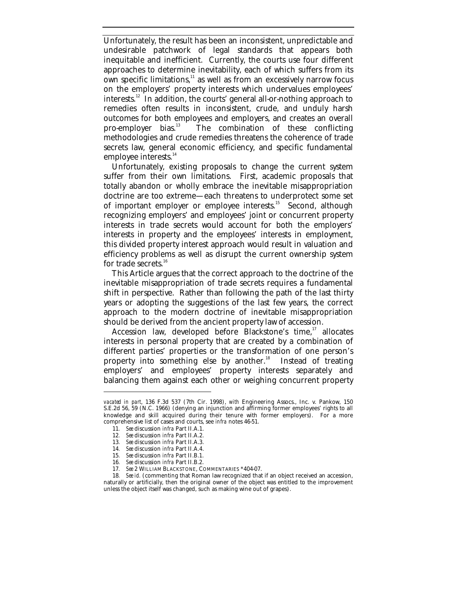Unfortunately, the result has been an inconsistent, unpredictable and undesirable patchwork of legal standards that appears both inequitable and inefficient. Currently, the courts use four different approaches to determine inevitability, each of which suffers from its  $\overline{\text{own}}$  specific limitations, $11$  as well as from an excessively narrow focus on the employers' property interests which undervalues employees' interests.<sup>12</sup> In addition, the courts' general all-or-nothing approach to remedies often results in inconsistent, crude, and unduly harsh outcomes for both employees and employers, and creates an overall<br>pro-employer bias.<sup>13</sup> The combination of these conflicting The combination of these conflicting methodologies and crude remedies threatens the coherence of trade secrets law, general economic efficiency, and specific fundamental employee interests.<sup>14</sup>

Unfortunately, existing proposals to change the current system suffer from their own limitations. First, academic proposals that totally abandon or wholly embrace the inevitable misappropriation doctrine are too extreme—each threatens to underprotect some set of important employer or employee interests.<sup>15</sup> Second, although recognizing employers' and employees' joint or concurrent property interests in trade secrets would account for both the employers' interests in property and the employees' interests in employment, this divided property interest approach would result in valuation and efficiency problems as well as disrupt the current ownership system for trade secrets.<sup>16</sup>

This Article argues that the correct approach to the doctrine of the inevitable misappropriation of trade secrets requires a fundamental shift in perspective. Rather than following the path of the last thirty years or adopting the suggestions of the last few years, the correct approach to the modern doctrine of inevitable misappropriation should be derived from the ancient property law of accession.

Accession law, developed before Blackstone's time,<sup>17</sup> allocates interests in personal property that are created by a combination of different parties' properties or the transformation of one person's property into something else by another. $18$  Instead of treating employers' and employees' property interests separately and balancing them against each other or weighing concurrent property

*vacated in part*, 136 F.3d 537 (7th Cir. 1998), *with* Engineering Assocs., Inc. v. Pankow, 150 S.E.2d 56, 59 (N.C. 1966) (denying an injunction and affirming former employees' rights to all knowledge and skill acquired during their tenure with former employers). For a more comprehensive list of cases and courts, see *infra* notes 46-51.

<sup>11</sup>*. See* discussion *infra* Part II.A.1.

<sup>12</sup>*. See* discussion *infra* Part II.A.2.

<sup>13</sup>*. See* discussion *infra* Part II.A.3.

<sup>14</sup>*. See* discussion *infra* Part II.A.4.

<sup>15</sup>*. See* discussion *infra* Part II.B.1.

<sup>16</sup>*. See* discussion *infra* Part II.B.2.

<sup>17</sup>*. See* 2 WILLIAM BLACKSTONE, COMMENTARIES \*404-07.

<sup>18</sup>*. See id.* (commenting that Roman law recognized that if an object received an accession, naturally or artificially, then the original owner of the object was entitled to the improvement unless the object itself was changed, such as making wine out of grapes).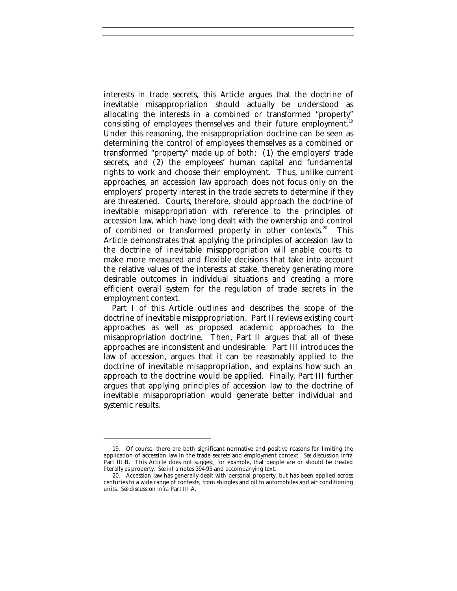interests in trade secrets, this Article argues that the doctrine of inevitable misappropriation should actually be understood as allocating the interests in a combined or transformed "property" consisting of employees themselves and their future employment.<sup>19</sup> Under this reasoning, the misappropriation doctrine can be seen as determining the control of employees themselves as a combined or transformed "property" made up of both: (1) the employers' trade secrets, and (2) the employees' human capital and fundamental rights to work and choose their employment. Thus, unlike current approaches, an accession law approach does not focus only on the employers' property interest in the trade secrets to determine if they are threatened. Courts, therefore, should approach the doctrine of inevitable misappropriation with reference to the principles of accession law, which have long dealt with the ownership and control of combined or transformed property in other contexts.<sup>20</sup> This Article demonstrates that applying the principles of accession law to the doctrine of inevitable misappropriation will enable courts to make more measured and flexible decisions that take into account the relative values of the interests at stake, thereby generating more desirable outcomes in individual situations and creating a more efficient overall system for the regulation of trade secrets in the employment context.

Part I of this Article outlines and describes the scope of the doctrine of inevitable misappropriation. Part II reviews existing court approaches as well as proposed academic approaches to the misappropriation doctrine. Then, Part II argues that all of these approaches are inconsistent and undesirable. Part III introduces the law of accession, argues that it can be reasonably applied to the doctrine of inevitable misappropriation, and explains how such an approach to the doctrine would be applied. Finally, Part III further argues that applying principles of accession law to the doctrine of inevitable misappropriation would generate better individual and systemic results.

<sup>19.</sup> Of course, there are both significant normative and positive reasons for limiting the application of accession law in the trade secrets and employment context. *See* discussion *infra* Part III.B. This Article does not suggest, for example, that people are or should be treated literally as property. *See infra* notes 394-95 and accompanying text.

<sup>20.</sup> Accession law has generally dealt with personal property, but has been applied across centuries to a wide range of contexts, from shingles and oil to automobiles and air conditioning units. *See* discussion *infra* Part III.A.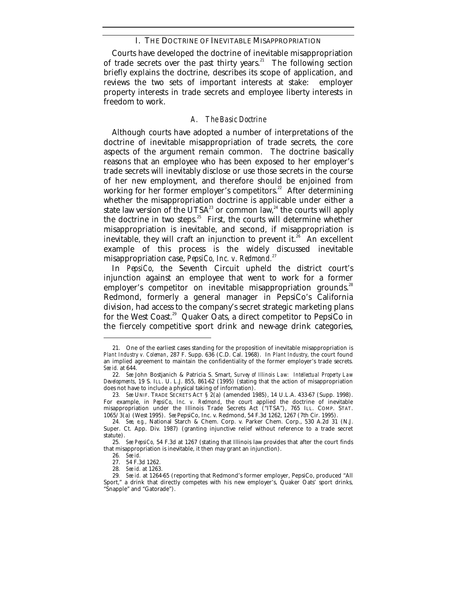#### I. THE DOCTRINE OF INEVITABLE MISAPPROPRIATION

Courts have developed the doctrine of inevitable misappropriation of trade secrets over the past thirty years.<sup>21</sup> The following section briefly explains the doctrine, describes its scope of application, and reviews the two sets of important interests at stake: employer property interests in trade secrets and employee liberty interests in freedom to work.

#### *A. The Basic Doctrine*

Although courts have adopted a number of interpretations of the doctrine of inevitable misappropriation of trade secrets, the core aspects of the argument remain common. The doctrine basically reasons that an employee who has been exposed to her employer's trade secrets will inevitably disclose or use those secrets in the course of her new employment, and therefore should be enjoined from working for her former employer's competitors.<sup>22</sup> After determining whether the misappropriation doctrine is applicable under either a state law version of the UTSA<sup>23</sup> or common law,<sup>24</sup> the courts will apply the doctrine in two steps. $25$  First, the courts will determine whether misappropriation is inevitable, and second, if misappropriation is inevitable, they will craft an injunction to prevent it.<sup>26</sup> An excellent example of this process is the widely discussed inevitable misappropriation case, *PepsiCo, Inc. v. Redmond.*<sup>27</sup>

In *PepsiCo*, the Seventh Circuit upheld the district court's injunction against an employee that went to work for a former employer's competitor on inevitable misappropriation grounds.<sup>28</sup> Redmond, formerly a general manager in PepsiCo's California division, had access to the company's secret strategic marketing plans for the West Coast.<sup>29</sup> Quaker Oats, a direct competitor to PepsiCo in the fiercely competitive sport drink and new-age drink categories,

<sup>21.</sup> One of the earliest cases standing for the proposition of inevitable misappropriation is *Plant Industry v. Coleman*, 287 F. Supp. 636 (C.D. Cal. 1968). In *Plant Industry*, the court found an implied agreement to maintain the confidentiality of the former employer's trade secrets. *See id.* at 644.

<sup>22</sup>*. See* John Bostjanich & Patricia S. Smart, *Survey of Illinois Law: Intellectual Property Law Developments*, 19 S. ILL. U. L.J. 855, 861-62 (1995) (stating that the action of misappropriation does not have to include a physical taking of information).

<sup>23</sup>*. See* UNIF. TRADE SECRETS ACT § 2(a) (amended 1985), 14 U.L.A. 433-67 (Supp. 1998). For example, in *PepsiCo*, *Inc. v. Redmond*, the court applied the doctrine of inevitable misappropriation under the Illinois Trade Secrets Act ("ITSA"), 765 ILL. COMP. STAT. 1065/3(a) (West 1995). *See* PepsiCo, Inc. v. Redmond, 54 F.3d 1262, 1267 (7th Cir. 1995).

<sup>24</sup>*. See, e.g.*, National Starch & Chem. Corp. v. Parker Chem. Corp., 530 A.2d 31 (N.J. Super. Ct. App. Div. 1987) (granting injunctive relief without reference to a trade secret statute).

<sup>25</sup>*. See PepsiCo,* 54 F.3d at 1267 (stating that Illinois law provides that after the court finds that misappropriation is inevitable, it then may grant an injunction).

<sup>26</sup>*. See id.*

<sup>27.</sup> 54 F.3d 1262.

<sup>28</sup>*. See id.* at 1263.

<sup>29</sup>*. See id.* at 1264-65 (reporting that Redmond's former employer, PepsiCo, produced "All Sport," a drink that directly competes with his new employer's, Quaker Oats' sport drinks, "Snapple" and "Gatorade").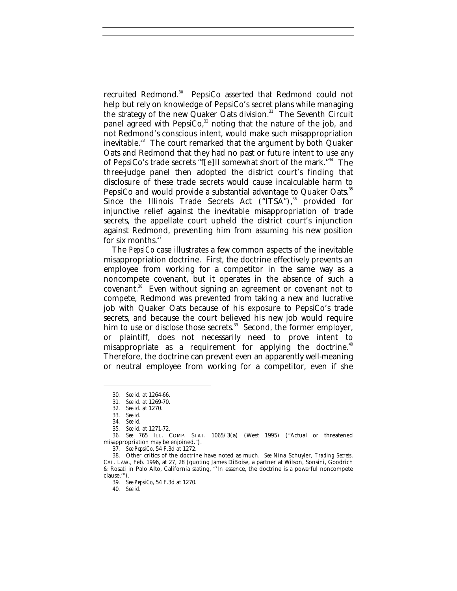recruited Redmond.<sup>30</sup> PepsiCo asserted that Redmond could not help but rely on knowledge of PepsiCo's secret plans while managing the strategy of the new Quaker Oats division.<sup>31</sup> The Seventh Circuit panel agreed with PepsiCo, $32$  noting that the nature of the job, and not Redmond's conscious intent, would make such misappropriation inevitable.<sup>33</sup> The court remarked that the argument by both Quaker Oats and Redmond that they had no past or future intent to use any of PepsiCo's trade secrets "f[e]ll somewhat short of the mark."<sup>34</sup> The three-judge panel then adopted the district court's finding that disclosure of these trade secrets would cause incalculable harm to PepsiCo and would provide a substantial advantage to Quaker Oats.<sup>35</sup> Since the Illinois Trade Secrets Act  $("ITSA"),$ <sup>36</sup> provided for injunctive relief against the inevitable misappropriation of trade secrets, the appellate court upheld the district court's injunction against Redmond, preventing him from assuming his new position for six months. $37$ 

The *PepsiCo* case illustrates a few common aspects of the inevitable misappropriation doctrine. First, the doctrine effectively prevents an employee from working for a competitor in the same way as a noncompete covenant, but it operates in the absence of such a covenant.<sup>38</sup> Even without signing an agreement or covenant not to compete, Redmond was prevented from taking a new and lucrative job with Quaker Oats because of his exposure to PepsiCo's trade secrets, and because the court believed his new job would require him to use or disclose those secrets. $39$  Second, the former employer, or plaintiff, does not necessarily need to prove intent to misappropriate as a requirement for applying the doctrine.<sup>40</sup> Therefore, the doctrine can prevent even an apparently well-meaning or neutral employee from working for a competitor, even if she

-

37*. See PepsiCo*, 54 F.3d at 1272.

39*. See PepsiCo*, 54 F.3d at 1270.

40*. See id.*

<sup>30</sup>*. See id.* at 1264-66.

<sup>31</sup>*. See id.* at 1269-70.

<sup>32</sup>*. See id.* at 1270.

<sup>33</sup>*. See id.*

<sup>34</sup>*. See id.*

<sup>35</sup>*. See id.* at 1271-72.

<sup>36</sup>*. See* 765 ILL. COMP. STAT. 1065/3(a) (West 1995) ("Actual or threatened misappropriation may be enjoined.").

<sup>38.</sup> Other critics of the doctrine have noted as much. *See* Nina Schuyler, *Trading Secrets*, CAL. LAW., Feb. 1996, at 27, 28 (quoting James DiBoise, a partner at Wilson, Sonsini, Goodrich & Rosati in Palo Alto, California stating, "'In essence, the doctrine is a powerful noncompete clause.'").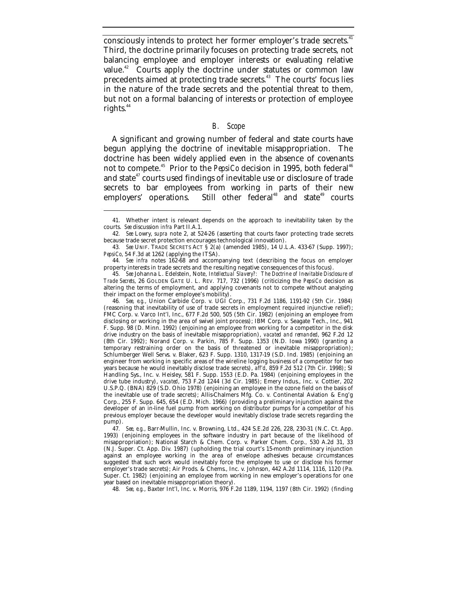consciously intends to protect her former employer's trade secrets.<sup>41</sup> Third, the doctrine primarily focuses on protecting trade secrets, not balancing employee and employer interests or evaluating relative value.<sup>42</sup> Courts apply the doctrine under statutes or common law precedents aimed at protecting trade secrets.<sup>43</sup> The courts' focus lies in the nature of the trade secrets and the potential threat to them, but not on a formal balancing of interests or protection of employee rights. $44$ 

#### *B. Scope*

A significant and growing number of federal and state courts have begun applying the doctrine of inevitable misappropriation. The doctrine has been widely applied even in the absence of covenants not to compete.<sup>45</sup> Prior to the *PepsiCo* decision in 1995, both federal<sup>46</sup> and state $47$  courts used findings of inevitable use or disclosure of trade secrets to bar employees from working in parts of their new employers' operations. Still other federal<sup>48</sup> and state<sup>49</sup> courts

-

46*. See, e.g.*, Union Carbide Corp. v. UGI Corp., 731 F.2d 1186, 1191-92 (5th Cir. 1984) (reasoning that inevitability of use of trade secrets in employment required injunctive relief); FMC Corp. v. Varco Int'l, Inc., 677 F.2d 500, 505 (5th Cir. 1982) (enjoining an employee from disclosing or working in the area of swivel joint process); IBM Corp. v. Seagate Tech., Inc., 941 F. Supp. 98 (D. Minn. 1992) (enjoining an employee from working for a competitor in the disk drive industry on the basis of inevitable misappropriation), *vacated and remanded*, 962 F.2d 12 (8th Cir. 1992); Norand Corp. v. Parkin, 785 F. Supp. 1353 (N.D. Iowa 1990) (granting a temporary restraining order on the basis of threatened or inevitable misappropriation); Schlumberger Well Servs. v. Blaker, 623 F. Supp. 1310, 1317-19 (S.D. Ind. 1985) (enjoining an engineer from working in specific areas of the wireline logging business of a competitor for two years because he would inevitably disclose trade secrets), *aff'd*, 859 F.2d 512 (7th Cir. 1998); SI Handling Sys., Inc. v. Heisley, 581 F. Supp. 1553 (E.D. Pa. 1984) (enjoining employees in the drive tube industry), *vacated*, 753 F.2d 1244 (3d Cir. 1985); Emery Indus., Inc. v. Cottier, 202 U.S.P.Q. (BNA) 829 (S.D. Ohio 1978) (enjoining an employee in the ozone field on the basis of the inevitable use of trade secrets); Allis-Chalmers Mfg. Co. v. Continental Aviation & Eng'g Corp., 255 F. Supp. 645, 654 (E.D. Mich. 1966) (providing a preliminary injunction against the developer of an in-line fuel pump from working on distributor pumps for a competitor of his previous employer because the developer would inevitably disclose trade secrets regarding the pump).

47*. See, e.g.*, Barr-Mullin, Inc. v. Browning, Ltd., 424 S.E.2d 226, 228, 230-31 (N.C. Ct. App. 1993) (enjoining employees in the software industry in part because of the likelihood of misappropriation); National Starch & Chem. Corp. v. Parker Chem. Corp.*,* 530 A.2d 31, 33 (N.J. Super. Ct. App. Div. 1987) (upholding the trial court's 15-month preliminary injunction against an employee working in the area of envelope adhesives because circumstances suggested that such work would inevitably force the employee to use or disclose his former employer's trade secrets); Air Prods. & Chems., Inc. v. Johnson, 442 A.2d 1114, 1116, 1120 (Pa. Super. Ct. 1982) (enjoining an employee from working in new employer's operations for one year based on inevitable misappropriation theory).

48*. See, e.g.*, Baxter Int'l, Inc. v. Morris, 976 F.2d 1189, 1194, 1197 (8th Cir. 1992) (finding

<sup>41.</sup> Whether intent is relevant depends on the approach to inevitability taken by the courts. *See* discussion *infra* Part II.A.1.

<sup>42</sup>*. See* Lowry, *supra* note 2, at 524-26 (asserting that courts favor protecting trade secrets because trade secret protection encourages technological innovation).

<sup>43</sup>*. See* UNIF. TRADE SECRETS ACT § 2(a) (amended 1985), 14 U.L.A. 433-67 (Supp. 1997); *PepsiCo*, 54 F.3d at 1262 (applying the ITSA).

<sup>44</sup>*. See infra* notes 162-68 and accompanying text (describing the focus on employer property interests in trade secrets and the resulting negative consequences of this focus).

<sup>45</sup>*. See* Johanna L. Edelstein, Note, *Intellectual Slavery?: The Doctrine of Inevitable Disclosure of Trade Secrets*, 26 GOLDEN GATE U. L. REV. 717, 732 (1996) (criticizing the *PepsiCo* decision as altering the terms of employment, and applying covenants not to compete without analyzing their impact on the former employee's mobility).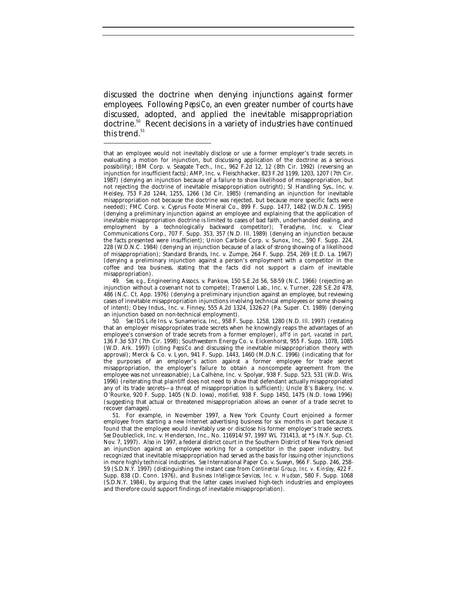discussed the doctrine when denying injunctions against former employees. Following *PepsiCo*, an even greater number of courts have discussed, adopted, and applied the inevitable misappropriation doctrine.<sup>50</sup> Recent decisions in a variety of industries have continued this trend.<sup>51</sup>

-

49*. See, e.g.*, Engineering Assocs. v. Pankow, 150 S.E.2d 56, 58-59 (N.C. 1966) (rejecting an injunction without a covenant not to compete); Travenol Lab., Inc. v. Turner, 228 S.E.2d 478, 486 (N.C. Ct. App. 1976) (denying a preliminary injunction against an employee, but reviewing cases of inevitable misappropriation injunctions involving technical employees or some showing of intent); Obey Indus., Inc. v. Finney, 555 A.2d 1324, 1326-27 (Pa. Super. Ct. 1989) (denying an injunction based on non-technical employment).

51. For example, in November 1997, a New York County Court enjoined a former employee from starting a new Internet advertising business for six months in part because it found that the employee would inevitably use or disclose his former employer's trade secrets. *See* Doubleclick, Inc. v. Henderson, Inc., No. 116914/97, 1997 WL 731413, at \*5 (N.Y. Sup. Ct. Nov. 7, 1997). Also in 1997, a federal district court in the Southern District of New York denied an injunction against an employee working for a competitor in the paper industry, but recognized that inevitable misappropriation had served as the basis for issuing other injunctions in more highly technical industries. *See* International Paper Co. v. Suwyn, 966 F. Supp. 246, 258- 59 (S.D.N.Y. 1997) (distinguishing the instant case from *Continental Group, Inc. v. Kinsley*, 422 F. Supp. 838 (D. Conn. 1976), and *Business Intelligence Services, Inc. v. Hudson*, 580 F. Supp. 1068 (S.D.N.Y. 1984), by arguing that the latter cases involved high-tech industries and employees and therefore could support findings of inevitable misappropriation).

that an employee would not inevitably disclose or use a former employer's trade secrets in evaluating a motion for injunction, but discussing application of the doctrine as a serious possibility); IBM Corp. v. Seagate Tech., Inc., 962 F.2d 12, 12 (8th Cir. 1992) (reversing an injunction for insufficient facts); AMP, Inc. v. Fleischhacker, 823 F.2d 1199, 1203, 1207 (7th Cir. 1987) (denying an injunction because of a failure to show likelihood of misappropriation, but not rejecting the doctrine of inevitable misappropriation outright); SI Handling Sys., Inc. v. Heisley, 753 F.2d 1244, 1255, 1266 (3d Cir. 1985) (remanding an injunction for inevitable misappropriation not because the doctrine was rejected, but because more specific facts were needed); FMC Corp. v. Cyprus Foote Mineral Co., 899 F. Supp. 1477, 1482 (W.D.N.C. 1995) (denying a preliminary injunction against an employee and explaining that the application of inevitable misappropriation doctrine is limited to cases of bad faith, underhanded dealing, and employment by a technologically backward competitor); Teradyne, Inc. v. Clear Communications Corp., 707 F. Supp. 353, 357 (N.D. Ill. 1989) (denying an injunction because the facts presented were insufficient); Union Carbide Corp. v. Sunox, Inc., 590 F. Supp. 224, 228 (W.D.N.C. 1984) (denying an injunction because of a lack of strong showing of a likelihood of misappropriation); Standard Brands, Inc. v. Zumpe, 264 F. Supp. 254, 269 (E.D. La. 1967) (denying a preliminary injunction against a person's employment with a competitor in the coffee and tea business, stating that the facts did not support a claim of inevitable misappropriation).

<sup>50</sup>*. See* IDS Life Ins. v. Sunamerica, Inc., 958 F. Supp. 1258, 1280 (N.D. Ill. 1997) (restating that an employer misappropriates trade secrets when he knowingly reaps the advantages of an employee's conversion of trade secrets from a former employer), *aff'd in part, vacated in part,* 136 F.3d 537 (7th Cir. 1998); Southwestern Energy Co. v. Eickenhorst, 955 F. Supp. 1078, 1085 (W.D. Ark. 1997) (citing *PepsiCo* and discussing the inevitable misappropriation theory with approval); Merck & Co. v. Lyon, 941 F. Supp. 1443, 1460 (M.D.N.C. 1996) (indicating that for the purposes of an employer's action against a former employee for trade secret misappropriation, the employer's failure to obtain a noncompete agreement from the employee was not unreasonable); La Calhène, Inc. v. Spolyar, 938 F. Supp. 523, 531 (W.D. Wis. 1996) (reiterating that plaintiff does not need to show that defendant actually misappropriated any of its trade secrets—a threat of misappropriation is sufficient); Uncle B's Bakery, Inc. v. O'Rourke, 920 F. Supp. 1405 (N.D. Iowa), *modified,* 938 F. Supp 1450, 1475 (N.D. Iowa 1996) (suggesting that actual or threatened misappropriation allows an owner of a trade secret to recover damages).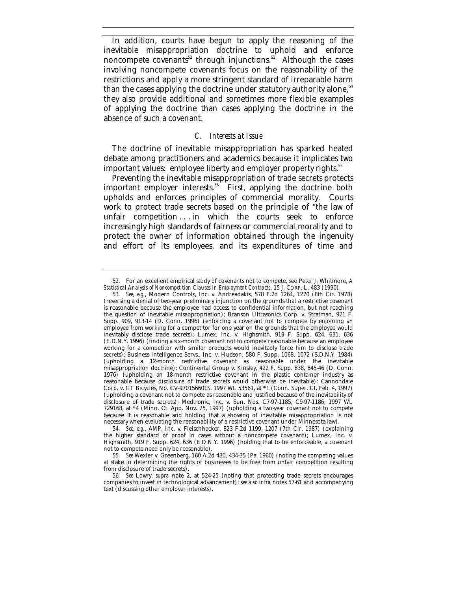In addition, courts have begun to apply the reasoning of the inevitable misappropriation doctrine to uphold and enforce noncompete covenants<sup>52</sup> through injunctions.<sup>53</sup> Although the cases involving noncompete covenants focus on the reasonability of the restrictions and apply a more stringent standard of irreparable harm than the cases applying the doctrine under statutory authority alone,<sup>54</sup> they also provide additional and sometimes more flexible examples of applying the doctrine than cases applying the doctrine in the absence of such a covenant.

#### *C. Interests at Issue*

The doctrine of inevitable misappropriation has sparked heated debate among practitioners and academics because it implicates two important values: employee liberty and employer property rights.<sup>55</sup>

Preventing the inevitable misappropriation of trade secrets protects important employer interests.<sup>56</sup> First, applying the doctrine both upholds and enforces principles of commercial morality. Courts work to protect trade secrets based on the principle of "the law of unfair competition ... in which the courts seek to enforce increasingly high standards of fairness or commercial morality and to protect the owner of information obtained through the ingenuity and effort of its employees, and its expenditures of time and

<sup>52.</sup> For an excellent empirical study of covenants not to compete, see Peter J. Whitmore, *A Statistical Analysis of Noncompetition Clauses in Employment Contracts*, 15 J. CORP. L. 483 (1990).

<sup>53</sup>*. See, e.g.*, Modern Controls, Inc. v. Andreadakis, 578 F.2d 1264, 1270 (8th Cir. 1978) (reversing a denial of two-year preliminary injunction on the grounds that a restrictive covenant is reasonable because the employee had access to confidential information, but not reaching the question of inevitable misappropriation); Branson Ultrasonics Corp. v. Stratman, 921 F. Supp. 909, 913-14 (D. Conn. 1996) (enforcing a covenant not to compete by enjoining an employee from working for a competitor for one year on the grounds that the employee would inevitably disclose trade secrets); Lumex, Inc. v. Highsmith, 919 F. Supp. 624, 631, 636 (E.D.N.Y. 1996) (finding a six-month covenant not to compete reasonable because an employee working for a competitor with similar products would inevitably force him to disclose trade secrets); Business Intelligence Servs., Inc. v. Hudson, 580 F. Supp. 1068, 1072 (S.D.N.Y. 1984) (upholding a 12-month restrictive covenant as reasonable under the inevitable misappropriation doctrine); Continental Group v. Kinsley, 422 F. Supp. 838, 845-46 (D. Conn. 1976) (upholding an 18-month restrictive covenant in the plastic container industry as reasonable because disclosure of trade secrets would otherwise be inevitable); Cannondale Corp. v. GT Bicycles, No. CV-970156601S, 1997 WL 53561, at \*1 (Conn. Super. Ct. Feb. 4, 1997) (upholding a covenant not to compete as reasonable and justified because of the inevitability of disclosure of trade secrets); Medtronic, Inc. v. Sun, Nos. C7-97-1185, C9-97-1186, 1997 WL 729168, at \*4 (Minn. Ct. App. Nov. 25, 1997) (upholding a two-year covenant not to compete because it is reasonable and holding that a showing of inevitable misappropriation is not necessary when evaluating the reasonability of a restrictive covenant under Minnesota law).

<sup>54</sup>*. See, e.g.*, AMP, Inc. v. Fleischhacker, 823 F.2d 1199, 1207 (7th Cir. 1987) (explaining the higher standard of proof in cases without a noncompete covenant); Lumex, Inc. v. Highsmith, 919 F. Supp. 624, 636 (E.D.N.Y. 1996) (holding that to be enforceable, a covenant not to compete need only be reasonable).

<sup>55</sup>*. See* Wexler v. Greenberg, 160 A.2d 430, 434-35 (Pa. 1960) (noting the competing values at stake in determining the rights of businesses to be free from unfair competition resulting from disclosure of trade secrets).

<sup>56</sup>*. See* Lowry, *supra* note 2, at 524-25 (noting that protecting trade secrets encourages companies to invest in technological advancement); *see also infra* notes 57-61 and accompanying text (discussing other employer interests).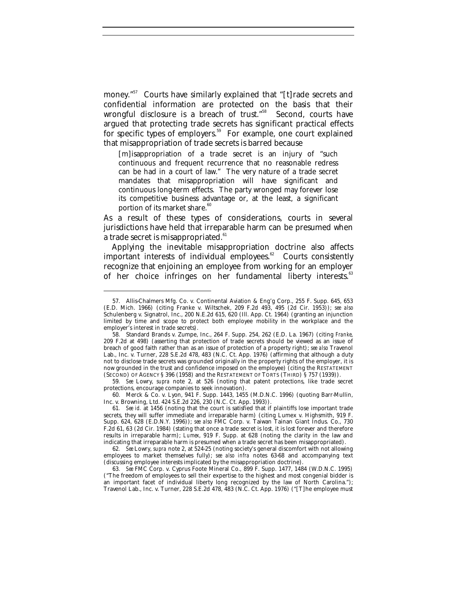money."<sup>57</sup> Courts have similarly explained that "[t]rade secrets and confidential information are protected on the basis that their wrongful disclosure is a breach of trust."<sup>58</sup> Second, courts have argued that protecting trade secrets has significant practical effects for specific types of employers.<sup>59</sup> For example, one court explained that misappropriation of trade secrets is barred because

[m]isappropriation of a trade secret is an injury of "such continuous and frequent recurrence that no reasonable redress can be had in a court of law." The very nature of a trade secret mandates that misappropriation will have significant and continuous long-term effects. The party wronged may forever lose its competitive business advantage or, at the least, a significant portion of its market share.<sup>60</sup>

As a result of these types of considerations, courts in several jurisdictions have held that irreparable harm can be presumed when a trade secret is misappropriated.<sup>61</sup>

Applying the inevitable misappropriation doctrine also affects important interests of individual employees. $62$  Courts consistently recognize that enjoining an employee from working for an employer of her choice infringes on her fundamental liberty interests.<sup>63</sup>

-

59*. See* Lowry, *supra* note 2, at 526 (noting that patent protections, like trade secret protections, encourage companies to seek innovation).

60. Merck & Co. v. Lyon, 941 F. Supp. 1443, 1455 (M.D.N.C. 1996) (quoting Barr-Mullin, Inc. v. Browning, Ltd. 424 S.E.2d 226, 230 (N.C. Ct. App. 1993)).

<sup>57.</sup> Allis-Chalmers Mfg. Co. v. Continental Aviation & Eng'g Corp., 255 F. Supp. 645, 653 (E.D. Mich. 1966) (citing Franke v. Wiltschek, 209 F.2d 493, 495 (2d Cir. 1953)); *see also* Schulenberg v. Signatrol, Inc., 200 N.E.2d 615, 620 (Ill. App. Ct. 1964) (granting an injunction limited by time and scope to protect both employee mobility in the workplace and the employer's interest in trade secrets).

<sup>58.</sup> Standard Brands v. Zumpe, Inc., 264 F. Supp. 254, 262 (E.D. La. 1967) (citing *Franke*, 209 F.2d at 498) (asserting that protection of trade secrets should be viewed as an issue of breach of good faith rather than as an issue of protection of a property right); *see also* Travenol Lab., Inc. v. Turner, 228 S.E.2d 478, 483 (N.C. Ct. App. 1976) (affirming that although a duty not to disclose trade secrets was grounded originally in the property rights of the employer, it is now grounded in the trust and confidence imposed on the employee) (citing the RESTATEMENT (SECOND) OF AGENCY § 396 (1958) and the RESTATEMENT OF TORTS (THIRD) § 757 (1939)).

<sup>61</sup>*. See id.* at 1456 (noting that the court is satisfied that if plaintiffs lose important trade secrets, they will suffer immediate and irreparable harm) (citing Lumex v. Highsmith, 919 F. Supp. 624, 628 (E.D.N.Y. 1996)); *see also* FMC Corp. v. Taiwan Tainan Giant Indus. Co., 730 F.2d 61, 63 (2d Cir. 1984) (stating that once a trade secret is lost, it is lost forever and therefore results in irreparable harm); *Lumex*, 919 F. Supp. at 628 (noting the clarity in the law and indicating that irreparable harm is presumed when a trade secret has been misappropriated).

<sup>62</sup>*. See* Lowry, *supra* note 2, at 524-25 (noting society's general discomfort with not allowing employees to market themselves fully); *see also infra* notes 63-68 and accompanying text (discussing employee interests implicated by the misappropriation doctrine).

<sup>63</sup>*. See* FMC Corp. v. Cyprus Foote Mineral Co., 899 F. Supp. 1477, 1484 (W.D.N.C. 1995) ("The freedom of employees to sell their expertise to the highest and most congenial bidder is an important facet of individual liberty long recognized by the law of North Carolina."); Travenol Lab., Inc. v. Turner, 228 S.E.2d 478, 483 (N.C. Ct. App. 1976) ("[T]he employee must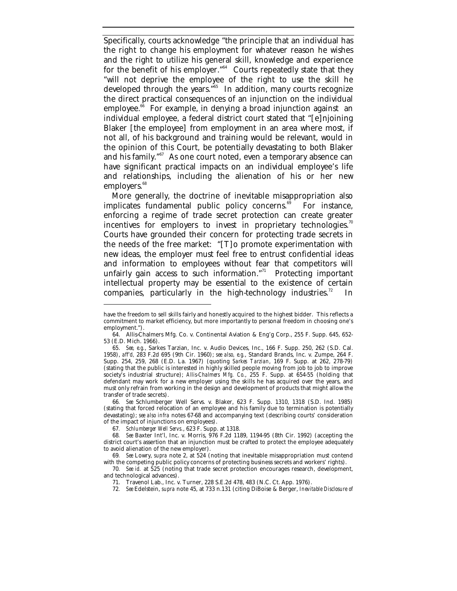Specifically, courts acknowledge "the principle that an individual has the right to change his employment for whatever reason he wishes and the right to utilize his general skill, knowledge and experience for the benefit of his employer."<sup>64</sup> Courts repeatedly state that they "will not deprive the employee of the right to use the skill he developed through the years."<sup>65</sup> In addition, many courts recognize the direct practical consequences of an injunction on the individual employee.<sup>66</sup> For example, in denying a broad injunction against an individual employee, a federal district court stated that "[e]njoining Blaker [the employee] from employment in an area where most, if not all, of his background and training would be relevant, would in the opinion of this Court, be potentially devastating to both Blaker and his family."<sup>67</sup> As one court noted, even a temporary absence can have significant practical impacts on an individual employee's life and relationships, including the alienation of his or her new employers.<sup>68</sup>

More generally, the doctrine of inevitable misappropriation also implicates fundamental public policy concerns.<sup>69</sup> For instance, enforcing a regime of trade secret protection can create greater incentives for employers to invest in proprietary technologies.<sup>70</sup> Courts have grounded their concern for protecting trade secrets in the needs of the free market: "[T]o promote experimentation with new ideas, the employer must feel free to entrust confidential ideas and information to employees without fear that competitors will unfairly gain access to such information."<sup>71</sup> Protecting important intellectual property may be essential to the existence of certain companies, particularly in the high-technology industries.<sup>72</sup>

66*. See* Schlumberger Well Servs. v. Blaker, 623 F. Supp. 1310, 1318 (S.D. Ind. 1985) (stating that forced relocation of an employee and his family due to termination is potentially devastating); *see also infra* notes 67-68 and accompanying text (describing courts' consideration of the impact of injunctions on employees).

have the freedom to sell skills fairly and honestly acquired to the highest bidder. This reflects a commitment to market efficiency, but more importantly to personal freedom in choosing one's employment.").

<sup>64.</sup> Allis-Chalmers Mfg. Co. v. Continental Aviation & Eng'g Corp., 255 F. Supp. 645, 652- 53 (E.D. Mich. 1966).

<sup>65.</sup> *See, e.g.*, Sarkes Tarzian, Inc. v. Audio Devices, Inc., 166 F. Supp. 250, 262 (S.D. Cal. 1958), *aff'd,* 283 F.2d 695 (9th Cir. 1960); *see also, e.g.*, Standard Brands, Inc. v. Zumpe, 264 F. Supp. 254, 259, 268 (E.D. La. 1967) (quoting *Sarkes Tarzian*, 169 F. Supp. at 262, 278-79) (stating that the public is interested in highly skilled people moving from job to job to improve society's industrial structure); *Allis-Chalmers Mfg. Co.*, 255 F. Supp. at 654-55 (holding that defendant may work for a new employer using the skills he has acquired over the years, and must only refrain from working in the design and development of products that might allow the transfer of trade secrets).

<sup>67</sup>*. Schlumberger Well Servs.*, 623 F. Supp. at 1318.

<sup>68</sup>*. See* Baxter Int'l, Inc. v. Morris, 976 F.2d 1189, 1194-95 (8th Cir. 1992) (accepting the district court's assertion that an injunction must be crafted to protect the employee adequately to avoid alienation of the new employer).

<sup>69</sup>*. See* Lowry, *supra* note 2, at 524 (noting that inevitable misappropriation must contend with the competing public policy concerns of protecting business secrets and workers' rights).

<sup>70</sup>*. See id.* at 525 (noting that trade secret protection encourages research, development, and technological advances).

<sup>71.</sup> Travenol Lab., Inc. v. Turner, 228 S.E.2d 478, 483 (N.C. Ct. App. 1976).

<sup>72</sup>*. See* Edelstein, *supra* note 45, at 733 n.131 (citing DiBoise & Berger, *Inevitable Disclosure of*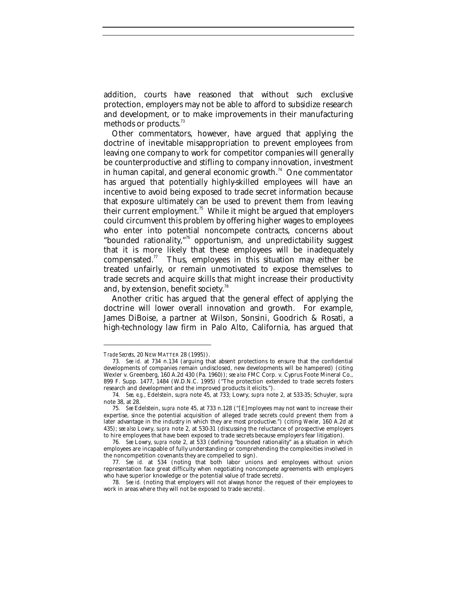addition, courts have reasoned that without such exclusive protection, employers may not be able to afford to subsidize research and development, or to make improvements in their manufacturing methods or products.<sup>73</sup>

Other commentators, however, have argued that applying the doctrine of inevitable misappropriation to prevent employees from leaving one company to work for competitor companies will generally be counterproductive and stifling to company innovation, investment in human capital, and general economic growth. $74$  One commentator has argued that potentially highly-skilled employees will have an incentive to avoid being exposed to trade secret information because that exposure ultimately can be used to prevent them from leaving their current employment.<sup>75</sup> While it might be argued that employers could circumvent this problem by offering higher wages to employees who enter into potential noncompete contracts, concerns about "bounded rationality,"<sup>76</sup> opportunism, and unpredictability suggest that it is more likely that these employees will be inadequately compensated.<sup>77</sup> Thus, employees in this situation may either be treated unfairly, or remain unmotivated to expose themselves to trade secrets and acquire skills that might increase their productivity and, by extension, benefit society.<sup>78</sup>

Another critic has argued that the general effect of applying the doctrine will lower overall innovation and growth. For example, James DiBoise, a partner at Wilson, Sonsini, Goodrich & Rosati, a high-technology law firm in Palo Alto, California, has argued that

*Trade Secrets*, 20 NEW MATTER 28 (1995)).

<sup>73</sup>*. See id.* at 734 n.134 (arguing that absent protections to ensure that the confidential developments of companies remain undisclosed, new developments will be hampered) (citing Wexler v. Greenberg, 160 A.2d 430 (Pa. 1960)); *see also* FMC Corp. v. Cyprus Foote Mineral Co., 899 F. Supp. 1477, 1484 (W.D.N.C. 1995) ("The protection extended to trade secrets fosters research and development and the improved products it elicits.").

<sup>74</sup>*. See, e.g.*, Edelstein, *supra* note 45, at 733; Lowry, *supra* note 2, at 533-35; Schuyler, *supra* note 38, at 28.

<sup>75</sup>*. See* Edelstein, *supra* note 45, at 733 n.128 ("[E]mployees may not want to increase their expertise, since the potential acquisition of alleged trade secrets could prevent them from a later advantage in the industry in which they are most productive.") (citing *Wexler*, 160 A.2d at 435); *see also* Lowry, *supra* note 2, at 530-31 (discussing the reluctance of prospective employers to hire employees that have been exposed to trade secrets because employers fear litigation).

<sup>76</sup>*. See* Lowry, *supra* note 2, at 533 (defining "bounded rationality" as a situation in which employees are incapable of fully understanding or comprehending the complexities involved in the noncompetition covenants they are compelled to sign).

<sup>77</sup>*. See id.* at 534 (noting that both labor unions and employees without union representation face great difficulty when negotiating noncompete agreements with employers who have superior knowledge or the potential value of trade secrets).

<sup>78</sup>*. See id.* (noting that employers will not always honor the request of their employees to work in areas where they will not be exposed to trade secrets).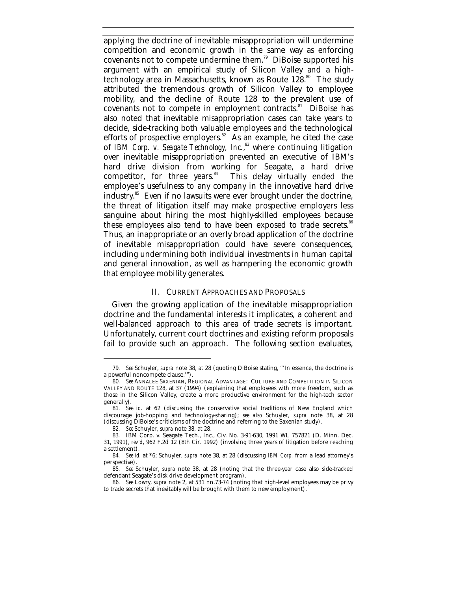applying the doctrine of inevitable misappropriation will undermine competition and economic growth in the same way as enforcing covenants not to compete undermine them.<sup>79</sup> DiBoise supported his argument with an empirical study of Silicon Valley and a hightechnology area in Massachusetts, known as Route  $128.^{\circ\circ}$  The study attributed the tremendous growth of Silicon Valley to employee mobility, and the decline of Route 128 to the prevalent use of covenants not to compete in employment contracts.<sup>81</sup> DiBoise has also noted that inevitable misappropriation cases can take years to decide, side-tracking both valuable employees and the technological efforts of prospective employers.<sup>82</sup> As an example, he cited the case of IBM Corp. v. Seagate Technology, Inc.,<sup>83</sup> where continuing litigation over inevitable misappropriation prevented an executive of IBM's hard drive division from working for Seagate, a hard drive competitor, for three years.<sup>84</sup> This delay virtually ended the This delay virtually ended the employee's usefulness to any company in the innovative hard drive industry.<sup>85</sup> Even if no lawsuits were ever brought under the doctrine, the threat of litigation itself may make prospective employers less sanguine about hiring the most highly-skilled employees because these employees also tend to have been exposed to trade secrets.<sup>86</sup> Thus, an inappropriate or an overly broad application of the doctrine of inevitable misappropriation could have severe consequences, including undermining both individual investments in human capital and general innovation, as well as hampering the economic growth that employee mobility generates.

#### II. CURRENT APPROACHES AND PROPOSALS

Given the growing application of the inevitable misappropriation doctrine and the fundamental interests it implicates, a coherent and well-balanced approach to this area of trade secrets is important. Unfortunately, current court doctrines and existing reform proposals fail to provide such an approach. The following section evaluates,

<sup>79</sup>*. See* Schuyler, *supra* note 38, at 28 (quoting DiBoise stating, "'In essence, the doctrine is a powerful noncompete clause.'").

<sup>80</sup>*. See* ANNALEE SAXENIAN, REGIONAL ADVANTAGE: CULTURE AND COMPETITION IN SILICON VALLEY AND ROUTE 128, at 37 (1994) (explaining that employees with more freedom, such as those in the Silicon Valley, create a more productive environment for the high-tech sector generally).

<sup>81</sup>*. See id.* at 62 (discussing the conservative social traditions of New England which discourage job-hopping and technology-sharing); *see also* Schuyler, *supra* note 38, at 28 (discussing DiBoise's criticisms of the doctrine and referring to the Saxenian study).

<sup>82</sup>*. See* Schuyler, *supra* note 38, at 28.

<sup>83</sup>*.* IBM Corp. v. Seagate Tech., Inc., Civ. No. 3-91-630, 1991 WL 757821 (D. Minn. Dec. 31, 1991), *rev'd*, 962 F.2d 12 (8th Cir. 1992) (involving three years of litigation before reaching a settlement).

<sup>84</sup>*. See id.* at \*6; Schuyler, *supra* note 38, at 28 (discussing *IBM Corp.* from a lead attorney's perspective).

<sup>85</sup>*. See* Schuyler, *supra* note 38, at 28 (noting that the three-year case also side-tracked defendant Seagate's disk drive development program).

<sup>86</sup>*. See* Lowry, *supra* note 2, at 531 nn.73-74 (noting that high-level employees may be privy to trade secrets that inevitably will be brought with them to new employment).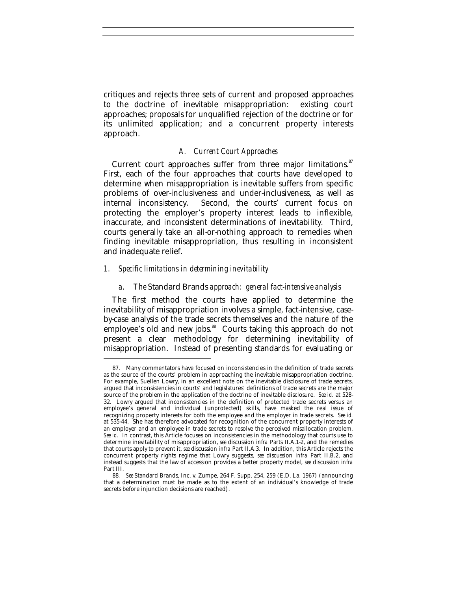critiques and rejects three sets of current and proposed approaches to the doctrine of inevitable misappropriation: existing court approaches; proposals for unqualified rejection of the doctrine or for its unlimited application; and a concurrent property interests approach.

#### *A. Current Court Approaches*

Current court approaches suffer from three major limitations.<sup>87</sup> First, each of the four approaches that courts have developed to determine when misappropriation is inevitable suffers from specific problems of over-inclusiveness and under-inclusiveness, as well as internal inconsistency. Second, the courts' current focus on protecting the employer's property interest leads to inflexible, inaccurate, and inconsistent determinations of inevitability. Third, courts generally take an all-or-nothing approach to remedies when finding inevitable misappropriation, thus resulting in inconsistent and inadequate relief.

#### *1. Specific limitations in determining inevitability*

-

#### *a. The* Standard Brands *approach: general fact-intensive analysis*

The first method the courts have applied to determine the inevitability of misappropriation involves a simple, fact-intensive, caseby-case analysis of the trade secrets themselves and the nature of the employee's old and new jobs.<sup>88</sup> Courts taking this approach do not present a clear methodology for determining inevitability of misappropriation. Instead of presenting standards for evaluating or

<sup>87.</sup> Many commentators have focused on inconsistencies in the definition of trade secrets as the source of the courts' problem in approaching the inevitable misappropriation doctrine. For example, Suellen Lowry, in an excellent note on the inevitable disclosure of trade secrets, argued that inconsistencies in courts' and legislatures' definitions of trade secrets are the major source of the problem in the application of the doctrine of inevitable disclosure. *See id.* at 528- 32. Lowry argued that inconsistencies in the definition of protected trade secrets versus an employee's general and individual (unprotected) skills, have masked the real issue of recognizing property interests for both the employee and the employer in trade secrets. *See id.* at 535-44. She has therefore advocated for recognition of the concurrent property interests of an employer and an employee in trade secrets to resolve the perceived misallocation problem. *See id.* In contrast, this Article focuses on inconsistencies in the methodology that courts use to determine inevitability of misappropriation, *see* discussion *infra* Parts II.A.1-2, and the remedies that courts apply to prevent it, *see* discussion *infra* Part II.A.3. In addition, this Article rejects the concurrent property rights regime that Lowry suggests, *see* discussion *infra* Part II.B.2, and instead suggests that the law of accession provides a better property model, *see* discussion *infra* Part III.

<sup>88</sup>*. See* Standard Brands, Inc. v. Zumpe, 264 F. Supp. 254, 259 (E.D. La. 1967) (announcing that a determination must be made as to the extent of an individual's knowledge of trade secrets before injunction decisions are reached).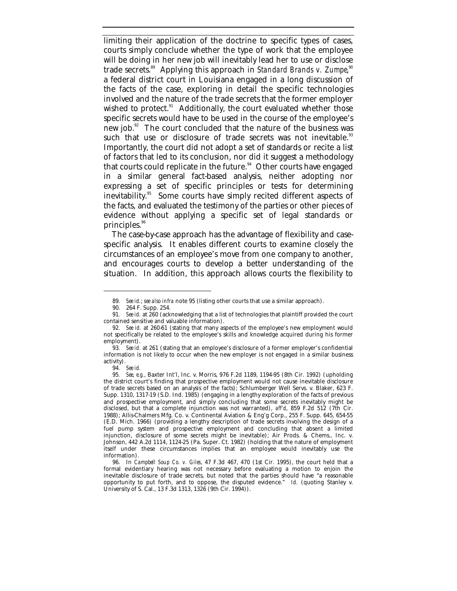limiting their application of the doctrine to specific types of cases, courts simply conclude whether the type of work that the employee will be doing in her new job will inevitably lead her to use or disclose trade secrets.<sup>89</sup> Applying this approach in *Standard Brands v. Zumpe*,<sup>90</sup> a federal district court in Louisiana engaged in a long discussion of the facts of the case, exploring in detail the specific technologies involved and the nature of the trade secrets that the former employer wished to protect. $91$  Additionally, the court evaluated whether those specific secrets would have to be used in the course of the employee's new job.<sup>92</sup> The court concluded that the nature of the business was such that use or disclosure of trade secrets was not inevitable.<sup>93</sup> Importantly, the court did not adopt a set of standards or recite a list of factors that led to its conclusion, nor did it suggest a methodology that courts could replicate in the future. $94$  Other courts have engaged in a similar general fact-based analysis, neither adopting nor expressing a set of specific principles or tests for determining inevitability.<sup>95</sup> Some courts have simply recited different aspects of the facts, and evaluated the testimony of the parties or other pieces of evidence without applying a specific set of legal standards or principles. $96$ 

The case-by-case approach has the advantage of flexibility and casespecific analysis. It enables different courts to examine closely the circumstances of an employee's move from one company to another, and encourages courts to develop a better understanding of the situation. In addition, this approach allows courts the flexibility to

<sup>89</sup>*. See id.*; *see also infra* note 95 (listing other courts that use a similar approach).

<sup>90.</sup> 264 F. Supp. 254.

<sup>91</sup>*. See id.* at 260 (acknowledging that a list of technologies that plaintiff provided the court contained sensitive and valuable information).

<sup>92</sup>*. See id.* at 260-61 (stating that many aspects of the employee's new employment would not specifically be related to the employee's skills and knowledge acquired during his former employment).

<sup>93</sup>*. See id.* at 261 (stating that an employee's disclosure of a former employer's confidential information is not likely to occur when the new employer is not engaged in a similar business activity).

<sup>94</sup>*. See id.*

<sup>95</sup>*. See, e.g.*, Baxter Int'l, Inc. v. Morris, 976 F.2d 1189, 1194-95 (8th Cir. 1992) (upholding the district court's finding that prospective employment would not cause inevitable disclosure of trade secrets based on an analysis of the facts); Schlumberger Well Servs. v. Blaker, 623 F. Supp. 1310, 1317-19 (S.D. Ind. 1985) (engaging in a lengthy exploration of the facts of previous and prospective employment, and simply concluding that some secrets inevitably might be disclosed, but that a complete injunction was not warranted), *aff'd*, 859 F.2d 512 (7th Cir. 1988); Allis-Chalmers Mfg. Co. v. Continental Aviation & Eng'g Corp., 255 F. Supp. 645, 654-55 (E.D. Mich. 1966) (providing a lengthy description of trade secrets involving the design of a fuel pump system and prospective employment and concluding that absent a limited injunction, disclosure of some secrets might be inevitable); Air Prods. & Chems., Inc. v. Johnson, 442 A.2d 1114, 1124-25 (Pa. Super. Ct. 1982) (holding that the nature of employment itself under these circumstances implies that an employee would inevitably use the information).

<sup>96.</sup> In *Campbell Soup Co. v. Giles*, 47 F.3d 467, 470 (1st Cir. 1995), the court held that a formal evidentiary hearing was not necessary before evaluating a motion to enjoin the inevitable disclosure of trade secrets, but noted that the parties should have "a reasonable opportunity to put forth, and to oppose, the disputed evidence." *Id.* (quoting Stanley v. University of S. Cal., 13 F.3d 1313, 1326 (9th Cir. 1994)).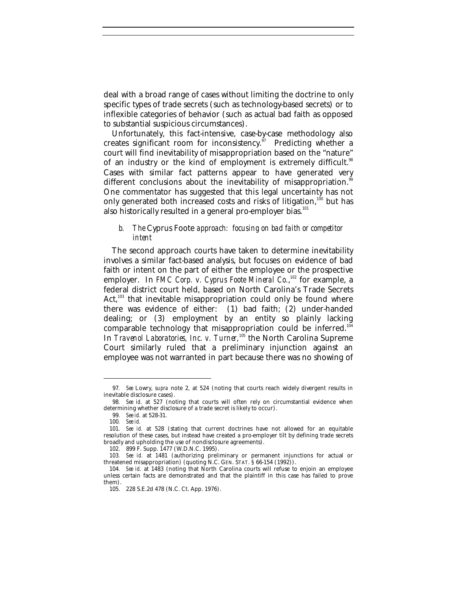deal with a broad range of cases without limiting the doctrine to only specific types of trade secrets (such as technology-based secrets) or to inflexible categories of behavior (such as actual bad faith as opposed to substantial suspicious circumstances).

Unfortunately, this fact-intensive, case-by-case methodology also creates significant room for inconsistency. $97$  Predicting whether a court will find inevitability of misappropriation based on the "nature" of an industry or the kind of employment is extremely difficult.<sup>98</sup> Cases with similar fact patterns appear to have generated very different conclusions about the inevitability of misappropriation.<sup>96</sup> One commentator has suggested that this legal uncertainty has not only generated both increased costs and risks of litigation, $100$  but has also historically resulted in a general pro-employer bias.<sup>101</sup>

#### *b. The* Cyprus Foote *approach: focusing on bad faith or competitor intent*

The second approach courts have taken to determine inevitability involves a similar fact-based analysis, but focuses on evidence of bad faith or intent on the part of either the employee or the prospective employer. In *FMC Corp. v. Cyprus Foote Mineral Co.*, <sup>102</sup> for example, a federal district court held, based on North Carolina's Trade Secrets Act, $103$  that inevitable misappropriation could only be found where there was evidence of either: (1) bad faith; (2) under-handed dealing; or (3) employment by an entity so plainly lacking comparable technology that misappropriation could be inferred.<sup>104</sup> In *Travenol Laboratories, Inc. v. Turner*,<sup>105</sup> the North Carolina Supreme Court similarly ruled that a preliminary injunction against an employee was not warranted in part because there was no showing of

<sup>97</sup>*. See* Lowry, *supra* note 2, at 524 (noting that courts reach widely divergent results in inevitable disclosure cases).

<sup>98</sup>*. See id.* at 527 (noting that courts will often rely on circumstantial evidence when determining whether disclosure of a trade secret is likely to occur).

<sup>99</sup>*. See id.* at 528-31.

<sup>100</sup>*. See id.*

<sup>101</sup>*. See id.* at 528 (stating that current doctrines have not allowed for an equitable resolution of these cases, but instead have created a pro-employer tilt by defining trade secrets broadly and upholding the use of nondisclosure agreements).

<sup>102.</sup> 899 F. Supp. 1477 (W.D.N.C. 1995).

<sup>103</sup>*. See id.* at 1481 (authorizing preliminary or permanent injunctions for actual or threatened misappropriation) (quoting N.C. GEN. STAT. § 66-154 (1992)).

<sup>104</sup>*. See id.* at 1483 (noting that North Carolina courts will refuse to enjoin an employee unless certain facts are demonstrated and that the plaintiff in this case has failed to prove them).

<sup>105.</sup> 228 S.E.2d 478 (N.C. Ct. App. 1976).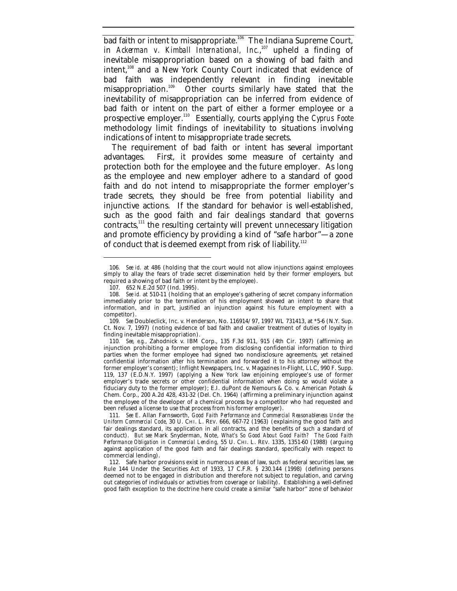bad faith or intent to misappropriate.<sup>106</sup> The Indiana Supreme Court, in *Ackerman v. Kimball International, Inc.*,<sup>107</sup> upheld a finding of inevitable misappropriation based on a showing of bad faith and intent,<sup>108</sup> and a New York County Court indicated that evidence of bad faith was independently relevant in finding inevitable misappropriation.<sup>109</sup> Other courts similarly have stated that the inevitability of misappropriation can be inferred from evidence of bad faith or intent on the part of either a former employee or a prospective employer.<sup>110</sup> Essentially, courts applying the *Cyprus Foote* methodology limit findings of inevitability to situations involving indications of intent to misappropriate trade secrets.

The requirement of bad faith or intent has several important advantages. First, it provides some measure of certainty and protection both for the employee and the future employer. As long as the employee and new employer adhere to a standard of good faith and do not intend to misappropriate the former employer's trade secrets, they should be free from potential liability and injunctive actions. If the standard for behavior is well-established, such as the good faith and fair dealings standard that governs contracts,<sup>111</sup> the resulting certainty will prevent unnecessary litigation and promote efficiency by providing a kind of "safe harbor"—a zone of conduct that is deemed exempt from risk of liability.<sup>112</sup>

<sup>106</sup>*. See id.* at 486 (holding that the court would not allow injunctions against employees simply to allay the fears of trade secret dissemination held by their former employers, but required a showing of bad faith or intent by the employee).

<sup>107.</sup> 652 N.E.2d 507 (Ind. 1995).

<sup>108.</sup> *See id.* at 510-11 (holding that an employee's gathering of secret company information immediately prior to the termination of his employment showed an intent to share that information, and in part, justified an injunction against his future employment with a competitor).

<sup>109</sup>*. See* Doubleclick, Inc. v. Henderson, No. 116914/97, 1997 WL 731413, at \*5-6 (N.Y. Sup. Ct. Nov. 7, 1997) (noting evidence of bad faith and cavalier treatment of duties of loyalty in finding inevitable misappropriation).

<sup>110</sup>*. See, e.g.*, Zahodnick v. IBM Corp., 135 F.3d 911, 915 (4th Cir. 1997) (affirming an injunction prohibiting a former employee from disclosing confidential information to third parties when the former employee had signed two nondisclosure agreements, yet retained confidential information after his termination and forwarded it to his attorney without the former employer's consent); Inflight Newspapers, Inc. v. Magazines In-Flight, LLC, 990 F. Supp. 119, 137 (E.D.N.Y. 1997) (applying a New York law enjoining employee's use of former employer's trade secrets or other confidential information when doing so would violate a fiduciary duty to the former employer); E.I. duPont de Nemours & Co. v. American Potash & Chem. Corp., 200 A.2d 428, 431-32 (Del. Ch. 1964) (affirming a preliminary injunction against the employee of the developer of a chemical process by a competitor who had requested and been refused a license to use that process from his former employer).

<sup>111</sup>*. See* E. Allan Farnsworth, *Good Faith Performance and Commercial Reasonableness Under the Uniform Commercial Code*, 30 U. CHI. L. REV. 666, 667-72 (1963) (explaining the good faith and fair dealings standard, its application in all contracts, and the benefits of such a standard of conduct). *But see* Mark Snyderman, Note, *What's So Good About Good Faith? The Good Faith Performance Obligation in Commercial Lending*, 55 U. CHI. L. REV. 1335, 1351-60 (1988) (arguing against application of the good faith and fair dealings standard, specifically with respect to commercial lending).

<sup>112.</sup> Safe harbor provisions exist in numerous areas of law, such as federal securities law, *see* Rule 144 Under the Securities Act of 1933, 17 C.F.R. § 230.144 (1998) (defining persons deemed not to be engaged in distribution and therefore not subject to regulation, and carving out categories of individuals or activities from coverage or liability). Establishing a well-defined good faith exception to the doctrine here could create a similar "safe harbor" zone of behavior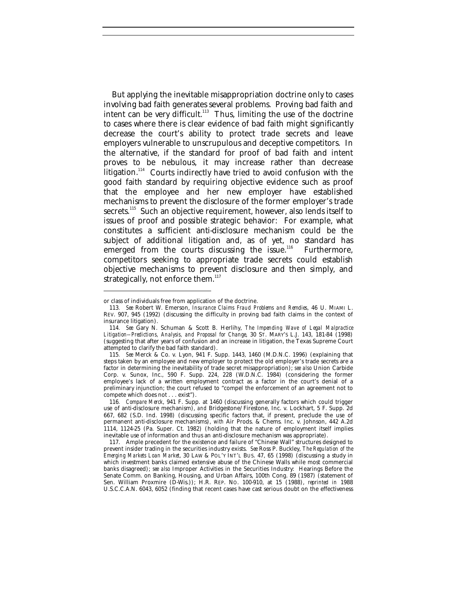But applying the inevitable misappropriation doctrine only to cases involving bad faith generates several problems. Proving bad faith and intent can be very difficult. $113$  Thus, limiting the use of the doctrine to cases where there is clear evidence of bad faith might significantly decrease the court's ability to protect trade secrets and leave employers vulnerable to unscrupulous and deceptive competitors. In the alternative, if the standard for proof of bad faith and intent proves to be nebulous, it may increase rather than decrease litigation.<sup>114</sup> Courts indirectly have tried to avoid confusion with the good faith standard by requiring objective evidence such as proof that the employee and her new employer have established mechanisms to prevent the disclosure of the former employer's trade secrets.<sup>115</sup> Such an objective requirement, however, also lends itself to issues of proof and possible strategic behavior: For example, what constitutes a sufficient anti-disclosure mechanism could be the subject of additional litigation and, as of yet, no standard has emerged from the courts discussing the issue.<sup>116</sup> Furthermore, competitors seeking to appropriate trade secrets could establish objective mechanisms to prevent disclosure and then simply, and strategically, not enforce them. $117$ 

or class of individuals free from application of the doctrine.

<sup>113</sup>*. See* Robert W. Emerson, *Insurance Claims Fraud Problems and Remdies*, 46 U. MIAMI L. REV. 907, 945 (1992) (discussing the difficulty in proving bad faith claims in the context of insurance litigation).

<sup>114</sup>*. See* Gary N. Schuman & Scott B. Herlihy, *The Impending Wave of Legal Malpractice Litigation-–Predictions, Analysis, and Proposal for Change*, 30 ST. MARY'S L.J. 143, 181-84 (1998) (suggesting that after years of confusion and an increase in litigation, the Texas Supreme Court attempted to clarify the bad faith standard).

<sup>115</sup>*. See* Merck & Co. v. Lyon, 941 F. Supp. 1443, 1460 (M.D.N.C. 1996) (explaining that steps taken by an employee and new employer to protect the old employer's trade secrets are a factor in determining the inevitability of trade secret misappropriation); *see also* Union Carbide Corp. v. Sunox, Inc., 590 F. Supp. 224, 228 (W.D.N.C. 1984) (considering the former employee's lack of a written employment contract as a factor in the court's denial of a preliminary injunction; the court refused to "compel the enforcement of an agreement not to compete which does not . . . exist").

<sup>116</sup>*. Compare Merck*, 941 F. Supp. at 1460 (discussing generally factors which could trigger use of anti-disclosure mechanism), *and* Bridgestone/Firestone, Inc. v. Lockhart, 5 F. Supp. 2d 667, 682 (S.D. Ind. 1998) (discussing specific factors that, if present, preclude the use of permanent anti-disclosure mechanisms), *with* Air Prods. & Chems. Inc. v. Johnson, 442 A.2d 1114, 1124-25 (Pa. Super. Ct. 1982) (holding that the nature of employment itself implies inevitable use of information and thus an anti-disclosure mechanism was appropriate).

<sup>117.</sup> Ample precedent for the existence and failure of "Chinese Wall" structures designed to prevent insider trading in the securities industry exists. *See* Ross P. Buckley, *The Regulation of the Emerging Markets Loan Market*, 30 LAW & POL'Y INT'L BUS. 47, 65 (1998) (discussing a study in which investment banks claimed extensive abuse of the Chinese Walls while most commercial banks disagreed); *see also* Improper Activities in the Securities Industry: Hearings Before the Senate Comm. on Banking, Housing, and Urban Affairs, 100th Cong. 89 (1987) (statement of Sen. William Proxmire (D-Wis.)); H.R. REP. NO. 100-910, at 15 (1988), *reprinted in* 1988 U.S.C.C.A.N. 6043, 6052 (finding that recent cases have cast serious doubt on the effectiveness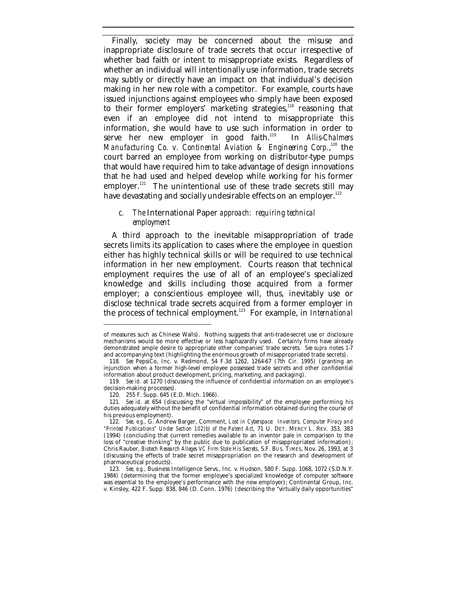Finally, society may be concerned about the misuse and inappropriate disclosure of trade secrets that occur irrespective of whether bad faith or intent to misappropriate exists. Regardless of whether an individual will intentionally use information, trade secrets may subtly or directly have an impact on that individual's decision making in her new role with a competitor. For example, courts have issued injunctions against employees who simply have been exposed to their former employers' marketing strategies,<sup>118</sup> reasoning that even if an employee did not intend to misappropriate this information, she would have to use such information in order to serve her new employer in good faith.<sup>119</sup> In *Allis-Chalmers Manufacturing Co. v. Continental Aviation & Engineering Corp.,*<sup>120</sup> the court barred an employee from working on distributor-type pumps that would have required him to take advantage of design innovations that he had used and helped develop while working for his former employer.<sup>121</sup> The unintentional use of these trade secrets still may have devastating and socially undesirable effects on an employer.<sup>122</sup>

#### *c. The* International Paper *approach: requiring technical employment*

A third approach to the inevitable misappropriation of trade secrets limits its application to cases where the employee in question either has highly technical skills or will be required to use technical information in her new employment. Courts reason that technical employment requires the use of all of an employee's specialized knowledge and skills including those acquired from a former employer; a conscientious employee will, thus, inevitably use or disclose technical trade secrets acquired from a former employer in the process of technical employment.<sup>123</sup> For example, in *International*

of measures such as Chinese Walls). Nothing suggests that anti-trade-secret use or disclosure mechanisms would be more effective or less haphazardly used. Certainly firms have already demonstrated ample desire to appropriate other companies' trade secrets. *See supra* notes 1-7 and accompanying text (highlighting the enormous growth of misappropriated trade secrets).

<sup>118</sup>*. See* PepsiCo, Inc. v. Redmond, 54 F.3d 1262, 1264-67 (7th Cir. 1995) (granting an injunction when a former high-level employee possessed trade secrets and other confidential information about product development, pricing, marketing, and packaging).

<sup>119</sup>*. See id.* at 1270 (discussing the influence of confidential information on an employee's decision-making processes).

<sup>120.</sup> 255 F. Supp. 645 (E.D. Mich. 1966).

<sup>121</sup>*. See id.* at 654 (discussing the "virtual impossibility" of the employee performing his duties adequately without the benefit of confidential information obtained during the course of his previous employment).

<sup>122</sup>*. See, e.g.*, G. Andrew Barger, Comment, *Lost in Cyberspace: Inventors, Computer Piracy and "Printed Publications" Under Section 102(b) of the Patent Act*, 71 U. DET. MERCY L. REV. 353, 383 (1994) (concluding that current remedies available to an inventor pale in comparison to the loss of "creative thinking" by the public due to publication of misappropriated information); Chris Rauber, *Biotech Research Alleges VC Firm Stole His Secrets*, S.F. BUS. TIMES, Nov. 26, 1993, at 3 (discussing the effects of trade secret misappropriation on the research and development of pharmaceutical products).

<sup>123</sup>*. See, e.g.*, Business Intelligence Servs., Inc. v. Hudson, 580 F. Supp. 1068, 1072 (S.D.N.Y. 1984) (determining that the former employee's specialized knowledge of computer software was essential to the employee's performance with the new employer); Continental Group, Inc. v. Kinsley, 422 F. Supp. 838, 846 (D. Conn. 1976) (describing the "virtually daily opportunities"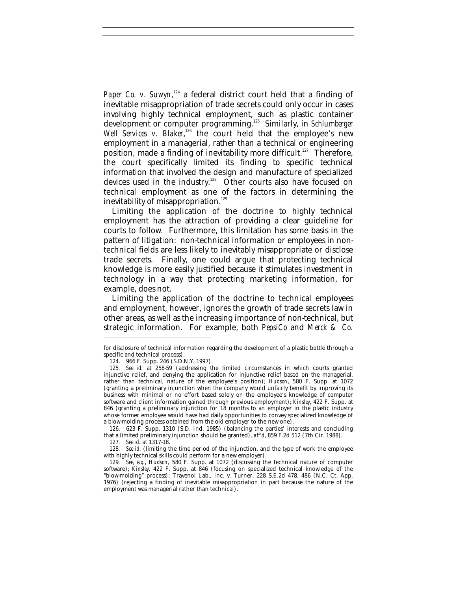Paper Co. v. Suwyn,<sup>124</sup> a federal district court held that a finding of inevitable misappropriation of trade secrets could only occur in cases involving highly technical employment, such as plastic container development or computer programming.<sup>125</sup> Similarly, in *Schlumberger* Well Services v. Blaker,<sup>126</sup> the court held that the employee's new employment in a managerial, rather than a technical or engineering position, made a finding of inevitability more difficult.<sup>127</sup> Therefore, the court specifically limited its finding to specific technical information that involved the design and manufacture of specialized devices used in the industry.<sup>128</sup> Other courts also have focused on technical employment as one of the factors in determining the inevitability of misappropriation.<sup>129</sup>

Limiting the application of the doctrine to highly technical employment has the attraction of providing a clear guideline for courts to follow. Furthermore, this limitation has some basis in the pattern of litigation: non-technical information or employees in nontechnical fields are less likely to inevitably misappropriate or disclose trade secrets. Finally, one could argue that protecting technical knowledge is more easily justified because it stimulates investment in technology in a way that protecting marketing information, for example, does not.

Limiting the application of the doctrine to technical employees and employment, however, ignores the growth of trade secrets law in other areas, as well as the increasing importance of non-technical, but strategic information. For example, both *PepsiCo* and *Merck & Co.*

126. 623 F. Supp. 1310 (S.D. Ind. 1985) (balancing the parties' interests and concluding that a limited preliminary injunction should be granted), *aff'd*, 859 F.2d 512 (7th Cir. 1988).

for disclosure of technical information regarding the development of a plastic bottle through a specific and technical process).

<sup>124.</sup> 966 F. Supp. 246 (S.D.N.Y. 1997).

<sup>125</sup>*. See id.* at 258-59 (addressing the limited circumstances in which courts granted injunctive relief, and denying the application for injunctive relief based on the managerial, rather than technical, nature of the employee's position); *Hudson*, 580 F. Supp. at 1072 (granting a preliminary injunction when the company would unfairly benefit by improving its business with minimal or no effort based solely on the employee's knowledge of computer software and client information gained through previous employment); *Kinsley*, 422 F. Supp. at 846 (granting a preliminary injunction for 18 months to an employer in the plastic industry whose former employee would have had daily opportunities to convey specialized knowledge of a blow-molding process obtained from the old employer to the new one).

<sup>127</sup>*. See id.* at 1317-18.

<sup>128</sup>*. See id.* (limiting the time period of the injunction, and the type of work the employee with highly technical skills could perform for a new employer).

<sup>129</sup>*. See, e.g.*, *Hudson,* 580 F. Supp. at 1072 (discussing the technical nature of computer software); *Kinsley,* 422 F. Supp. at 846 (focusing on specialized technical knowledge of the "blow-molding" process); Travenol Lab., Inc. v. Turner, 228 S.E.2d 478, 486 (N.C. Ct. App. 1976) (rejecting a finding of inevitable misappropriation in part because the nature of the employment was managerial rather than technical).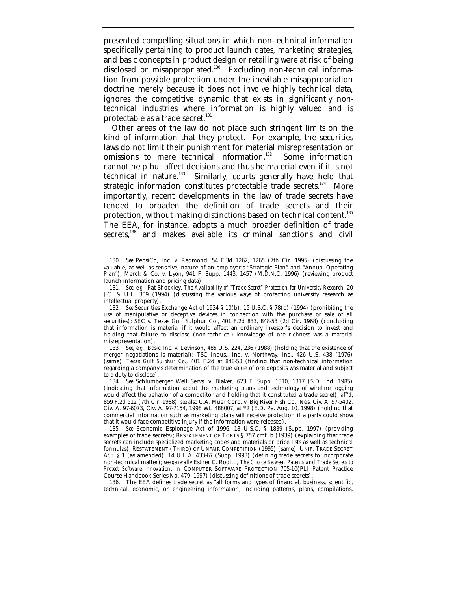presented compelling situations in which non-technical information specifically pertaining to product launch dates, marketing strategies, and basic concepts in product design or retailing were at risk of being disclosed or misappropriated.<sup>130</sup> Excluding non-technical information from possible protection under the inevitable misappropriation doctrine merely because it does not involve highly technical data, ignores the competitive dynamic that exists in significantly nontechnical industries where information is highly valued and is protectable as a trade secret. $131$ 

Other areas of the law do not place such stringent limits on the kind of information that they protect. For example, the securities laws do not limit their punishment for material misrepresentation or omissions to mere technical information.<sup>132</sup> Some information cannot help but affect decisions and thus be material even if it is not technical in nature.<sup>133</sup> Similarly, courts generally have held that strategic information constitutes protectable trade secrets.<sup>134</sup> More importantly, recent developments in the law of trade secrets have tended to broaden the definition of trade secrets and their protection, without making distinctions based on technical content.<sup>135</sup> The EEA, for instance, adopts a much broader definition of trade secrets,<sup>136</sup> and makes available its criminal sanctions and civil

-

136. The EEA defines trade secret as "all forms and types of financial, business, scientific, technical, economic, or engineering information, including patterns, plans, compilations,

<sup>130.</sup> *See* PepsiCo, Inc. v. Redmond, 54 F.3d 1262, 1265 (7th Cir. 1995) (discussing the valuable, as well as sensitive, nature of an employer's "Strategic Plan" and "Annual Operating Plan"); Merck & Co. v. Lyon, 941 F. Supp. 1443, 1457 (M.D.N.C. 1996) (reviewing product launch information and pricing data).

<sup>131</sup>*. See, e.g.*, Pat Shockley, *The Availability of "Trade Secret" Protection for University Research*, 20 J.C. & U.L. 309 (1994) (discussing the various ways of protecting university research as intellectual property).

<sup>132</sup>*. See* Securities Exchange Act of 1934 § 10(b), 15 U.S.C. § 78(b) (1994) (prohibiting the use of manipulative or deceptive devices in connection with the purchase or sale of all securities); SEC v. Texas Gulf Sulphur Co., 401 F.2d 833, 848-53 (2d Cir. 1968) (concluding that information is material if it would affect an ordinary investor's decision to invest and holding that failure to disclose (non-technical) knowledge of ore richness was a material misrepresentation).

<sup>133</sup>*. See, e.g.*, Basic Inc. v. Levinson, 485 U.S. 224, 236 (1988) (holding that the existence of merger negotiations is material); TSC Indus., Inc. v. Northway, Inc., 426 U.S. 438 (1976) (same); *Texas Gulf Sulphur Co.*, 401 F.2d at 848-53 (finding that non-technical information regarding a company's determination of the true value of ore deposits was material and subject to a duty to disclose).

<sup>134</sup>*. See* Schlumberger Well Servs. v. Blaker, 623 F. Supp. 1310, 1317 (S.D. Ind. 1985) (indicating that information about the marketing plans and technology of wireline logging would affect the behavior of a competitor and holding that it constituted a trade secret), *aff'd*, 859 F.2d 512 (7th Cir. 1988); *see also* C.A. Muer Corp. v. Big River Fish Co., Nos. Civ. A. 97-5402, Civ. A. 97-6073, Civ. A. 97-7154, 1998 WL 488007, at \*2 (E.D. Pa. Aug. 10, 1998) (holding that commercial information such as marketing plans will receive protection if a party could show that it would face competitive injury if the information were released).

<sup>135</sup>*. See* Economic Espionage Act of 1996, 18 U.S.C. § 1839 (Supp. 1997) (providing examples of trade secrets); RESTATEMENT OF TORTS § 757 cmt. b (1939) (explaining that trade secrets can include specialized marketing codes and materials or price lists as well as technical formulas); RESTATEMENT (THIRD) OF UNFAIR COMPETITION (1995) (same); UNIF. TRADE SECRET ACT § 1 (as amended), 14 U.L.A. 433-67 (Supp. 1998) (defining trade secrets to incorporate non-technical matter); *see generally* Esther C. Roditti, *The Choice Between Patents and Trade Secrets to Protect Software Innovation*, *in* COMPUTER SOFTWARE PROTECTION 705-10(PLI Patent Practice Course Handbook Series No. 479, 1997) (discussing definitions of trade secrets).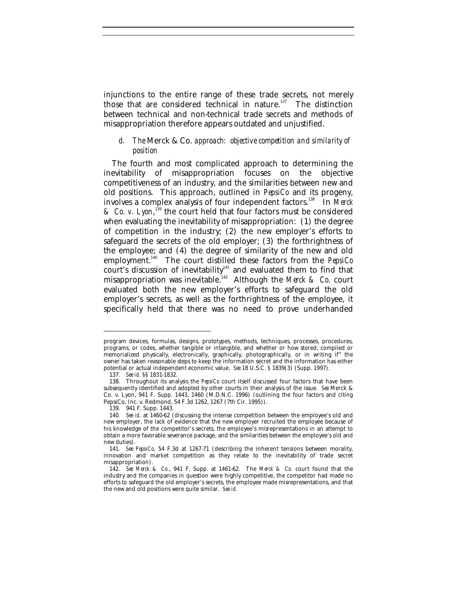injunctions to the entire range of these trade secrets, not merely those that are considered technical in nature.<sup>137</sup> The distinction between technical and non-technical trade secrets and methods of misappropriation therefore appears outdated and unjustified.

#### *d. The* Merck & Co. *approach: objective competition and similarity of position*

The fourth and most complicated approach to determining the inevitability of misappropriation focuses on the objective competitiveness of an industry, and the similarities between new and old positions. This approach, outlined in *PepsiCo* and its progeny, involves a complex analysis of four independent factors.<sup>138</sup> In *Merck & Co. v. Lyon*, <sup>139</sup> the court held that four factors must be considered when evaluating the inevitability of misappropriation: (1) the degree of competition in the industry; (2) the new employer's efforts to safeguard the secrets of the old employer; (3) the forthrightness of the employee; and (4) the degree of similarity of the new and old employment.<sup>140</sup> The court distilled these factors from the *PepsiCo* court's discussion of inevitability $^{141}$  and evaluated them to find that misappropriation was inevitable.<sup>142</sup> Although the *Merck & Co.* court evaluated both the new employer's efforts to safeguard the old employer's secrets, as well as the forthrightness of the employee, it specifically held that there was no need to prove underhanded

program devices, formulas, designs, prototypes, methods, techniques, processes, procedures, programs, or codes, whether tangible or intangible, and whether or how stored, compiled or memorialized physically, electronically, graphically, photographically, or in writing if" the owner has taken reasonable steps to keep the information secret and the information has either potential or actual independent economic value. *See* 18 U.S.C. § 1839(3) (Supp. 1997).

<sup>137</sup>*. See id.* §§ 1831-1832.

<sup>138.</sup> Throughout its analysis the *PepsiCo* court itself discussed four factors that have been subsequently identified and adopted by other courts in their analysis of the issue. *See* Merck & Co. v. Lyon, 941 F. Supp. 1443, 1460 (M.D.N.C. 1996) (outlining the four factors and citing PepsiCo, Inc. v. Redmond, 54 F.3d 1262, 1267 (7th Cir. 1995)).

<sup>139.</sup> 941 F. Supp. 1443.

<sup>140</sup>*. See id.* at 1460-62 (discussing the intense competition between the employee's old and new employer, the lack of evidence that the new employer recruited the employee because of his knowledge of the competitor's secrets, the employee's misrepresentations in an attempt to obtain a more favorable severance package, and the similarities between the employee's old and new duties).

<sup>141</sup>*. See PepsiCo*, 54 F.3d at 1267-71 (describing the inherent tensions between morality, innovation and market competition as they relate to the inevitability of trade secret misappropriation).

<sup>142</sup>*. See Merck & Co.*, 941 F. Supp. at 1461-62. The *Merck & Co.* court found that the industry and the companies in question were highly competitive, the competitor had made no efforts to safeguard the old employer's secrets, the employee made misrepresentations, and that the new and old positions were quite similar. *See id.*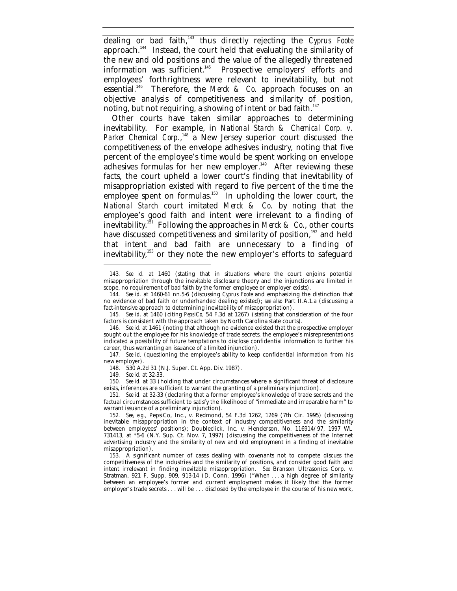dealing or bad faith,<sup>143</sup> thus directly rejecting the *Cyprus Foote* approach.<sup>144</sup> Instead, the court held that evaluating the similarity of the new and old positions and the value of the allegedly threatened information was sufficient.<sup>145</sup> Prospective employers' efforts and employees' forthrightness were relevant to inevitability, but not essential.<sup>146</sup> Therefore, the *Merck & Co.* approach focuses on an objective analysis of competitiveness and similarity of position, noting, but not requiring, a showing of intent or bad faith.<sup>147</sup>

Other courts have taken similar approaches to determining inevitability. For example, in *National Starch & Chemical Corp. v.* Parker Chemical Corp.,<sup>148</sup> a New Jersey superior court discussed the competitiveness of the envelope adhesives industry, noting that five percent of the employee's time would be spent working on envelope  $a$ dhesives formulas for her new employer.<sup>149</sup> After reviewing these facts, the court upheld a lower court's finding that inevitability of misappropriation existed with regard to five percent of the time the employee spent on formulas.<sup>150</sup> In upholding the lower court, the *National Starch* court imitated *Merck & Co.* by noting that the employee's good faith and intent were irrelevant to a finding of inevitability.<sup>151</sup> Following the approaches in *Merck & Co.*, other courts have discussed competitiveness and similarity of position,<sup>152</sup> and held that intent and bad faith are unnecessary to a finding of inevitability,<sup>153</sup> or they note the new employer's efforts to safeguard

148. 530 A.2d 31 (N.J. Super. Ct. App. Div. 1987).

149*. See id.* at 32-33.

<sup>143</sup>*. See id.* at 1460 (stating that in situations where the court enjoins potential misappropriation through the inevitable disclosure theory and the injunctions are limited in scope, no requirement of bad faith by the former employee or employer exists).

<sup>144</sup>*. See id.* at 1460-61 nn.5-6 (discussing *Cyprus Foote* and emphasizing the distinction that no evidence of bad faith or underhanded dealing existed); *see also* Part II.A.1.a (discussing a fact-intensive approach to determining inevitability of misappropriation).

<sup>145</sup>*. See id*. at 1460 (citing *PepsiCo*, 54 F.3d at 1267) (stating that consideration of the four factors is consistent with the approach taken by North Carolina state courts).

<sup>146</sup>*. See id.* at 1461 (noting that although no evidence existed that the prospective employer sought out the employee for his knowledge of trade secrets, the employee's misrepresentations indicated a possibility of future temptations to disclose confidential information to further his career, thus warranting an issuance of a limited injunction).

<sup>147</sup>*. See id.* (questioning the employee's ability to keep confidential information from his new employer).

<sup>150</sup>*. See id.* at 33 (holding that under circumstances where a significant threat of disclosure exists, inferences are sufficient to warrant the granting of a preliminary injunction).

<sup>151</sup>*. See id.* at 32-33 (declaring that a former employee's knowledge of trade secrets and the factual circumstances sufficient to satisfy the likelihood of "immediate and irreparable harm" to warrant issuance of a preliminary injunction).

<sup>152</sup>*. See, e.g.*, PepsiCo, Inc., v. Redmond, 54 F.3d 1262, 1269 (7th Cir. 1995) (discussing inevitable misappropriation in the context of industry competitiveness and the similarity between employees' positions); Doubleclick, Inc. v. Henderson, No. 116914/97, 1997 WL 731413, at \*5-6 (N.Y. Sup. Ct. Nov. 7, 1997) (discussing the competitiveness of the Internet advertising industry and the similarity of new and old employment in a finding of inevitable misappropriation).

<sup>153.</sup> A significant number of cases dealing with covenants not to compete discuss the competitiveness of the industries and the similarity of positions, and consider good faith and intent irrelevant in finding inevitable misappropriation. *See* Branson Ultrasonics Corp. v. Stratman, 921 F. Supp. 909, 913-14 (D. Conn. 1996) ("When . . . a high degree of similarity between an employee's former and current employment makes it likely that the former employer's trade secrets . . . will be . . . disclosed by the employee in the course of his new work,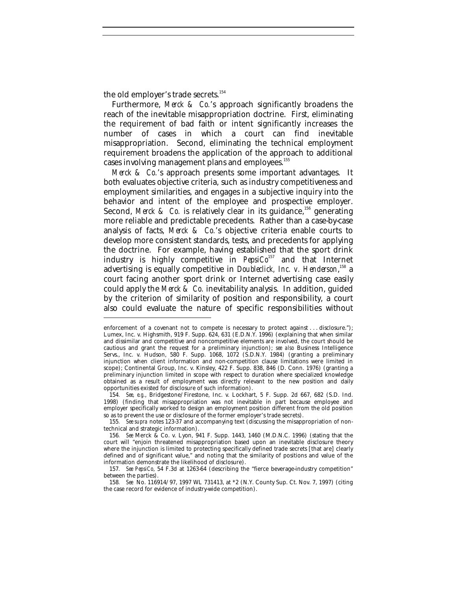the old employer's trade secrets.<sup>154</sup>

-

Furthermore, *Merck & Co.*'s approach significantly broadens the reach of the inevitable misappropriation doctrine. First, eliminating the requirement of bad faith or intent significantly increases the number of cases in which a court can find inevitable misappropriation. Second, eliminating the technical employment requirement broadens the application of the approach to additional cases involving management plans and employees.<sup>155</sup>

*Merck & Co.*'s approach presents some important advantages. It both evaluates objective criteria, such as industry competitiveness and employment similarities, and engages in a subjective inquiry into the behavior and intent of the employee and prospective employer. Second, *Merck & Co.* is relatively clear in its guidance,<sup>156</sup> generating more reliable and predictable precedents. Rather than a case-by-case analysis of facts, *Merck & Co.*'s objective criteria enable courts to develop more consistent standards, tests, and precedents for applying the doctrine. For example, having established that the sport drink industry is highly competitive in *PepsiCo*<sup>157</sup> and that Internet advertising is equally competitive in *Doubleclick, Inc. v. Henderson*,<sup>158</sup> a court facing another sport drink or Internet advertising case easily could apply the *Merck & Co.* inevitability analysis. In addition, guided by the criterion of similarity of position and responsibility, a court also could evaluate the nature of specific responsibilities without

155*. See supra* notes 123-37 and accompanying text (discussing the misappropriation of nontechnical and strategic information).

enforcement of a covenant not to compete is necessary to protect against . . . disclosure."); Lumex, Inc. v. Highsmith, 919 F. Supp. 624, 631 (E.D.N.Y. 1996) (explaining that when similar and dissimilar and competitive and noncompetitive elements are involved, the court should be cautious and grant the request for a preliminary injunction); *see also* Business Intelligence Servs., Inc. v. Hudson, 580 F. Supp. 1068, 1072 (S.D.N.Y. 1984) (granting a preliminary injunction when client information and non-competition clause limitations were limited in scope); Continental Group, Inc. v. Kinsley, 422 F. Supp. 838, 846 (D. Conn. 1976) (granting a preliminary injunction limited in scope with respect to duration where specialized knowledge obtained as a result of employment was directly relevant to the new position and daily opportunities existed for disclosure of such information).

<sup>154</sup>*. See, e.g.*, Bridgestone/Firestone, Inc. v. Lockhart, 5 F. Supp. 2d 667, 682 (S.D. Ind. 1998) (finding that misappropriation was not inevitable in part because employee and employer specifically worked to design an employment position different from the old position so as to prevent the use or disclosure of the former employer's trade secrets).

<sup>156</sup>*. See* Merck & Co. v. Lyon, 941 F. Supp. 1443, 1460 (M.D.N.C. 1996) (stating that the court will "enjoin threatened misappropriation based upon an inevitable disclosure theory where the injunction is limited to protecting specifically defined trade secrets [that are] clearly defined and of significant value," and noting that the similarity of positions and value of the information demonstrate the likelihood of disclosure).

<sup>157</sup>*. See PepsiCo*, 54 F.3d at 1263-64 (describing the "fierce beverage-industry competition" between the parties).

<sup>158</sup>*. See* No. 116914/97, 1997 WL 731413, at \*2 (N.Y. County Sup. Ct. Nov. 7, 1997) (citing the case record for evidence of industry-wide competition).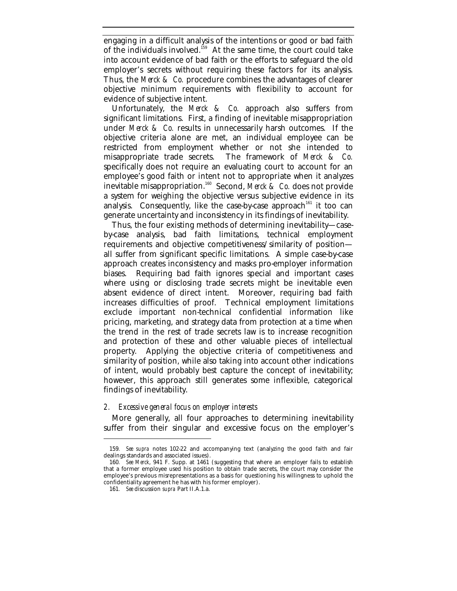engaging in a difficult analysis of the intentions or good or bad faith of the individuals involved.<sup>159</sup> At the same time, the court could take into account evidence of bad faith or the efforts to safeguard the old employer's secrets without requiring these factors for its analysis. Thus, the *Merck & Co.* procedure combines the advantages of clearer objective minimum requirements with flexibility to account for evidence of subjective intent.

Unfortunately, the *Merck & Co.* approach also suffers from significant limitations. First, a finding of inevitable misappropriation under *Merck & Co.* results in unnecessarily harsh outcomes. If the objective criteria alone are met, an individual employee can be restricted from employment whether or not she intended to misappropriate trade secrets. The framework of *Merck & Co.* specifically does not require an evaluating court to account for an employee's good faith or intent not to appropriate when it analyzes inevitable misappropriation.<sup>160</sup> Second, *Merck & Co.* does not provide a system for weighing the objective versus subjective evidence in its analysis. Consequently, like the case-by-case approach<sup>161</sup> it too can generate uncertainty and inconsistency in its findings of inevitability.

Thus, the four existing methods of determining inevitability—caseby-case analysis, bad faith limitations, technical employment requirements and objective competitiveness/similarity of position all suffer from significant specific limitations. A simple case-by-case approach creates inconsistency and masks pro-employer information biases. Requiring bad faith ignores special and important cases where using or disclosing trade secrets might be inevitable even absent evidence of direct intent. Moreover, requiring bad faith increases difficulties of proof. Technical employment limitations exclude important non-technical confidential information like pricing, marketing, and strategy data from protection at a time when the trend in the rest of trade secrets law is to increase recognition and protection of these and other valuable pieces of intellectual property. Applying the objective criteria of competitiveness and similarity of position, while also taking into account other indications of intent, would probably best capture the concept of inevitability; however, this approach still generates some inflexible, categorical findings of inevitability.

#### *2. Excessive general focus on employer interests*

More generally, all four approaches to determining inevitability suffer from their singular and excessive focus on the employer's

<sup>159</sup>*. See supra* notes 102-22 and accompanying text (analyzing the good faith and fair dealings standards and associated issues).

<sup>160</sup>*. See Merck*, 941 F. Supp. at 1461 (suggesting that where an employer fails to establish that a former employee used his position to obtain trade secrets, the court may consider the employee's previous misrepresentations as a basis for questioning his willingness to uphold the confidentiality agreement he has with his former employer).

<sup>161</sup>*. See* discussion *supra* Part II.A.1.a.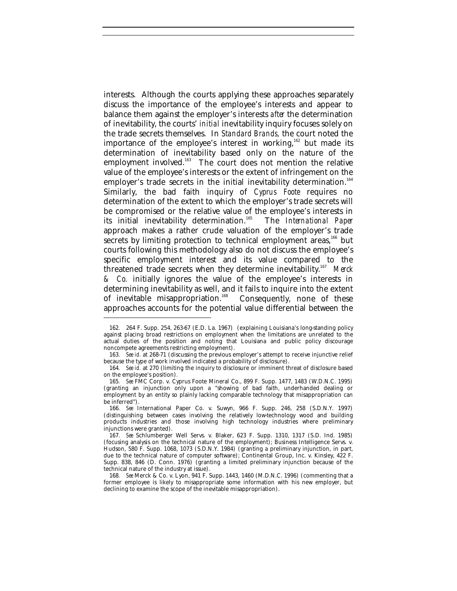interests. Although the courts applying these approaches separately discuss the importance of the employee's interests and appear to balance them against the employer's interests *after* the determination of inevitability, the courts' *initial* inevitability inquiry focuses solely on the trade secrets themselves. In *Standard Brands,* the court noted the importance of the employee's interest in working,<sup>162</sup> but made its determination of inevitability based only on the nature of the employment involved.<sup>163</sup> The court does not mention the relative value of the employee's interests or the extent of infringement on the employer's trade secrets in the initial inevitability determination.<sup>164</sup> Similarly, the bad faith inquiry of *Cyprus Foote* requires no determination of the extent to which the employer's trade secrets will be compromised or the relative value of the employee's interests in its initial inevitability determination.<sup>165</sup> The *International Paper* approach makes a rather crude valuation of the employer's trade secrets by limiting protection to technical employment areas,<sup>166</sup> but courts following this methodology also do not discuss the employee's specific employment interest and its value compared to the threatened trade secrets when they determine inevitability.<sup>167</sup> Merck *& Co.* initially ignores the value of the employee's interests in determining inevitability as well, and it fails to inquire into the extent of inevitable misappropriation.<sup>168</sup> Consequently, none of these approaches accounts for the potential value differential between the

-

166*. See* International Paper Co. v. Suwyn, 966 F. Supp. 246, 258 (S.D.N.Y. 1997) (distinguishing between cases involving the relatively low-technology wood and building products industries and those involving high technology industries where preliminary injunctions were granted).

168*. See* Merck & Co. v. Lyon, 941 F. Supp. 1443, 1460 (M.D.N.C. 1996) (commenting that a former employee is likely to misappropriate some information with his new employer, but declining to examine the scope of the inevitable misappropriation).

<sup>162</sup>*.* 264 F. Supp. 254, 263-67 (E.D. La. 1967) (explaining Louisiana's long-standing policy against placing broad restrictions on employment when the limitations are unrelated to the actual duties of the position and noting that Louisiana and public policy discourage noncompete agreements restricting employment).

<sup>163</sup>*. See id.* at 268-71 (discussing the previous employer's attempt to receive injunctive relief because the type of work involved indicated a probability of disclosure).

<sup>164</sup>*. See id.* at 270 (limiting the inquiry to disclosure or imminent threat of disclosure based on the employee's position)*.*

<sup>165</sup>*. See* FMC Corp. v. Cyprus Foote Mineral Co., 899 F. Supp. 1477, 1483 (W.D.N.C. 1995) (granting an injunction only upon a "showing of bad faith, underhanded dealing or employment by an entity so plainly lacking comparable technology that misappropriation can be inferred").

<sup>167</sup>*. See* Schlumberger Well Servs. v. Blaker, 623 F. Supp. 1310, 1317 (S.D. Ind. 1985) (focusing analysis on the technical nature of the employment); Business Intelligence Servs. v. Hudson, 580 F. Supp. 1068, 1073 (S.D.N.Y. 1984) (granting a preliminary injunction, in part, due to the technical nature of computer software); Continental Group, Inc. v. Kinsley, 422 F. Supp. 838, 846 (D. Conn. 1976) (granting a limited preliminary injunction because of the technical nature of the industry at issue).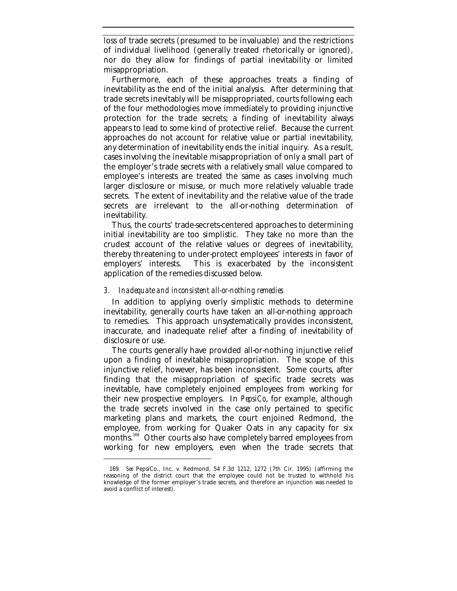loss of trade secrets (presumed to be invaluable) and the restrictions of individual livelihood (generally treated rhetorically or ignored), nor do they allow for findings of partial inevitability or limited misappropriation.

Furthermore, each of these approaches treats a finding of inevitability as the end of the initial analysis. After determining that trade secrets inevitably will be misappropriated, courts following each of the four methodologies move immediately to providing injunctive protection for the trade secrets; a finding of inevitability always appears to lead to some kind of protective relief. Because the current approaches do not account for relative value or partial inevitability, any determination of inevitability ends the initial inquiry. As a result, cases involving the inevitable misappropriation of only a small part of the employer's trade secrets with a relatively small value compared to employee's interests are treated the same as cases involving much larger disclosure or misuse, or much more relatively valuable trade secrets. The extent of inevitability and the relative value of the trade secrets are irrelevant to the all-or-nothing determination of inevitability.

Thus, the courts' trade-secrets-centered approaches to determining initial inevitability are too simplistic. They take no more than the crudest account of the relative values or degrees of inevitability, thereby threatening to under-protect employees' interests in favor of employers' interests. This is exacerbated by the inconsistent application of the remedies discussed below.

#### *3. Inadequate and inconsistent all-or-nothing remedies*

-

In addition to applying overly simplistic methods to determine inevitability, generally courts have taken an all-or-nothing approach to remedies. This approach unsystematically provides inconsistent, inaccurate, and inadequate relief after a finding of inevitability of disclosure or use.

The courts generally have provided all-or-nothing injunctive relief upon a finding of inevitable misappropriation. The scope of this injunctive relief, however, has been inconsistent. Some courts, after finding that the misappropriation of specific trade secrets was inevitable, have completely enjoined employees from working for their new prospective employers. In *PepsiCo*, for example, although the trade secrets involved in the case only pertained to specific marketing plans and markets, the court enjoined Redmond, the employee, from working for Quaker Oats in any capacity for six months.<sup>169</sup> Other courts also have completely barred employees from working for new employers, even when the trade secrets that

<sup>169</sup>*. See* PepsiCo., Inc. v. Redmond, 54 F.3d 1212, 1272 (7th Cir. 1995) (affirming the reasoning of the district court that the employee could not be trusted to withhold his knowledge of the former employer's trade secrets, and therefore an injunction was needed to avoid a conflict of interest).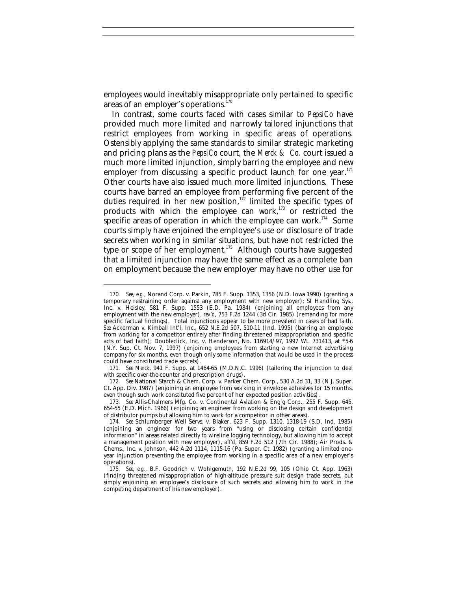employees would inevitably misappropriate only pertained to specific areas of an employer's operations.<sup>1</sup>

In contrast, some courts faced with cases similar to *PepsiCo* have provided much more limited and narrowly tailored injunctions that restrict employees from working in specific areas of operations. Ostensibly applying the same standards to similar strategic marketing and pricing plans as the *PepsiCo* court, the *Merck & Co.* court issued a much more limited injunction, simply barring the employee and new employer from discussing a specific product launch for one year. $171$ Other courts have also issued much more limited injunctions. These courts have barred an employee from performing five percent of the duties required in her new position, $172$  limited the specific types of products with which the employee can work, $173$  or restricted the specific areas of operation in which the employee can work.<sup>174</sup> Some courts simply have enjoined the employee's use or disclosure of trade secrets when working in similar situations, but have not restricted the type or scope of her employment. $175$  Although courts have suggested that a limited injunction may have the same effect as a complete ban on employment because the new employer may have no other use for

<sup>170</sup>*. See, e.g.*, Norand Corp. v. Parkin, 785 F. Supp. 1353, 1356 (N.D. Iowa 1990) (granting a temporary restraining order against any employment with new employer); SI Handling Sys., Inc. v. Heisley, 581 F. Supp. 1553 (E.D. Pa. 1984) (enjoining all employees from any employment with the new employer), *rev'd*, 753 F.2d 1244 (3d Cir. 1985) (remanding for more specific factual findings). Total injunctions appear to be more prevalent in cases of bad faith. *See* Ackerman v. Kimball Int'l, Inc., 652 N.E.2d 507, 510-11 (Ind. 1995) (barring an employee from working for a competitor entirely after finding threatened misappropriation and specific acts of bad faith); Doubleclick, Inc. v. Henderson, No. 116914/97, 1997 WL 731413, at \*5-6 (N.Y. Sup. Ct. Nov. 7, 1997) (enjoining employees from starting a new Internet advertising company for six months, even though only some information that would be used in the process could have constituted trade secrets).

<sup>171</sup>*. See Merck*, 941 F. Supp. at 1464-65 (M.D.N.C. 1996) (tailoring the injunction to deal with specific over-the-counter and prescription drugs).

<sup>172</sup>*. See* National Starch & Chem. Corp. v. Parker Chem. Corp., 530 A.2d 31, 33 (N.J. Super. Ct. App. Div. 1987) (enjoining an employee from working in envelope adhesives for 15 months, even though such work constituted five percent of her expected position activities).

<sup>173</sup>*. See* Allis-Chalmers Mfg. Co. v. Continental Aviation & Eng'g Corp., 255 F. Supp. 645, 654-55 (E.D. Mich. 1966) (enjoining an engineer from working on the design and development of distributor pumps but allowing him to work for a competitor in other areas).

<sup>174</sup>*. See* Schlumberger Well Servs. v. Blaker, 623 F. Supp. 1310, 1318-19 (S.D. Ind. 1985) (enjoining an engineer for two years from "using or disclosing certain confidential information" in areas related directly to wireline logging technology, but allowing him to accept a management position with new employer), *aff'd*, 859 F.2d 512 (7th Cir. 1988); Air Prods. & Chems., Inc. v. Johnson, 442 A.2d 1114, 1115-16 (Pa. Super. Ct. 1982) (granting a limited oneyear injunction preventing the employee from working in a specific area of a new employer's operations).

<sup>175</sup>*. See, e.g.*, B.F. Goodrich v. Wohlgemuth, 192 N.E.2d 99, 105 (Ohio Ct. App. 1963) (finding threatened misappropriation of high-altitude pressure suit design trade secrets, but simply enjoining an employee's disclosure of such secrets and allowing him to work in the competing department of his new employer).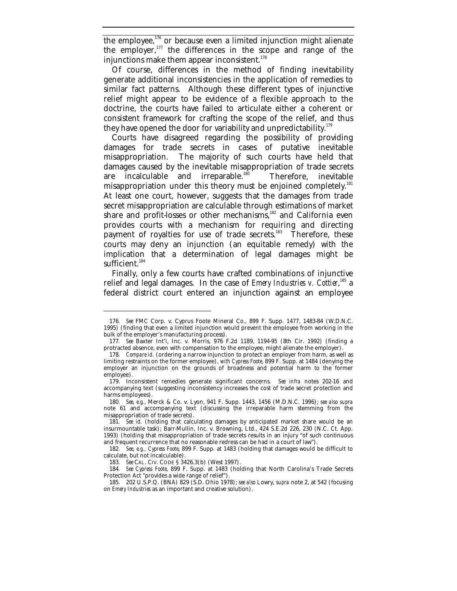the employee, $176$  or because even a limited injunction might alienate the employer, $177$  the differences in the scope and range of the injunctions make them appear inconsistent.<sup>178</sup>

Of course, differences in the method of finding inevitability generate additional inconsistencies in the application of remedies to similar fact patterns. Although these different types of injunctive relief might appear to be evidence of a flexible approach to the doctrine, the courts have failed to articulate either a coherent or consistent framework for crafting the scope of the relief, and thus they have opened the door for variability and unpredictability.<sup>179</sup>

Courts have disagreed regarding the possibility of providing damages for trade secrets in cases of putative inevitable misappropriation. The majority of such courts have held that damages caused by the inevitable misappropriation of trade secrets are incalculable and irreparable.<sup>180</sup> Therefore, inevitable misappropriation under this theory must be enjoined completely.<sup>181</sup> At least one court, however, suggests that the damages from trade secret misappropriation are calculable through estimations of market share and profit-losses or other mechanisms, $182$  and California even provides courts with a mechanism for requiring and directing payment of royalties for use of trade secrets.<sup>183</sup> Therefore, these courts may deny an injunction (an equitable remedy) with the implication that a determination of legal damages might be sufficient.<sup>184</sup>

Finally, only a few courts have crafted combinations of injunctive relief and legal damages. In the case of *Emery Industries v. Cottier*,<sup>185</sup> a federal district court entered an injunction against an employee

<sup>176</sup>*. See* FMC Corp. v. Cyprus Foote Mineral Co., 899 F. Supp. 1477, 1483-84 (W.D.N.C. 1995) (finding that even a limited injunction would prevent the employee from working in the bulk of the employer's manufacturing process).

<sup>177</sup>*. See* Baxter Int'l, Inc. v. Morris, 976 F.2d 1189, 1194-95 (8th Cir. 1992) (finding a protracted absence, even with compensation to the employee, might alienate the employer).

<sup>178</sup>*. Compare id.* (ordering a narrow injunction to protect an employer from harm, as well as limiting restraints on the former employee), *with Cypress Foote*, 899 F. Supp. at 1484 (denying the employer an injunction on the grounds of broadness and potential harm to the former employee).

<sup>179.</sup> Inconsistent remedies generate significant concerns. *See infra* notes 202-16 and accompanying text (suggesting inconsistency increases the cost of trade secret protection and harms employees).

<sup>180</sup>*. See, e.g.*, Merck & Co. v. Lyon, 941 F. Supp. 1443, 1456 (M.D.N.C. 1996); *see also supra* note 61 and accompanying text (discussing the irreparable harm stemming from the misappropriation of trade secrets).

<sup>181</sup>*. See id.* (holding that calculating damages by anticipated market share would be an insurmountable task); Barr-Mullin, Inc. v. Browning, Ltd., 424 S.E.2d 226, 230 (N.C. Ct. App. 1993) (holding that misappropriation of trade secrets results in an injury "of such continuous and frequent recurrence that no reasonable redress can be had in a court of law").

<sup>182</sup>*. See, e.g., Cypress Foote*, 899 F. Supp. at 1483 (holding that damages would be difficult to calculate, but not incalculable).

<sup>183</sup>*. See* CAL. CIV. CODE § 3426.3(b) (West 1997).

<sup>184</sup>*. See Cypress Foote*, 899 F. Supp. at 1483 (holding that North Carolina's Trade Secrets Protection Act "provides a wide range of relief").

<sup>185.</sup> 202 U.S.P.Q. (BNA) 829 (S.D. Ohio 1978); *see also* Lowry, *supra* note 2, at 542 (focusing on *Emery Industries* as an important and creative solution).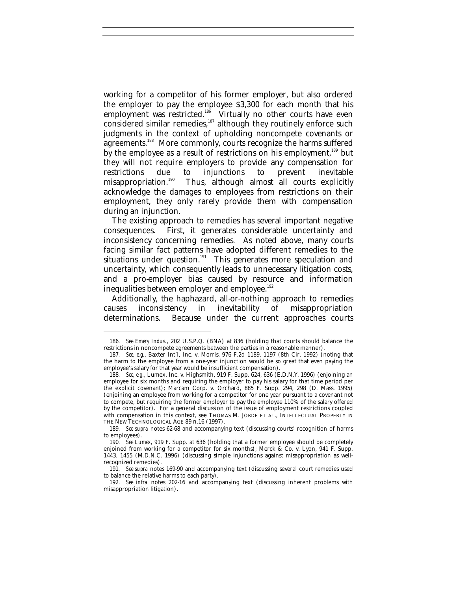working for a competitor of his former employer, but also ordered the employer to pay the employee \$3,300 for each month that his employment was restricted.<sup>186</sup> Virtually no other courts have even considered similar remedies,<sup>187</sup> although they routinely enforce such judgments in the context of upholding noncompete covenants or agreements.<sup>188</sup> More commonly, courts recognize the harms suffered by the employee as a result of restrictions on his employment,<sup>189</sup> but they will not require employers to provide any compensation for<br>restrictions due to injunctions to prevent inevitable restrictions due to injunctions to prevent inevitable<br>misappropriation.<sup>190</sup> Thus, although almost all courts explicitly Thus, although almost all courts explicitly acknowledge the damages to employees from restrictions on their employment, they only rarely provide them with compensation during an injunction.

The existing approach to remedies has several important negative consequences. First, it generates considerable uncertainty and inconsistency concerning remedies. As noted above, many courts facing similar fact patterns have adopted different remedies to the situations under question.<sup>191</sup> This generates more speculation and uncertainty, which consequently leads to unnecessary litigation costs, and a pro-employer bias caused by resource and information inequalities between employer and employee.<sup>192</sup>

Additionally, the haphazard, all-or-nothing approach to remedies causes inconsistency in inevitability of misappropriation determinations. Because under the current approaches courts

<sup>186</sup>*. See Emery Indus.*, 202 U.S.P.Q. (BNA) at 836 (holding that courts should balance the restrictions in noncompete agreements between the parties in a reasonable manner).

<sup>187</sup>*. See, e.g.*, Baxter Int'l, Inc. v. Morris, 976 F.2d 1189, 1197 (8th Cir. 1992) (noting that the harm to the employee from a one-year injunction would be so great that even paying the employee's salary for that year would be insufficient compensation).

<sup>188</sup>*. See, e.g.*, Lumex, Inc. v. Highsmith, 919 F. Supp. 624, 636 (E.D.N.Y. 1996) (enjoining an employee for six months and requiring the employer to pay his salary for that time period per the explicit covenant); Marcam Corp. v. Orchard, 885 F. Supp. 294, 298 (D. Mass. 1995) (enjoining an employee from working for a competitor for one year pursuant to a covenant not to compete, but requiring the former employer to pay the employee 110% of the salary offered by the competitor). For a general discussion of the issue of employment restrictions coupled with compensation in this context, see THOMAS M. JORDE ET AL., INTELLECTUAL PROPERTY IN THE NEW TECHNOLOGICAL AGE 89 n.16 (1997).

<sup>189</sup>*. See supra* notes 62-68 and accompanying text (discussing courts' recognition of harms to employees).

<sup>190</sup>*. See Lumex*, 919 F. Supp. at 636 (holding that a former employee should be completely enjoined from working for a competitor for six months); Merck & Co. v. Lyon, 941 F. Supp. 1443, 1455 (M.D.N.C. 1996) (discussing simple injunctions against misappropriation as wellrecognized remedies).

<sup>191</sup>*. See supra* notes 169-90 and accompanying text (discussing several court remedies used to balance the relative harms to each party).

<sup>192</sup>*. See infra* notes 202-16 and accompanying text (discussing inherent problems with misappropriation litigation).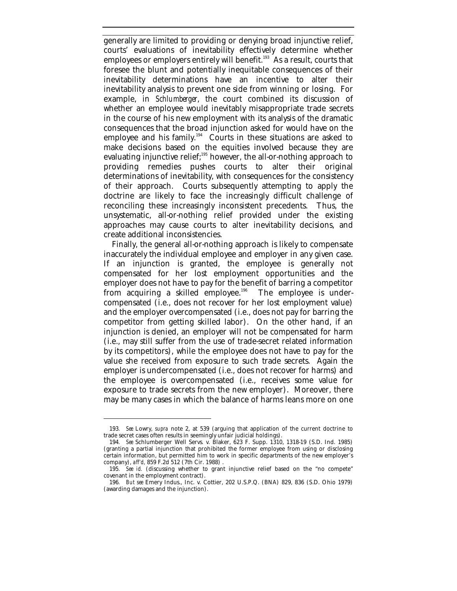generally are limited to providing or denying broad injunctive relief, courts' evaluations of inevitability effectively determine whether employees or employers entirely will benefit.<sup>193</sup> As a result, courts that foresee the blunt and potentially inequitable consequences of their inevitability determinations have an incentive to alter their inevitability analysis to prevent one side from winning or losing. For example, in *Schlumberger*, the court combined its discussion of whether an employee would inevitably misappropriate trade secrets in the course of his new employment with its analysis of the dramatic consequences that the broad injunction asked for would have on the employee and his family.<sup>194</sup> Courts in these situations are asked to make decisions based on the equities involved because they are evaluating injunctive relief;<sup>195</sup> however, the all-or-nothing approach to providing remedies pushes courts to alter their original determinations of inevitability, with consequences for the consistency of their approach. Courts subsequently attempting to apply the doctrine are likely to face the increasingly difficult challenge of reconciling these increasingly inconsistent precedents. Thus, the unsystematic, all-or-nothing relief provided under the existing approaches may cause courts to alter inevitability decisions, and create additional inconsistencies.

Finally, the general all-or-nothing approach is likely to compensate inaccurately the individual employee and employer in any given case. If an injunction is granted, the employee is generally not compensated for her lost employment opportunities and the employer does not have to pay for the benefit of barring a competitor from acquiring a skilled employee.<sup>196</sup> The employee is undercompensated (i.e., does not recover for her lost employment value) and the employer overcompensated (i.e., does not pay for barring the competitor from getting skilled labor). On the other hand, if an injunction is denied, an employer will not be compensated for harm (i.e., may still suffer from the use of trade-secret related information by its competitors), while the employee does not have to pay for the value she received from exposure to such trade secrets. Again the employer is undercompensated (i.e., does not recover for harms) and the employee is overcompensated (i.e., receives some value for exposure to trade secrets from the new employer). Moreover, there may be many cases in which the balance of harms leans more on one

<sup>193</sup>*. See* Lowry, *supra* note 2, at 539 (arguing that application of the current doctrine to trade secret cases often results in seemingly unfair judicial holdings).

<sup>194</sup>*. See* Schlumberger Well Servs. v. Blaker, 623 F. Supp. 1310, 1318-19 (S.D. Ind. 1985) (granting a partial injunction that prohibited the former employee from using or disclosing certain information, but permitted him to work in specific departments of the new employer's company), *aff'd,* 859 F.2d 512 (7th Cir. 1988) .

<sup>195</sup>*. See id.* (discussing whether to grant injunctive relief based on the "no compete" covenant in the employment contract).

<sup>196</sup>*. But see* Emery Indus., Inc. v. Cottier, 202 U.S.P.Q. (BNA) 829, 836 (S.D. Ohio 1979) (awarding damages and the injunction).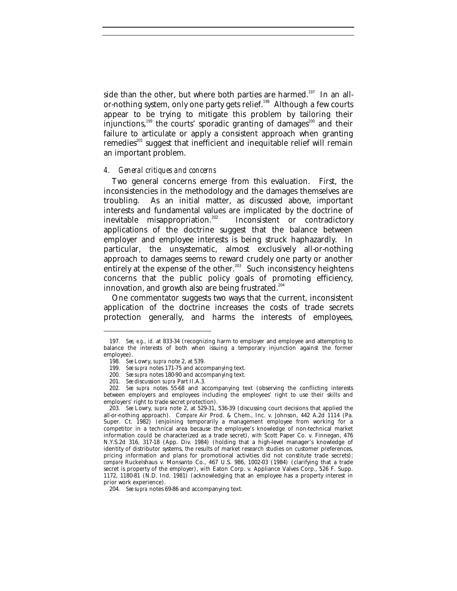side than the other, but where both parties are harmed.<sup>197</sup> In an allor-nothing system, only one party gets relief.<sup>198</sup> Although a few courts appear to be trying to mitigate this problem by tailoring their injunctions, $199$  the courts' sporadic granting of damages $200$  and their failure to articulate or apply a consistent approach when granting remedies<sup>201</sup> suggest that inefficient and inequitable relief will remain an important problem.

#### *4. General critiques and concerns*

Two general concerns emerge from this evaluation. First, the inconsistencies in the methodology and the damages themselves are troubling. As an initial matter, as discussed above, important interests and fundamental values are implicated by the doctrine of<br>inevitable misappropriation.<sup>202</sup> Inconsistent or contradictory Inconsistent or contradictory applications of the doctrine suggest that the balance between employer and employee interests is being struck haphazardly. In particular, the unsystematic, almost exclusively all-or-nothing approach to damages seems to reward crudely one party or another entirely at the expense of the other.<sup>203</sup> Such inconsistency heightens concerns that the public policy goals of promoting efficiency, innovation, and growth also are being frustrated.<sup>204</sup>

One commentator suggests two ways that the current, inconsistent application of the doctrine increases the costs of trade secrets protection generally, and harms the interests of employees,

<sup>197</sup>*. See, e.g.*, *id.* at 833-34 (recognizing harm to employer and employee and attempting to balance the interests of both when issuing a temporary injunction against the former employee).

<sup>198</sup>*. See* Lowry, *supra* note 2, at 539.

<sup>199</sup>*. See supra* notes 171-75 and accompanying text.

<sup>200</sup>*. See supra* notes 180-90 and accompanying text.

<sup>201</sup>*. See* discussion *supra* Part II.A.3.

<sup>202</sup>*. See supra* notes 55-68 and accompanying text (observing the conflicting interests between employers and employees including the employees' right to use their skills and employers' right to trade secret protection).

<sup>203</sup>*. See* Lowry, *supra* note 2, at 529-31, 536-39 (discussing court decisions that applied the all-or-nothing approach). C*ompare* Air Prod. & Chem., Inc. v. Johnson, 442 A.2d 1114 (Pa. Super. Ct. 1982) (enjoining temporarily a management employee from working for a competitor in a technical area because the employee's knowledge of non-technical market information could be characterized as a trade secret), *with* Scott Paper Co. v. Finnegan, 476 N.Y.S.2d 316, 317-18 (App. Div. 1984) (holding that a high-level manager's knowledge of identity of distributor systems, the results of market research studies on customer preferences, pricing information and plans for promotional activities did not constitute trade secrets); *compare* Ruckelshaus v. Monsanto Co., 467 U.S. 986, 1002-03 (1984) (clarifying that a trade secret is property of the employer), *with* Eaton Corp. v. Appliance Valves Corp., 526 F. Supp. 1172, 1180-81 (N.D. Ind. 1981) (acknowledging that an employee has a property interest in prior work experience).

<sup>204</sup>*. See supra* notes 69-86 and accompanying text.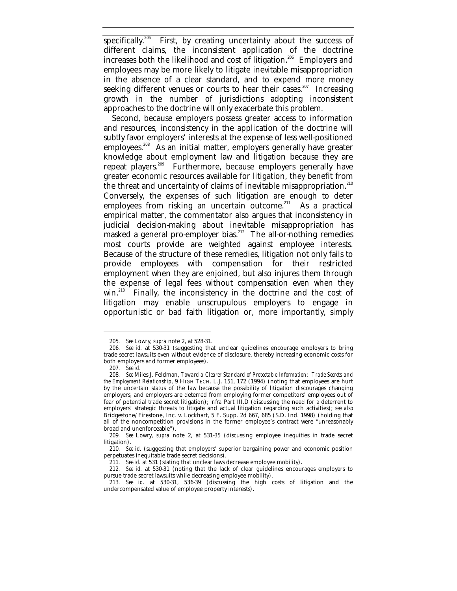specifically.<sup>205</sup> First, by creating uncertainty about the success of different claims, the inconsistent application of the doctrine increases both the likelihood and cost of litigation.<sup>206</sup> Employers and employees may be more likely to litigate inevitable misappropriation in the absence of a clear standard, and to expend more money seeking different venues or courts to hear their cases.<sup>207</sup> Increasing growth in the number of jurisdictions adopting inconsistent approaches to the doctrine will only exacerbate this problem.

Second, because employers possess greater access to information and resources, inconsistency in the application of the doctrine will subtly favor employers' interests at the expense of less well-positioned employees.<sup>208</sup> As an initial matter, employers generally have greater knowledge about employment law and litigation because they are repeat players.<sup>209</sup> Furthermore, because employers generally have greater economic resources available for litigation, they benefit from the threat and uncertainty of claims of inevitable misappropriation.<sup>210</sup> Conversely, the expenses of such litigation are enough to deter employees from risking an uncertain outcome.<sup>211</sup> As a practical empirical matter, the commentator also argues that inconsistency in judicial decision-making about inevitable misappropriation has masked a general pro-employer bias.<sup>212</sup> The all-or-nothing remedies most courts provide are weighted against employee interests. Because of the structure of these remedies, litigation not only fails to provide employees with compensation for their restricted employment when they are enjoined, but also injures them through the expense of legal fees without compensation even when they win. $^{213}$  Finally, the inconsistency in the doctrine and the cost of litigation may enable unscrupulous employers to engage in opportunistic or bad faith litigation or, more importantly, simply

<sup>205</sup>*. See* Lowry, *supra* note 2, at 528-31.

<sup>206</sup>*. See id.* at 530-31 (suggesting that unclear guidelines encourage employers to bring trade secret lawsuits even without evidence of disclosure, thereby increasing economic costs for both employers and former employees).

<sup>207</sup>*. See id*.

<sup>208</sup>*. See* Miles J. Feldman, *Toward a Clearer Standard of Protectable Information: Trade Secrets and the Employment Relationship*, 9 HIGH TECH. L.J. 151, 172 (1994) (noting that employees are hurt by the uncertain status of the law because the possibility of litigation discourages changing employers, and employers are deterred from employing former competitors' employees out of fear of potential trade secret litigation); *infra* Part III.D (discussing the need for a deterrent to employers' strategic threats to litigate and actual litigation regarding such activities); *see also* Bridgestone/Firestone, Inc. v. Lockhart, 5 F. Supp. 2d 667, 685 (S.D. Ind. 1998) (holding that all of the noncompetition provisions in the former employee's contract were "unreasonably broad and unenforceable").

<sup>209</sup>*. See* Lowry, *supra* note 2, at 531-35 (discussing employee inequities in trade secret litigation).

<sup>210</sup>*. See id.* (suggesting that employers' superior bargaining power and economic position perpetuates inequitable trade secret decisions).

<sup>211</sup>*. See id.* at 531 (stating that unclear laws decrease employee mobility).

<sup>212</sup>*. See id.* at 530-31 (noting that the lack of clear guidelines encourages employers to pursue trade secret lawsuits while decreasing employee mobility).

<sup>213</sup>*. See id.* at 530-31, 536-39 (discussing the high costs of litigation and the undercompensated value of employee property interests).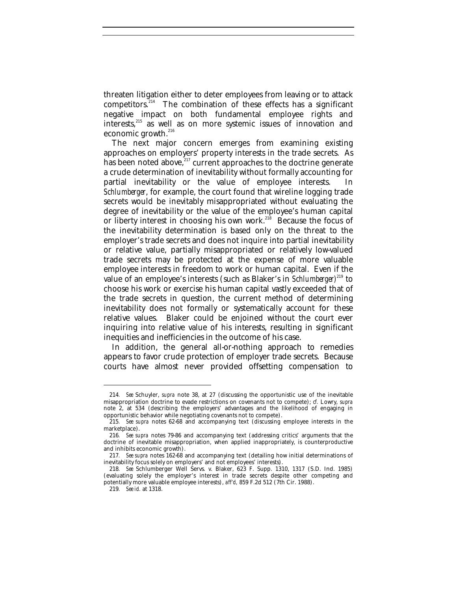threaten litigation either to deter employees from leaving or to attack competitors. $214$  The combination of these effects has a significant negative impact on both fundamental employee rights and interests,<sup>215</sup> as well as on more systemic issues of innovation and economic growth.<sup>216</sup>

The next major concern emerges from examining existing approaches on employers' property interests in the trade secrets. As has been noted above, $e^{2i7}$  current approaches to the doctrine generate a crude determination of inevitability without formally accounting for partial inevitability or the value of employee interests. In *Schlumberger*, for example, the court found that wireline logging trade secrets would be inevitably misappropriated without evaluating the degree of inevitability or the value of the employee's human capital or liberty interest in choosing his own work.<sup>218</sup> Because the focus of the inevitability determination is based only on the threat to the employer's trade secrets and does not inquire into partial inevitability or relative value, partially misappropriated or relatively low-valued trade secrets may be protected at the expense of more valuable employee interests in freedom to work or human capital. Even if the value of an employee's interests (such as Blaker's in *Schlumberger)*<sup>219</sup> to choose his work or exercise his human capital vastly exceeded that of the trade secrets in question, the current method of determining inevitability does not formally or systematically account for these relative values. Blaker could be enjoined without the court ever inquiring into relative value of his interests, resulting in significant inequities and inefficiencies in the outcome of his case.

In addition, the general all-or-nothing approach to remedies appears to favor crude protection of employer trade secrets. Because courts have almost never provided offsetting compensation to

<sup>214</sup>*. See* Schuyler, *supra* note 38, at 27 (discussing the opportunistic use of the inevitable misappropriation doctrine to evade restrictions on covenants not to compete); *cf.* Lowry, *supra* note 2, at 534 (describing the employers' advantages and the likelihood of engaging in opportunistic behavior while negotiating covenants not to compete).

<sup>215</sup>*. See supra* notes 62-68 and accompanying text (discussing employee interests in the marketplace).

<sup>216</sup>*. See supra* notes 79-86 and accompanying text (addressing critics' arguments that the doctrine of inevitable misappropriation, when applied inappropriately, is counterproductive and inhibits economic growth).

<sup>217</sup>*. See supra* notes 162-68 and accompanying text (detailing how initial determinations of inevitability focus solely on employers' and not employees' interests).

<sup>218</sup>*. See* Schlumberger Well Servs. v. Blaker, 623 F. Supp. 1310, 1317 (S.D. Ind. 1985) (evaluating solely the employer's interest in trade secrets despite other competing and potentially more valuable employee interests), *aff'd,* 859 F.2d 512 (7th Cir. 1988).

<sup>219</sup>*. See id.* at 1318.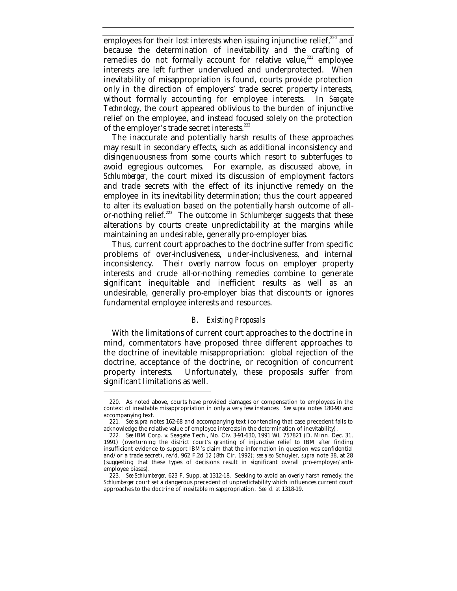employees for their lost interests when issuing injunctive relief, $220$  and because the determination of inevitability and the crafting of remedies do not formally account for relative value, $^{221}$  employee interests are left further undervalued and underprotected. When inevitability of misappropriation is found, courts provide protection only in the direction of employers' trade secret property interests, without formally accounting for employee interests. In *Seagate Technology*, the court appeared oblivious to the burden of injunctive relief on the employee, and instead focused solely on the protection of the employer's trade secret interests.<sup>222</sup>

The inaccurate and potentially harsh results of these approaches may result in secondary effects, such as additional inconsistency and disingenuousness from some courts which resort to subterfuges to avoid egregious outcomes. For example, as discussed above, in *Schlumberger*, the court mixed its discussion of employment factors and trade secrets with the effect of its injunctive remedy on the employee in its inevitability determination; thus the court appeared to alter its evaluation based on the potentially harsh outcome of allor-nothing relief.<sup>223</sup> The outcome in *Schlumberger* suggests that these alterations by courts create unpredictability at the margins while maintaining an undesirable, generally pro-employer bias.

Thus, current court approaches to the doctrine suffer from specific problems of over-inclusiveness, under-inclusiveness, and internal inconsistency. Their overly narrow focus on employer property interests and crude all-or-nothing remedies combine to generate significant inequitable and inefficient results as well as an undesirable, generally pro-employer bias that discounts or ignores fundamental employee interests and resources.

# *B. Existing Proposals*

With the limitations of current court approaches to the doctrine in mind, commentators have proposed three different approaches to the doctrine of inevitable misappropriation: global rejection of the doctrine, acceptance of the doctrine, or recognition of concurrent property interests. Unfortunately, these proposals suffer from significant limitations as well.

<sup>220.</sup> As noted above, courts have provided damages or compensation to employees in the context of inevitable misappropriation in only a very few instances. *See supra* notes 180-90 and accompanying text.

<sup>221</sup>*. See supra* notes 162-68 and accompanying text (contending that case precedent fails to acknowledge the relative value of employee interests in the determination of inevitability).

<sup>222</sup>*. See* IBM Corp. v. Seagate Tech., No. Civ. 3-91-630, 1991 WL 757821 (D. Minn. Dec. 31, 1991) (overturning the district court's granting of injunctive relief to IBM after finding insufficient evidence to support IBM's claim that the information in question was confidential and/or a trade secret), *rev'd*, 962 F.2d 12 (8th Cir. 1992); *see also* Schuyler, *supra* note 38, at 28 (suggesting that these types of decisions result in significant overall pro-employer/antiemployee biases).

<sup>223.</sup> *See Schlumberger*, 623 F. Supp. at 1312-18. Seeking to avoid an overly harsh remedy, the *Schlumberger* court set a dangerous precedent of unpredictability which influences current court approaches to the doctrine of inevitable misappropriation. *See id.* at 1318-19.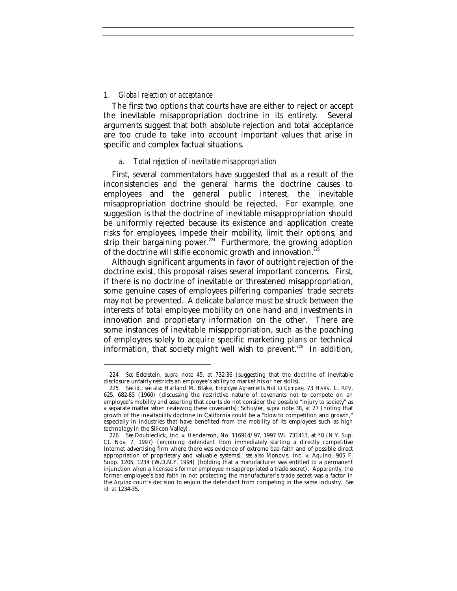### *1. Global rejection or acceptance*

-

The first two options that courts have are either to reject or accept the inevitable misappropriation doctrine in its entirety. Several arguments suggest that both absolute rejection and total acceptance are too crude to take into account important values that arise in specific and complex factual situations.

#### *a. Total rejection of inevitable misappropriation*

First, several commentators have suggested that as a result of the inconsistencies and the general harms the doctrine causes to employees and the general public interest, the inevitable misappropriation doctrine should be rejected. For example, one suggestion is that the doctrine of inevitable misappropriation should be uniformly rejected because its existence and application create risks for employees, impede their mobility, limit their options, and strip their bargaining power.<sup>224</sup> Furthermore, the growing adoption of the doctrine will stifle economic growth and innovation.<sup>2</sup>

Although significant arguments in favor of outright rejection of the doctrine exist, this proposal raises several important concerns. First, if there is no doctrine of inevitable or threatened misappropriation, some genuine cases of employees pilfering companies' trade secrets may not be prevented. A delicate balance must be struck between the interests of total employee mobility on one hand and investments in innovation and proprietary information on the other. There are some instances of inevitable misappropriation, such as the poaching of employees solely to acquire specific marketing plans or technical information, that society might well wish to prevent.<sup>226</sup> In addition,

<sup>224</sup>*. See* Edelstein, *supra* note 45, at 732-36 (suggesting that the doctrine of inevitable disclosure unfairly restricts an employee's ability to market his or her skills).

<sup>225</sup>*. See id.*; *see also* Harland M. Blake, *Employee Agreements Not to Compete*, 73 HARV. L. REV. 625, 682-83 (1960) (discussing the restrictive nature of covenants not to compete on an employee's mobility and asserting that courts do not consider the possible "injury to society" as a separate matter when reviewing these covenants); Schuyler, *supra* note 38, at 27 (noting that growth of the inevitability doctrine in California could be a "blow to competition and growth," especially in industries that have benefited from the mobility of its employees such as high technology in the Silicon Valley).

<sup>226</sup>*. See* Doubleclick, Inc. v. Henderson, No. 116914/97, 1997 WL 731413, at \*8 (N.Y. Sup. Ct. Nov. 7, 1997) (enjoining defendant from immediately starting a directly competitive Internet advertising firm where there was evidence of extreme bad faith and of possible direct appropriation of proprietary and valuable systems); *see also* Monovis, Inc. v. Aquino*,* 905 F. Supp. 1205, 1234 (W.D.N.Y. 1994) (holding that a manufacturer was entitled to a permanent injunction when a licensee's former employee misappropriated a trade secret). Apparently, the former employee's bad faith in not protecting the manufacturer's trade secret was a factor in the *Aquino* court's decision to enjoin the defendant from competing in the same industry. *See id.* at 1234-35.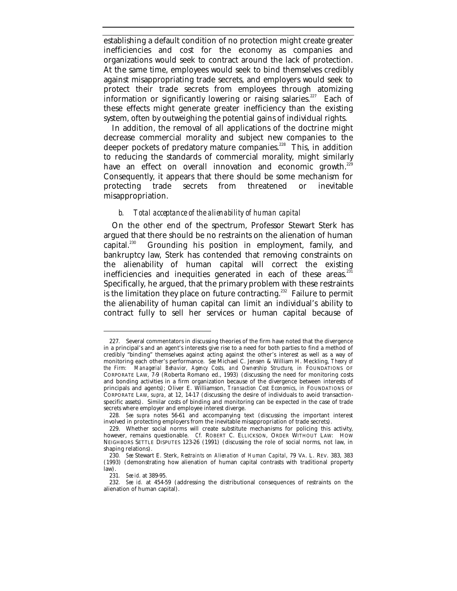establishing a default condition of no protection might create greater inefficiencies and cost for the economy as companies and organizations would seek to contract around the lack of protection. At the same time, employees would seek to bind themselves credibly against misappropriating trade secrets, and employers would seek to protect their trade secrets from employees through atomizing information or significantly lowering or raising salaries.<sup>227</sup> Each of these effects might generate greater inefficiency than the existing system, often by outweighing the potential gains of individual rights.

In addition, the removal of all applications of the doctrine might decrease commercial morality and subject new companies to the deeper pockets of predatory mature companies.<sup>228</sup> This, in addition to reducing the standards of commercial morality, might similarly have an effect on overall innovation and economic growth.<sup>229</sup> Consequently, it appears that there should be some mechanism for protecting trade secrets from threatened or inevitable misappropriation.

### *b. Total acceptance of the alienability of human capital*

On the other end of the spectrum, Professor Stewart Sterk has argued that there should be no restraints on the alienation of human<br>capital.<sup>230</sup> Grounding his position in employment, family, and Grounding his position in employment, family, and bankruptcy law, Sterk has contended that removing constraints on the alienability of human capital will correct the existing inefficiencies and inequities generated in each of these areas.<sup>231</sup> Specifically, he argued, that the primary problem with these restraints is the limitation they place on future contracting.<sup>232</sup> Failure to permit the alienability of human capital can limit an individual's ability to contract fully to sell her services or human capital because of

<sup>227</sup>*.* Several commentators in discussing theories of the firm have noted that the divergence in a principal's and an agent's interests give rise to a need for both parties to find a method of credibly "binding" themselves against acting against the other's interest as well as a way of monitoring each other's performance. *See* Michael C. Jensen & William H. Meckling, *Theory of the Firm: Managerial Behavior, Agency Costs, and Ownership Structure*, *in* FOUNDATIONS OF CORPORATE LAW, 7-9 (Roberta Romano ed., 1993) (discussing the need for monitoring costs and bonding activities in a firm organization because of the divergence between interests of principals and agents); Oliver E. Williamson, *Transaction Cost Economics*, *in* FOUNDATIONS OF CORPORATE LAW, *supra*, at 12, 14-17 (discussing the desire of individuals to avoid transactionspecific assets). Similar costs of binding and monitoring can be expected in the case of trade secrets where employer and employee interest diverge.

<sup>228</sup>*. See supra* notes 56-61 and accompanying text (discussing the important interest involved in protecting employers from the inevitable misappropriation of trade secrets).

<sup>229.</sup> Whether social norms will create substitute mechanisms for policing this activity, however, remains questionable. *Cf.* ROBERT C. ELLICKSON, ORDER WITHOUT LAW: HOW NEIGHBORS SETTLE DISPUTES 123-26 (1991) (discussing the role of social norms, not law, in shaping relations).

<sup>230</sup>*. See* Stewart E. Sterk, *Restraints on Alienation of Human Capital*, 79 VA. L. REV. 383, 383 (1993) (demonstrating how alienation of human capital contrasts with traditional property law).

<sup>231</sup>*. See id.* at 389-95.

<sup>232</sup>*. See id.* at 454-59 (addressing the distributional consequences of restraints on the alienation of human capital).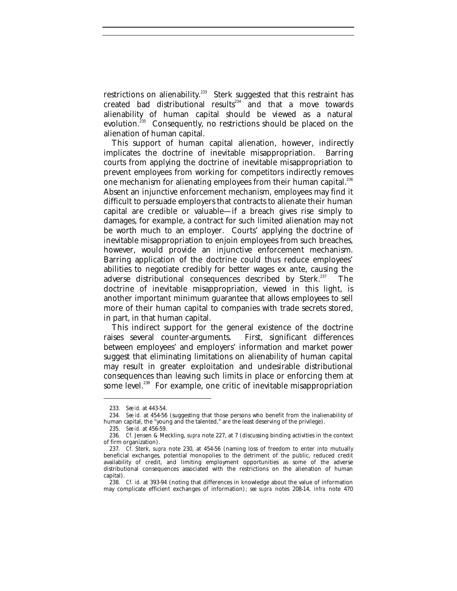restrictions on alienability.<sup>233</sup> Sterk suggested that this restraint has created bad distributional results $234$  and that a move towards alienability of human capital should be viewed as a natural evolution.<sup>235</sup> Consequently, no restrictions should be placed on the alienation of human capital.

This support of human capital alienation, however, indirectly implicates the doctrine of inevitable misappropriation. Barring courts from applying the doctrine of inevitable misappropriation to prevent employees from working for competitors indirectly removes one mechanism for alienating employees from their human capital.<sup>236</sup> Absent an injunctive enforcement mechanism, employees may find it difficult to persuade employers that contracts to alienate their human capital are credible or valuable—if a breach gives rise simply to damages, for example, a contract for such limited alienation may not be worth much to an employer. Courts' applying the doctrine of inevitable misappropriation to enjoin employees from such breaches, however, would provide an injunctive enforcement mechanism. Barring application of the doctrine could thus reduce employees' abilities to negotiate credibly for better wages ex ante, causing the adverse distributional consequences described by Sterk.<sup>237</sup> The doctrine of inevitable misappropriation, viewed in this light, is another important minimum guarantee that allows employees to sell more of their human capital to companies with trade secrets stored, in part, in that human capital.

This indirect support for the general existence of the doctrine raises several counter-arguments. First, significant differences between employees' and employers' information and market power suggest that eliminating limitations on alienability of human capital may result in greater exploitation and undesirable distributional consequences than leaving such limits in place or enforcing them at some level.<sup>238</sup> For example, one critic of inevitable misappropriation

<sup>233</sup>*. See id.* at 443-54.

<sup>234</sup>*. See id.* at 454-56 (suggesting that those persons who benefit from the inalienability of human capital, the "young and the talented," are the least deserving of the privilege).

<sup>235</sup>*. See id.* at 456-59.

<sup>236</sup>*. Cf.* Jensen & Meckling, *supra* note 227, at 7 (discussing binding activities in the context of firm organization).

<sup>237</sup>*. Cf.* Sterk, *supra* note 230, at 454-56 (naming loss of freedom to enter into mutually beneficial exchanges, potential monopolies to the detriment of the public, reduced credit availability of credit, and limiting employment opportunities as some of the adverse distributional consequences associated with the restrictions on the alienation of human capital).

<sup>238</sup>*. Cf. id.* at 393-94 (noting that differences in knowledge about the value of information may complicate efficient exchanges of information); *see supra* notes 208-14, *infra* note 470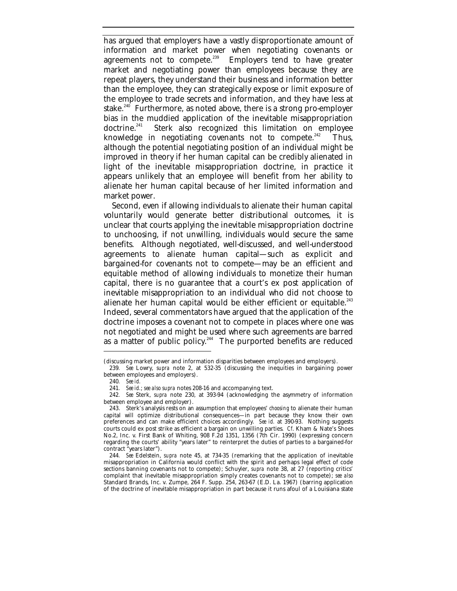has argued that employers have a vastly disproportionate amount of information and market power when negotiating covenants or agreements not to compete.<sup>239</sup> Employers tend to have greater market and negotiating power than employees because they are repeat players, they understand their business and information better than the employee, they can strategically expose or limit exposure of the employee to trade secrets and information, and they have less at stake.<sup>240</sup> Furthermore, as noted above, there is a strong pro-employer bias in the muddied application of the inevitable misappropriation doctrine.<sup>241</sup> Sterk also recognized this limitation on emplovee Sterk also recognized this limitation on employee knowledge in negotiating covenants not to compete.<sup>242</sup> Thus, although the potential negotiating position of an individual might be improved in theory if her human capital can be credibly alienated in light of the inevitable misappropriation doctrine, in practice it appears unlikely that an employee will benefit from her ability to alienate her human capital because of her limited information and market power.

Second, even if allowing individuals to alienate their human capital voluntarily would generate better distributional outcomes, it is unclear that courts applying the inevitable misappropriation doctrine to unchoosing, if not unwilling, individuals would secure the same benefits. Although negotiated, well-discussed, and well-understood agreements to alienate human capital—such as explicit and bargained-for covenants not to compete—may be an efficient and equitable method of allowing individuals to monetize their human capital, there is no guarantee that a court's ex post application of inevitable misappropriation to an individual who did not choose to alienate her human capital would be either efficient or equitable.<sup>243</sup> Indeed, several commentators have argued that the application of the doctrine imposes a covenant not to compete in places where one was not negotiated and might be used where such agreements are barred as a matter of public policy.<sup>244</sup> The purported benefits are reduced

<sup>(</sup>discussing market power and information disparities between employees and employers).

<sup>239</sup>*. See* Lowry, *supra* note 2, at 532-35 (discussing the inequities in bargaining power between employees and employers).

<sup>240</sup>*. See id.*

<sup>241</sup>*. See id.*; *see also supra* notes 208-16 and accompanying text.

<sup>242</sup>*. See* Sterk, *supra* note 230, at 393-94 (acknowledging the asymmetry of information between employee and employer).

<sup>243.</sup> Sterk's analysis rests on an assumption that employees' *choosing* to alienate their human capital will optimize distributional consequences—in part because they know their own preferences and can make efficient choices accordingly. *See id.* at 390-93. Nothing suggests courts could ex post strike as efficient a bargain on unwilling parties. *Cf*. Kham & Nate's Shoes No.2, Inc. v. First Bank of Whiting, 908 F.2d 1351, 1356 (7th Cir. 1990) (expressing concern regarding the courts' ability "years later" to reinterpret the duties of parties to a bargained-for contract "years later").

<sup>244</sup>*. See* Edelstein, *supra* note 45, at 734-35 (remarking that the application of inevitable misappropriation in California would conflict with the spirit and perhaps legal effect of code sections banning covenants not to compete); Schuyler, *supra* note 38, at 27 (reporting critics' complaint that inevitable misappropriation simply creates covenants not to compete); *see also* Standard Brands, Inc. v. Zumpe, 264 F. Supp. 254, 263-67 (E.D. La. 1967) (barring application of the doctrine of inevitable misappropriation in part because it runs afoul of a Louisiana state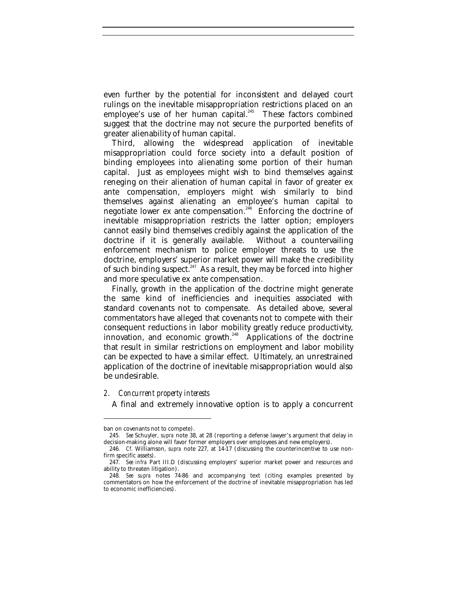even further by the potential for inconsistent and delayed court rulings on the inevitable misappropriation restrictions placed on an employee's use of her human capital.<sup>245</sup> These factors combined suggest that the doctrine may not secure the purported benefits of greater alienability of human capital.

Third, allowing the widespread application of inevitable misappropriation could force society into a default position of binding employees into alienating some portion of their human capital. Just as employees might wish to bind themselves against reneging on their alienation of human capital in favor of greater ex ante compensation, employers might wish similarly to bind themselves against alienating an employee's human capital to negotiate lower ex ante compensation.<sup>246</sup> Enforcing the doctrine of inevitable misappropriation restricts the latter option; employers cannot easily bind themselves credibly against the application of the doctrine if it is generally available. Without a countervailing enforcement mechanism to police employer threats to use the doctrine, employers' superior market power will make the credibility of such binding suspect. $^{247}$  As a result, they may be forced into higher and more speculative ex ante compensation.

Finally, growth in the application of the doctrine might generate the same kind of inefficiencies and inequities associated with standard covenants not to compensate. As detailed above, several commentators have alleged that covenants not to compete with their consequent reductions in labor mobility greatly reduce productivity, innovation, and economic growth.<sup>248</sup> Applications of the doctrine that result in similar restrictions on employment and labor mobility can be expected to have a similar effect. Ultimately, an unrestrained application of the doctrine of inevitable misappropriation would also be undesirable.

## *2. Concurrent property interests*

A final and extremely innovative option is to apply a concurrent

ban on covenants not to compete).

<sup>245</sup>*. See* Schuyler, *supra* note 38, at 28 (reporting a defense lawyer's argument that delay in decision-making alone will favor former employers over employees and new employers).

<sup>246</sup>*. Cf.* Williamson, *supra* note 227, at 14-17 (discussing the counterincentive to use nonfirm specific assets).

<sup>247</sup>*. See infra* Part III.D (discussing employers' superior market power and resources and ability to threaten litigation).

<sup>248</sup>*. See supra* notes 74-86 and accompanying text (citing examples presented by commentators on how the enforcement of the doctrine of inevitable misappropriation has led to economic inefficiencies).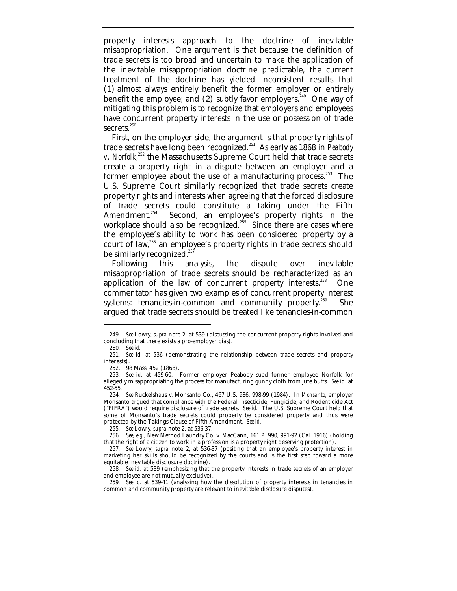property interests approach to the doctrine of inevitable misappropriation. One argument is that because the definition of trade secrets is too broad and uncertain to make the application of the inevitable misappropriation doctrine predictable, the current treatment of the doctrine has yielded inconsistent results that (1) almost always entirely benefit the former employer or entirely benefit the employee; and  $(2)$  subtly favor employers.<sup>249</sup> One way of mitigating this problem is to recognize that employers and employees have concurrent property interests in the use or possession of trade secrets. $250$ 

First, on the employer side, the argument is that property rights of trade secrets have long been recognized.<sup>251</sup> As early as 1868 in *Peabody* v. Norfolk,<sup>252</sup> the Massachusetts Supreme Court held that trade secrets create a property right in a dispute between an employer and a former employee about the use of a manufacturing process.<sup>253</sup> The U.S. Supreme Court similarly recognized that trade secrets create property rights and interests when agreeing that the forced disclosure of trade secrets could constitute a taking under the Fifth<br>Amendment.<sup>254</sup> Second, an emplovee's property rights in the Second, an employee's property rights in the workplace should also be recognized.<sup>255</sup> Since there are cases where the employee's ability to work has been considered property by a court of law,<sup>256</sup> an employee's property rights in trade secrets should be similarly recognized.<sup>257</sup>

Following this analysis, the dispute over inevitable misappropriation of trade secrets should be recharacterized as an application of the law of concurrent property interests.<sup>258</sup> One commentator has given two examples of concurrent property interest systems: tenancies-in-common and community property.<sup>259</sup> She argued that trade secrets should be treated like tenancies-in-common

<sup>249</sup>*. See* Lowry, *supra* note 2, at 539 (discussing the concurrent property rights involved and concluding that there exists a pro-employer bias).

<sup>250</sup>*. See id.*

<sup>251</sup>*. See id.* at 536 (demonstrating the relationship between trade secrets and property interests).

<sup>252.</sup> 98 Mass. 452 (1868).

<sup>253</sup>*. See id.* at 459-60. Former employer Peabody sued former employee Norfolk for allegedly misappropriating the process for manufacturing gunny cloth from jute butts. *See id.* at 452-55*.*

<sup>254</sup>*. See* Ruckelshaus v. Monsanto Co., 467 U.S. 986, 998-99 (1984). In *Monsanto*, employer Monsanto argued that compliance with the Federal Insecticide, Fungicide, and Rodenticide Act ("FIFRA") would require disclosure of trade secrets. *See id.* The U.S. Supreme Court held that some of Monsanto's trade secrets could properly be considered property and thus were protected by the Takings Clause of Fifth Amendment. *See id.*

<sup>255</sup>*. See* Lowry, *supra* note 2, at 536-37.

<sup>256</sup>*. See, e.g.*, New Method Laundry Co. v. MacCann, 161 P. 990, 991-92 (Cal. 1916) (holding that the right of a citizen to work in a profession is a property right deserving protection).

<sup>257</sup>*. See* Lowry, *supra* note 2, at 536-37 (positing that an employee's property interest in marketing her skills should be recognized by the courts and is the first step toward a more equitable inevitable disclosure doctrine).

<sup>258</sup>*. See id.* at 539 (emphasizing that the property interests in trade secrets of an employer and employee are not mutually exclusive).

<sup>259</sup>*. See id.* at 539-41 (analyzing how the dissolution of property interests in tenancies in common and community property are relevant to inevitable disclosure disputes).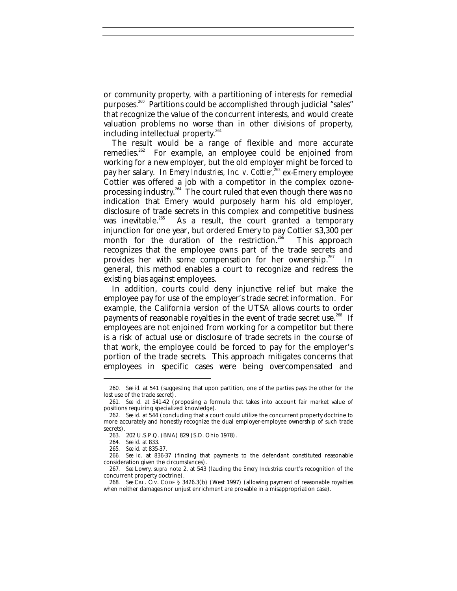or community property, with a partitioning of interests for remedial purposes.<sup>260</sup> Partitions could be accomplished through judicial "sales" that recognize the value of the concurrent interests, and would create valuation problems no worse than in other divisions of property, including intellectual property. $^{261}$ 

The result would be a range of flexible and more accurate remedies.<sup>262</sup> For example, an employee could be enjoined from working for a new employer, but the old employer might be forced to pay her salary. In *Emery Industries, Inc. v. Cottier*, <sup>263</sup> ex-Emery employee Cottier was offered a job with a competitor in the complex ozoneprocessing industry.<sup>264</sup> The court ruled that even though there was no indication that Emery would purposely harm his old employer, disclosure of trade secrets in this complex and competitive business was inevitable.<sup>265</sup> As a result, the court granted a temporary As a result, the court granted a temporary injunction for one year, but ordered Emery to pay Cottier \$3,300 per month for the duration of the restriction.<sup>266</sup> This approach recognizes that the employee owns part of the trade secrets and provides her with some compensation for her ownership.<sup>267</sup> In general, this method enables a court to recognize and redress the existing bias against employees.

In addition, courts could deny injunctive relief but make the employee pay for use of the employer's trade secret information. For example, the California version of the UTSA allows courts to order payments of reasonable royalties in the event of trade secret use.<sup>268</sup> If employees are not enjoined from working for a competitor but there is a risk of actual use or disclosure of trade secrets in the course of that work, the employee could be forced to pay for the employer's portion of the trade secrets. This approach mitigates concerns that employees in specific cases were being overcompensated and

<sup>260</sup>*. See id.* at 541 (suggesting that upon partition, one of the parties pays the other for the lost use of the trade secret).

<sup>261</sup>*. See id.* at 541-42 (proposing a formula that takes into account fair market value of positions requiring specialized knowledge).

<sup>262</sup>*. See id.* at 544 (concluding that a court could utilize the concurrent property doctrine to more accurately and honestly recognize the dual employer-employee ownership of such trade secrets).

<sup>263.</sup> 202 U.S.P.Q. (BNA) 829 (S.D. Ohio 1978).

<sup>264</sup>*. See id.* at 833.

<sup>265</sup>*. See id.* at 835-37.

<sup>266</sup>*. See id.* at 836-37 (finding that payments to the defendant constituted reasonable consideration given the circumstances).

<sup>267</sup>*. See* Lowry, *supra* note 2, at 543 (lauding the *Emery Industries* court's recognition of the concurrent property doctrine).

<sup>268</sup>*. See* CAL. CIV. CODE § 3426.3(b) (West 1997) (allowing payment of reasonable royalties when neither damages nor unjust enrichment are provable in a misappropriation case).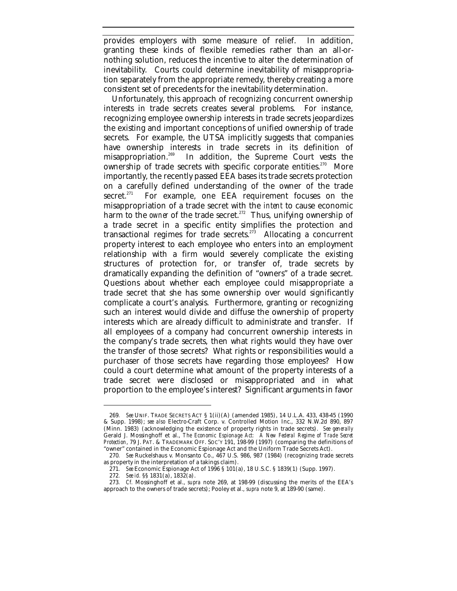provides employers with some measure of relief. In addition, granting these kinds of flexible remedies rather than an all-ornothing solution, reduces the incentive to alter the determination of inevitability. Courts could determine inevitability of misappropriation separately from the appropriate remedy, thereby creating a more consistent set of precedents for the inevitability determination.

Unfortunately, this approach of recognizing concurrent ownership interests in trade secrets creates several problems. For instance, recognizing employee ownership interests in trade secrets jeopardizes the existing and important conceptions of unified ownership of trade secrets. For example, the UTSA implicitly suggests that companies have ownership interests in trade secrets in its definition of misappropriation.<sup>269</sup> In addition, the Supreme Court vests the In addition, the Supreme Court vests the ownership of trade secrets with specific corporate entities.<sup>270</sup> More importantly, the recently passed EEA bases its trade secrets protection on a carefully defined understanding of the owner of the trade secret.<sup>271</sup> For example, one EEA requirement focuses on the misappropriation of a trade secret with the *intent* to cause economic harm to the *owner* of the trade secret.<sup>272</sup> Thus, unifying ownership of a trade secret in a specific entity simplifies the protection and transactional regimes for trade secrets.<sup>273</sup> Allocating a concurrent property interest to each employee who enters into an employment relationship with a firm would severely complicate the existing structures of protection for, or transfer of, trade secrets by dramatically expanding the definition of "owners" of a trade secret. Questions about whether each employee could misappropriate a trade secret that she has some ownership over would significantly complicate a court's analysis. Furthermore, granting or recognizing such an interest would divide and diffuse the ownership of property interests which are already difficult to administrate and transfer. If all employees of a company had concurrent ownership interests in the company's trade secrets, then what rights would they have over the transfer of those secrets? What rights or responsibilities would a purchaser of those secrets have regarding those employees? How could a court determine what amount of the property interests of a trade secret were disclosed or misappropriated and in what proportion to the employee's interest? Significant arguments in favor

<sup>269</sup>*. See* UNIF. TRADE SECRETS ACT § 1(ii)(A) (amended 1985), 14 U.L.A. 433, 438-45 (1990 & Supp. 1998); *see also* Electro-Craft Corp. v. Controlled Motion Inc., 332 N.W.2d 890, 897 (Minn. 1983) (acknowledging the existence of property rights in trade secrets). *See generally* Gerald J. Mossinghoff et al., *The Economic Espionage Act: A New Federal Regime of Trade Secret Protection*, 79 J. PAT. & TRADEMARK OFF. SOC'Y 191, 198-99 (1997) (comparing the definitions of "owner" contained in the Economic Espionage Act and the Uniform Trade Secrets Act).

<sup>270</sup>*. See* Ruckelshaus v. Monsanto Co., 467 U.S. 986, 987 (1984) (recognizing trade secrets as property in the interpretation of a takings claim).

<sup>271</sup>*. See* Economic Espionage Act of 1996 § 101(a), 18 U.S.C. § 1839(1) (Supp. 1997).

<sup>272</sup>*. See id.* §§ 1831(a), 1832(a).

<sup>273</sup>*. Cf.* Mossinghoff et al., *supra* note 269, at 198-99 (discussing the merits of the EEA's approach to the owners of trade secrets); Pooley et al., *supra* note 9, at 189-90 (same).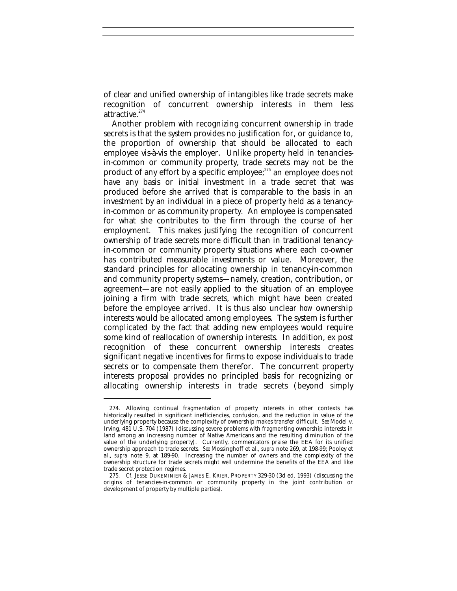of clear and unified ownership of intangibles like trade secrets make recognition of concurrent ownership interests in them less  $attractive.<sup>274</sup>$ 

Another problem with recognizing concurrent ownership in trade secrets is that the system provides no justification for, or guidance to, the proportion of ownership that should be allocated to each employee vis-à-vis the employer. Unlike property held in tenanciesin-common or community property, trade secrets may not be the product of any effort by a specific employee;<sup>275</sup> an employee does not have any basis or initial investment in a trade secret that was produced before she arrived that is comparable to the basis in an investment by an individual in a piece of property held as a tenancyin-common or as community property. An employee is compensated for what she contributes to the firm through the course of her employment. This makes justifying the recognition of concurrent ownership of trade secrets more difficult than in traditional tenancyin-common or community property situations where each co-owner has contributed measurable investments or value. Moreover, the standard principles for allocating ownership in tenancy-in-common and community property systems—namely, creation, contribution, or agreement—are not easily applied to the situation of an employee joining a firm with trade secrets, which might have been created before the employee arrived. It is thus also unclear *how* ownership interests would be allocated among employees. The system is further complicated by the fact that adding new employees would require some kind of reallocation of ownership interests. In addition, ex post recognition of these concurrent ownership interests creates significant negative incentives for firms to expose individuals to trade secrets or to compensate them therefor. The concurrent property interests proposal provides no principled basis for recognizing or allocating ownership interests in trade secrets (beyond simply

<sup>274.</sup> Allowing continual fragmentation of property interests in other contexts has historically resulted in significant inefficiencies, confusion, and the reduction in value of the underlying property because the complexity of ownership makes transfer difficult. *See* Model v. Irving, 481 U.S. 704 (1987) (discussing severe problems with fragmenting ownership interests in land among an increasing number of Native Americans and the resulting diminution of the value of the underlying property). Currently, commentators praise the EEA for its unified ownership approach to trade secrets. *See* Mossinghoff et al., *supra* note 269, at 198-99; Pooley et al., *supra* note 9, at 189-90. Increasing the number of owners and the complexity of the ownership structure for trade secrets might well undermine the benefits of the EEA and like trade secret protection regimes.

<sup>275</sup>*. Cf.* JESSE DUKEMINIER & JAMES E. KRIER, PROPERTY 329-30 (3d ed. 1993) (discussing the origins of tenancies-in-common or community property in the joint contribution or development of property by multiple parties).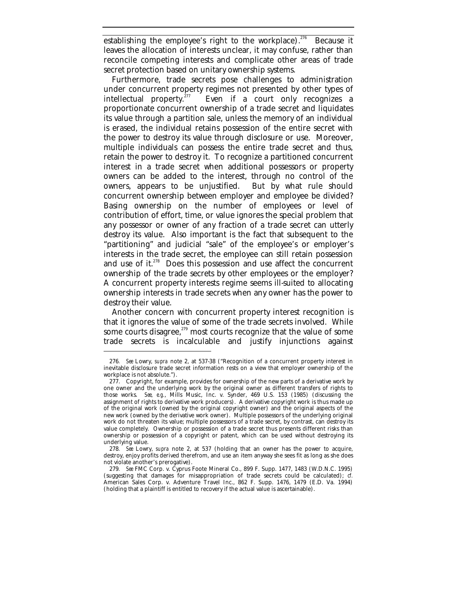establishing the employee's right to the workplace).<sup>276</sup> Because it leaves the allocation of interests unclear, it may confuse, rather than reconcile competing interests and complicate other areas of trade secret protection based on unitary ownership systems.

Furthermore, trade secrets pose challenges to administration under concurrent property regimes not presented by other types of intellectual property.<sup>277</sup> Even if a court only recognizes a Even if a court only recognizes a proportionate concurrent ownership of a trade secret and liquidates its value through a partition sale, unless the memory of an individual is erased, the individual retains possession of the entire secret with the power to destroy its value through disclosure or use. Moreover, multiple individuals can possess the entire trade secret and thus, retain the power to destroy it. To recognize a partitioned concurrent interest in a trade secret when additional possessors or property owners can be added to the interest, through no control of the owners, appears to be unjustified. But by what rule should concurrent ownership between employer and employee be divided? Basing ownership on the number of employees or level of contribution of effort, time, or value ignores the special problem that any possessor or owner of any fraction of a trade secret can utterly destroy its value. Also important is the fact that subsequent to the "partitioning" and judicial "sale" of the employee's or employer's interests in the trade secret, the employee can still retain possession and use of it. $278$  Does this possession and use affect the concurrent ownership of the trade secrets by other employees or the employer? A concurrent property interests regime seems ill-suited to allocating ownership interests in trade secrets when any owner has the power to destroy their value.

Another concern with concurrent property interest recognition is that it ignores the value of some of the trade secrets involved. While some courts disagree, $279$  most courts recognize that the value of some trade secrets is incalculable and justify injunctions against

<sup>276</sup>*. See* Lowry, *supra* note 2, at 537-38 ("Recognition of a concurrent property interest in inevitable disclosure trade secret information rests on a view that employer ownership of the workplace is not absolute.").

<sup>277.</sup> Copyright, for example, provides for ownership of the new parts of a derivative work by one owner and the underlying work by the original owner as different transfers of rights to those works. *See, e.g.*, Mills Music, Inc. v. Synder, 469 U.S. 153 (1985) (discussing the assignment of rights to derivative work producers). A derivative copyright work is thus made up of the original work (owned by the original copyright owner) and the original aspects of the new work (owned by the derivative work owner). Multiple possessors of the underlying original work do not threaten its value; multiple possessors of a trade secret, by contrast, can destroy its value completely. Ownership or possession of a trade secret thus presents different risks than ownership or possession of a copyright or patent, which can be used without destroying its underlying value.

<sup>278</sup>*. See* Lowry, *supra* note 2, at 537 (holding that an owner has the power to acquire, destroy, enjoy profits derived therefrom, and use an item anyway she sees fit as long as she does not violate another's prerogative).

<sup>279</sup>*. See* FMC Corp. v. Cyprus Foote Mineral Co., 899 F. Supp. 1477, 1483 (W.D.N.C. 1995) (suggesting that damages for misappropriation of trade secrets could be calculated); *cf.* American Sales Corp. v. Adventure Travel Inc., 862 F. Supp. 1476, 1479 (E.D. Va. 1994) (holding that a plaintiff is entitled to recovery if the actual value is ascertainable).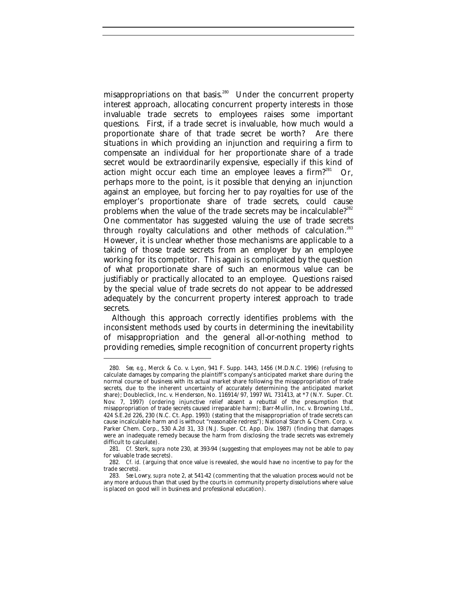misappropriations on that basis.<sup>280</sup> Under the concurrent property interest approach, allocating concurrent property interests in those invaluable trade secrets to employees raises some important questions. First, if a trade secret is invaluable, how much would a proportionate share of that trade secret be worth? Are there situations in which providing an injunction and requiring a firm to compensate an individual for her proportionate share of a trade secret would be extraordinarily expensive, especially if this kind of action might occur each time an employee leaves a firm?<sup>281</sup> Or, perhaps more to the point, is it possible that denying an injunction against an employee, but forcing her to pay royalties for use of the employer's proportionate share of trade secrets, could cause problems when the value of the trade secrets may be incalculable?<sup>282</sup> One commentator has suggested valuing the use of trade secrets through royalty calculations and other methods of calculation.<sup>283</sup> However, it is unclear whether those mechanisms are applicable to a taking of those trade secrets from an employer by an employee working for its competitor. This again is complicated by the question of what proportionate share of such an enormous value can be justifiably or practically allocated to an employee. Questions raised by the special value of trade secrets do not appear to be addressed adequately by the concurrent property interest approach to trade secrets.

Although this approach correctly identifies problems with the inconsistent methods used by courts in determining the inevitability of misappropriation and the general all-or-nothing method to providing remedies, simple recognition of concurrent property rights

<sup>280</sup>*. See, e.g.*, Merck & Co. v. Lyon, 941 F. Supp. 1443, 1456 (M.D.N.C. 1996) (refusing to calculate damages by comparing the plaintiff's company's anticipated market share during the normal course of business with its actual market share following the misappropriation of trade secrets, due to the inherent uncertainty of accurately determining the anticipated market share); Doubleclick, Inc. v. Henderson, No. 116914/97, 1997 WL 731413, at \*7 (N.Y. Super. Ct. Nov. 7, 1997) (ordering injunctive relief absent a rebuttal of the presumption that misappropriation of trade secrets caused irreparable harm); Barr-Mullin, Inc. v. Browning Ltd., 424 S.E.2d 226, 230 (N.C. Ct. App. 1993) (stating that the misappropriation of trade secrets can cause incalculable harm and is without "reasonable redress"); National Starch & Chem. Corp. v. Parker Chem. Corp., 530 A.2d 31, 33 (N.J. Super. Ct. App. Div. 1987) (finding that damages were an inadequate remedy because the harm from disclosing the trade secrets was extremely difficult to calculate).

<sup>281</sup>*. Cf.* Sterk, *supra* note 230, at 393-94 (suggesting that employees may not be able to pay for valuable trade secrets).

<sup>282</sup>*. Cf. id.* (arguing that once value is revealed, she would have no incentive to pay for the trade secrets).

<sup>283</sup>*. See* Lowry, *supra* note 2, at 541-42 (commenting that the valuation process would not be any more arduous than that used by the courts in community property dissolutions where value is placed on good will in business and professional education).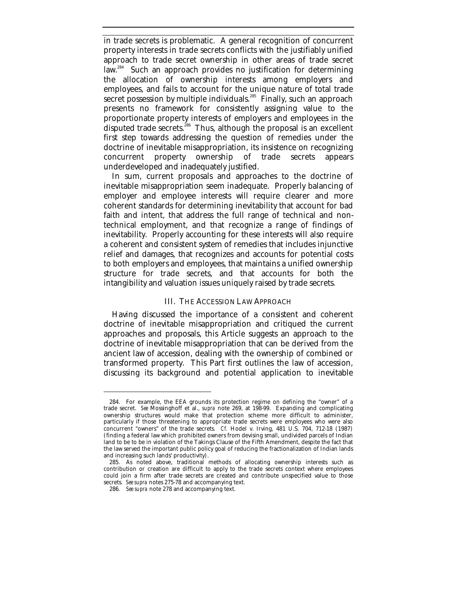in trade secrets is problematic. A general recognition of concurrent property interests in trade secrets conflicts with the justifiably unified approach to trade secret ownership in other areas of trade secret law.<sup>284</sup> Such an approach provides no justification for determining the allocation of ownership interests among employers and employees, and fails to account for the unique nature of total trade secret possession by multiple individuals.<sup>285</sup> Finally, such an approach presents no framework for consistently assigning value to the proportionate property interests of employers and employees in the disputed trade secrets.<sup>286</sup> Thus, although the proposal is an excellent first step towards addressing the question of remedies under the doctrine of inevitable misappropriation, its insistence on recognizing concurrent property ownership of trade secrets appears underdeveloped and inadequately justified.

In sum, current proposals and approaches to the doctrine of inevitable misappropriation seem inadequate. Properly balancing of employer and employee interests will require clearer and more coherent standards for determining inevitability that account for bad faith and intent, that address the full range of technical and nontechnical employment, and that recognize a range of findings of inevitability. Properly accounting for these interests will also require a coherent and consistent system of remedies that includes injunctive relief and damages, that recognizes and accounts for potential costs to both employers and employees, that maintains a unified ownership structure for trade secrets, and that accounts for both the intangibility and valuation issues uniquely raised by trade secrets.

#### III. THE ACCESSION LAW APPROACH

Having discussed the importance of a consistent and coherent doctrine of inevitable misappropriation and critiqued the current approaches and proposals, this Article suggests an approach to the doctrine of inevitable misappropriation that can be derived from the ancient law of accession, dealing with the ownership of combined or transformed property. This Part first outlines the law of accession, discussing its background and potential application to inevitable

<sup>284.</sup> For example, the EEA grounds its protection regime on defining the "owner" of a trade secret. *See* Mossinghoff et al., *supra* note 269, at 198-99. Expanding and complicating ownership structures would make that protection scheme more difficult to administer, particularly if those threatening to appropriate trade secrets were employees who were also concurrent "owners" of the trade secrets. *Cf.* Hodel v. Irving, 481 U.S. 704, 712-18 (1987) (finding a federal law which prohibited owners from devising small, undivided parcels of Indian land to be to be in violation of the Takings Clause of the Fifth Amendment, despite the fact that the law served the important public policy goal of reducing the fractionalization of Indian lands and increasing such lands' productivity).

<sup>285.</sup> As noted above, traditional methods of allocating ownership interests such as contribution or creation are difficult to apply to the trade secrets context where employees could join a firm after trade secrets are created and contribute unspecified value to those secrets. *See supra* notes 275-78 and accompanying text.

<sup>286</sup>*. See supra* note 278 and accompanying text.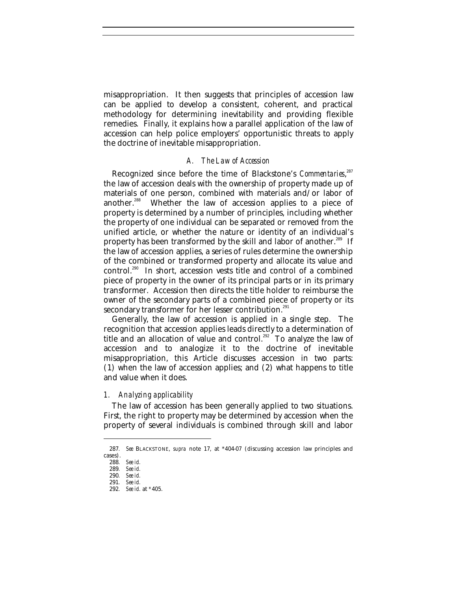misappropriation. It then suggests that principles of accession law can be applied to develop a consistent, coherent, and practical methodology for determining inevitability and providing flexible remedies. Finally, it explains how a parallel application of the law of accession can help police employers' opportunistic threats to apply the doctrine of inevitable misappropriation.

#### *A. The Law of Accession*

Recognized since before the time of Blackstone's *Commentaries*, 287 the law of accession deals with the ownership of property made up of materials of one person, combined with materials and/or labor of another.<sup>288</sup> Whether the law of accession applies to a piece of property is determined by a number of principles, including whether the property of one individual can be separated or removed from the unified article, or whether the nature or identity of an individual's property has been transformed by the skill and labor of another.<sup>289</sup> If the law of accession applies, a series of rules determine the ownership of the combined or transformed property and allocate its value and control.<sup>290</sup> In short, accession vests title and control of a combined piece of property in the owner of its principal parts or in its primary transformer. Accession then directs the title holder to reimburse the owner of the secondary parts of a combined piece of property or its secondary transformer for her lesser contribution.<sup>291</sup>

Generally, the law of accession is applied in a single step. The recognition that accession applies leads directly to a determination of title and an allocation of value and control.<sup>292</sup> To analyze the law of accession and to analogize it to the doctrine of inevitable misappropriation, this Article discusses accession in two parts: (1) when the law of accession applies; and (2) what happens to title and value when it does.

#### *1. Analyzing applicability*

The law of accession has been generally applied to two situations. First, the right to property may be determined by accession when the property of several individuals is combined through skill and labor

<sup>287</sup>*. See* BLACKSTONE, *supra* note 17, at \*404-07 (discussing accession law principles and cases).

<sup>288</sup>*. See id.*

<sup>289</sup>*. See id.*

<sup>290</sup>*. See id.* 291*. See id.*

<sup>292</sup>*. See id.* at *\**405.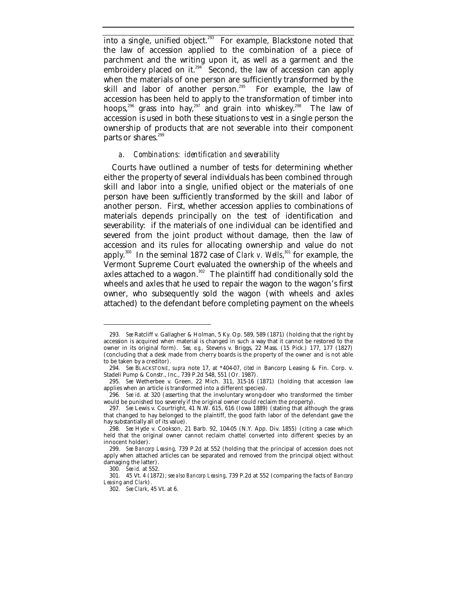into a single, unified object.<sup>293</sup> For example, Blackstone noted that the law of accession applied to the combination of a piece of parchment and the writing upon it, as well as a garment and the embroidery placed on it.<sup>294</sup> Second, the law of accession can apply when the materials of one person are sufficiently transformed by the skill and labor of another person. $295$  For example, the law of accession has been held to apply to the transformation of timber into hoops,<sup>296</sup> grass into hay,<sup>297</sup> and grain into whiskey.<sup>298</sup> The law of accession is used in both these situations to vest in a single person the ownership of products that are not severable into their component parts or shares.<sup>299</sup>

### *a. Combinations: identification and severability*

Courts have outlined a number of tests for determining whether either the property of several individuals has been combined through skill and labor into a single, unified object or the materials of one person have been sufficiently transformed by the skill and labor of another person. First, whether accession applies to combinations of materials depends principally on the test of identification and severability: if the materials of one individual can be identified and severed from the joint product without damage, then the law of accession and its rules for allocating ownership and value do not apply.<sup>300</sup> In the seminal 1872 case of *Clark v. Wells*,<sup>301</sup> for example, the Vermont Supreme Court evaluated the ownership of the wheels and axles attached to a wagon. $302$  The plaintiff had conditionally sold the wheels and axles that he used to repair the wagon to the wagon's first owner, who subsequently sold the wagon (with wheels and axles attached) to the defendant before completing payment on the wheels

<sup>293</sup>*. See* Ratcliff v. Gallagher & Holman, 5 Ky. Op. 589, 589 (1871) (holding that the right by accession is acquired when material is changed in such a way that it cannot be restored to the owner in its original form). *See, e.g.,* Stevens v. Briggs, 22 Mass. (15 Pick.) 177, 177 (1827) (concluding that a desk made from cherry boards is the property of the owner and is not able to be taken by a creditor).

<sup>294</sup>*. See* BLACKSTONE, *supra* note 17, at \*404-07, *cited in* Bancorp Leasing & Fin. Corp. v. Stadeli Pump & Constr., Inc., 739 P.2d 548, 551 (Or. 1987).

<sup>295</sup>*. See* Wetherbee v. Green, 22 Mich. 311, 315-16 (1871) (holding that accession law applies when an article is transformed into a different species).

<sup>296</sup>*. See id.* at 320 (asserting that the involuntary wrong-doer who transformed the timber would be punished too severely if the original owner could reclaim the property).

<sup>297</sup>*. See* Lewis v. Courtright, 41 N.W. 615, 616 (Iowa 1889) (stating that although the grass that changed to hay belonged to the plaintiff, the good faith labor of the defendant gave the hay substantially all of its value).

<sup>298</sup>*. See* Hyde v. Cookson, 21 Barb. 92, 104-05 (N.Y. App. Div. 1855) (citing a case which held that the original owner cannot reclaim chattel converted into different species by an innocent holder).

<sup>299</sup>*. See Bancorp Leasing,* 739 P.2d at 552 (holding that the principal of accession does not apply when attached articles can be separated and removed from the principal object without damaging the latter).

<sup>300</sup>*. See id.* at 552.

<sup>301.</sup> 45 Vt. 4 (1872); *see also Bancorp Leasing*, 739 P.2d at 552 (comparing the facts of *Bancorp Leasing* and *Clark*).

<sup>302</sup>*. See Clark*, 45 Vt. at 6.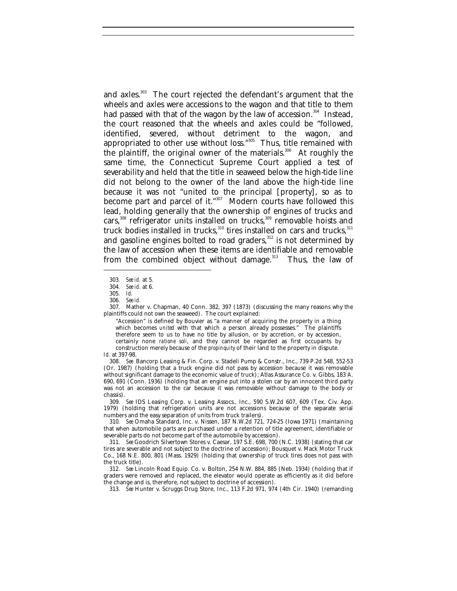and axles.<sup>303</sup> The court rejected the defendant's argument that the wheels and axles were accessions to the wagon and that title to them had passed with that of the wagon by the law of accession.<sup>304</sup> Instead, the court reasoned that the wheels and axles could be "followed, identified, severed, without detriment to the wagon, and appropriated to other use without loss."<sup>305</sup> Thus, title remained with the plaintiff, the original owner of the materials.<sup>306</sup> At roughly the same time, the Connecticut Supreme Court applied a test of severability and held that the title in seaweed below the high-tide line did not belong to the owner of the land above the high-tide line because it was not "united to the principal [property], so as to become part and parcel of it."<sup>307</sup> Modern courts have followed this lead, holding generally that the ownership of engines of trucks and cars, <sup>308</sup> refrigerator units installed on trucks,<sup>309</sup> removable hoists and truck bodies installed in trucks,<sup>310</sup> tires installed on cars and trucks,<sup>311</sup> and gasoline engines bolted to road graders,<sup>312</sup> is not determined by the law of accession when these items are identifiable and removable from the combined object without damage. $313$  Thus, the law of

-

307. Mather v. Chapman, 40 Conn. 382, 397 (1873) (discussing the many reasons why the plaintiffs could not own the seaweed). The court explained:

"Accession" is defined by Bouvier as "a manner of acquiring the property in a thing which becomes *united* with that which a person already possesses." The plaintiffs therefore seem to us to have no title by allusion, or by accretion, or by accession, certainly none *ratione soli*, and they cannot be regarded as first occupants by construction merely because of the *propinquity* of their land to the property in dispute.

308*. See* Bancorp Leasing & Fin. Corp. v. Stadeli Pump & Constr., Inc., 739 P.2d 548, 552-53 (Or. 1987) (holding that a truck engine did not pass by accession because it was removable without significant damage to the economic value of truck); Atlas Assurance Co. v. Gibbs, 183 A. 690, 691 (Conn. 1936) (holding that an engine put into a stolen car by an innocent third party was not an accession to the car because it was removable without damage to the body or chassis).

309*. See* IDS Leasing Corp. v. Leasing Assocs., Inc., 590 S.W.2d 607, 609 (Tex. Civ. App. 1979) (holding that refrigeration units are not accessions because of the separate serial numbers and the easy separation of units from truck trailers).

310*. See* Omaha Standard, Inc. v. Nissen, 187 N.W.2d 721, 724-25 (Iowa 1971) (maintaining that when automobile parts are purchased under a retention of title agreement, identifiable or severable parts do not become part of the automobile by accession).

311*. See* Goodrich Silvertown Stores v. Caesar, 197 S.E. 698, 700 (N.C. 1938) (stating that car tires are severable and not subject to the doctrine of accession); Bousquet v. Mack Motor Truck Co., 168 N.E. 800, 801 (Mass. 1929) (holding that ownership of truck tires does not pass with the truck title).

312*. See* Lincoln Road Equip. Co. v. Bolton, 254 N.W. 884, 885 (Neb. 1934) (holding that if graders were removed and replaced, the elevator would operate as efficiently as it did before the change and is, therefore, not subject to doctrine of accession).

313*. See* Hunter v. Scruggs Drug Store, Inc., 113 F.2d 971, 974 (4th Cir. 1940) (remanding

<sup>303</sup>*. See id.* at 5*.*

<sup>304</sup>*. See id.* at 6.

<sup>305</sup>*. Id.*

<sup>306</sup>*. See id.*

*Id.* at 397-98.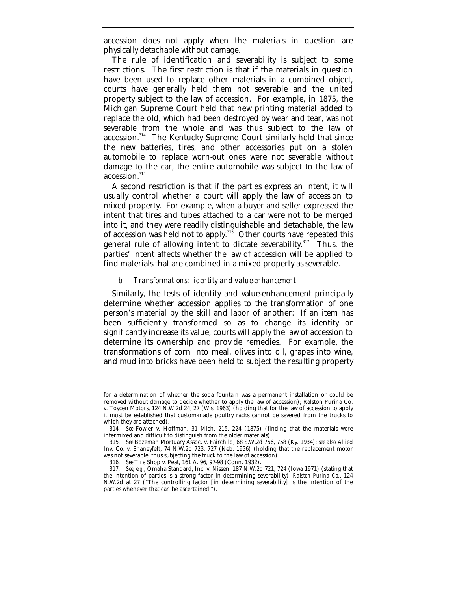accession does not apply when the materials in question are physically detachable without damage.

The rule of identification and severability is subject to some restrictions. The first restriction is that if the materials in question have been used to replace other materials in a combined object, courts have generally held them not severable and the united property subject to the law of accession. For example, in 1875, the Michigan Supreme Court held that new printing material added to replace the old, which had been destroyed by wear and tear, was not severable from the whole and was thus subject to the law of accession.<sup>314</sup> The Kentucky Supreme Court similarly held that since the new batteries, tires, and other accessories put on a stolen automobile to replace worn-out ones were not severable without damage to the car, the entire automobile was subject to the law of accession.<sup>315</sup>

A second restriction is that if the parties express an intent, it will usually control whether a court will apply the law of accession to mixed property. For example, when a buyer and seller expressed the intent that tires and tubes attached to a car were not to be merged into it, and they were readily distinguishable and detachable, the law of accession was held not to apply.<sup>316</sup> Other courts have repeated this general rule of allowing intent to dictate severability. $317$  Thus, the parties' intent affects whether the law of accession will be applied to find materials that are combined in a mixed property as severable.

## *b. Transformations: identity and value-enhancement*

Similarly, the tests of identity and value-enhancement principally determine whether accession applies to the transformation of one person's material by the skill and labor of another: If an item has been sufficiently transformed so as to change its identity or significantly increase its value, courts will apply the law of accession to determine its ownership and provide remedies. For example, the transformations of corn into meal, olives into oil, grapes into wine, and mud into bricks have been held to subject the resulting property

for a determination of whether the soda fountain was a permanent installation or could be removed without damage to decide whether to apply the law of accession); Ralston Purina Co. v. Toycen Motors, 124 N.W.2d 24, 27 (Wis. 1963) (holding that for the law of accession to apply it must be established that custom-made poultry racks cannot be severed from the trucks to which they are attached).

<sup>314</sup>*. See* Fowler v. Hoffman, 31 Mich. 215, 224 (1875) (finding that the materials were intermixed and difficult to distinguish from the older materials).

<sup>315</sup>*. See* Bozeman Mortuary Assoc. v. Fairchild, 68 S.W.2d 756, 758 (Ky. 1934); *see also* Allied Inv. Co. v. Shaneyfelt, 74 N.W.2d 723, 727 (Neb. 1956) (holding that the replacement motor was not severable, thus subjecting the truck to the law of accession).

<sup>316</sup>*. See* Tire Shop v. Peat, 161 A. 96, 97-98 (Conn. 1932).

<sup>317</sup>*. See, e.g.*, Omaha Standard, Inc. v. Nissen, 187 N.W.2d 721, 724 (Iowa 1971) (stating that the intention of parties is a strong factor in determining severability); *Ralston Purina Co.*, 124 N.W.2d at 27 ("The controlling factor [in determining severability] is the intention of the parties whenever that can be ascertained.").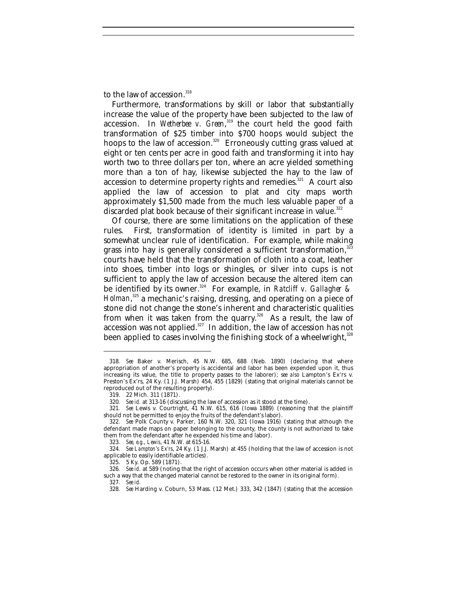to the law of accession.<sup>318</sup>

Furthermore, transformations by skill or labor that substantially increase the value of the property have been subjected to the law of accession. In *Wetherbee v. Green*,<sup>319</sup> the court held the good faith transformation of \$25 timber into \$700 hoops would subject the hoops to the law of accession.<sup>320</sup> Erroneously cutting grass valued at eight or ten cents per acre in good faith and transforming it into hay worth two to three dollars per ton, where an acre yielded something more than a ton of hay, likewise subjected the hay to the law of accession to determine property rights and remedies.<sup>321</sup> A court also applied the law of accession to plat and city maps worth approximately \$1,500 made from the much less valuable paper of a discarded plat book because of their significant increase in value.<sup>322</sup>

Of course, there are some limitations on the application of these rules. First, transformation of identity is limited in part by a somewhat unclear rule of identification. For example, while making grass into hay is generally considered a sufficient transformation, $333$ courts have held that the transformation of cloth into a coat, leather into shoes, timber into logs or shingles, or silver into cups is not sufficient to apply the law of accession because the altered item can be identified by its owner.<sup>324</sup> For example, in *Ratcliff v. Gallagher & Holman*, <sup>325</sup> a mechanic's raising, dressing, and operating on a piece of stone did not change the stone's inherent and characteristic qualities from when it was taken from the quarry.<sup>326</sup> As a result, the law of accession was not applied. $327$  In addition, the law of accession has not been applied to cases involving the finishing stock of a wheelwright,<sup>328</sup>

<sup>318</sup>*. See* Baker v. Merisch, 45 N.W. 685, 688 (Neb. 1890) (declaring that where appropriation of another's property is accidental and labor has been expended upon it, thus increasing its value, the title to property passes to the laborer); s*ee also* Lampton's Ex'rs v. Preston's Ex'rs, 24 Ky. (1 J.J. Marsh) 454, 455 (1829) (stating that original materials cannot be reproduced out of the resulting property).

<sup>319.</sup> 22 Mich. 311 (1871).

<sup>320</sup>*. See id.* at 313-16 (discussing the law of accession as it stood at the time).

<sup>321</sup>*. See* Lewis v. Courtright, 41 N.W. 615, 616 (Iowa 1889) (reasoning that the plaintiff should not be permitted to enjoy the fruits of the defendant's labor).

<sup>322</sup>*. See* Polk County v. Parker, 160 N.W. 320, 321 (Iowa 1916) (stating that although the defendant made maps on paper belonging to the county, the county is not authorized to take them from the defendant after he expended his time and labor).

<sup>323</sup>*. See, e.g.*, *Lewis*, 41 N.W. at 615-16.

<sup>324</sup>*. See Lampton's Ex'rs*, 24 Ky. (1 J.J. Marsh) at 455 (holding that the law of accession is not applicable to easily identifiable articles).

<sup>325.</sup> 5 Ky. Op. 589 (1871).

<sup>326</sup>*. See id.* at 589 (noting that the right of accession occurs when other material is added in such a way that the changed material cannot be restored to the owner in its original form).

<sup>327</sup>*. See id.*

<sup>328</sup>*. See* Harding v. Coburn, 53 Mass. (12 Met.) 333, 342 (1847) (stating that the accession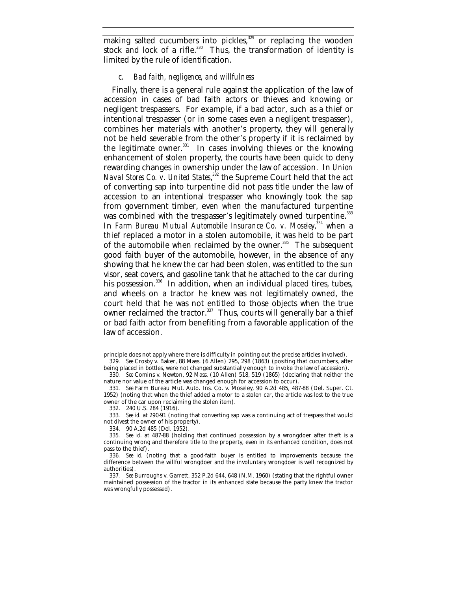making salted cucumbers into pickles,<sup>329</sup> or replacing the wooden stock and lock of a rifle. $330$  Thus, the transformation of identity is limited by the rule of identification.

#### *c. Bad faith, negligence, and willfulness*

Finally, there is a general rule against the application of the law of accession in cases of bad faith actors or thieves and knowing or negligent trespassers. For example, if a bad actor, such as a thief or intentional trespasser (or in some cases even a negligent trespasser), combines her materials with another's property, they will generally not be held severable from the other's property if it is reclaimed by the legitimate owner. $331$  In cases involving thieves or the knowing enhancement of stolen property, the courts have been quick to deny rewarding changes in ownership under the law of accession. In *Union Naval Stores Co. v. United States*,<sup>332</sup> the Supreme Court held that the act of converting sap into turpentine did not pass title under the law of accession to an intentional trespasser who knowingly took the sap from government timber, even when the manufactured turpentine was combined with the trespasser's legitimately owned turpentine.<sup>333</sup> In *Farm Bureau Mutual Automobile Insurance Co. v. Moseley*, 334 when a thief replaced a motor in a stolen automobile, it was held to be part of the automobile when reclaimed by the owner. $335$  The subsequent good faith buyer of the automobile, however, in the absence of any showing that he knew the car had been stolen, was entitled to the sun visor, seat covers, and gasoline tank that he attached to the car during his possession.<sup>336</sup> In addition, when an individual placed tires, tubes, and wheels on a tractor he knew was not legitimately owned, the court held that he was not entitled to those objects when the true owner reclaimed the tractor. $337$  Thus, courts will generally bar a thief or bad faith actor from benefiting from a favorable application of the law of accession.

principle does not apply where there is difficulty in pointing out the precise articles involved).

<sup>329</sup>*. See* Crosby v. Baker, 88 Mass. (6 Allen) 295, 298 (1863) (positing that cucumbers, after being placed in bottles, were not changed substantially enough to invoke the law of accession). 330*. See* Comins v. Newton, 92 Mass. (10 Allen) 518, 519 (1865) (declaring that neither the

nature nor value of the article was changed enough for accession to occur). 331*. See* Farm Bureau Mut. Auto. Ins. Co. v. Moseley, 90 A.2d 485, 487-88 (Del. Super. Ct.

<sup>1952) (</sup>noting that when the thief added a motor to a stolen car, the article was lost to the true owner of the car upon reclaiming the stolen item).

<sup>332.</sup> 240 U.S. 284 (1916).

<sup>333</sup>*. See id.* at 290-91 (noting that converting sap was a continuing act of trespass that would not divest the owner of his property).

<sup>334.</sup> 90 A.2d 485 (Del. 1952).

<sup>335</sup>*. See id*. at 487-88 (holding that continued possession by a wrongdoer after theft is a continuing wrong and therefore title to the property, even in its enhanced condition, does not pass to the thief).

<sup>336</sup>*. See id.* (noting that a good-faith buyer is entitled to improvements because the difference between the willful wrongdoer and the involuntary wrongdoer is well recognized by authorities).

<sup>337</sup>*. See* Burroughs v. Garrett, 352 P.2d 644, 648 (N.M. 1960) (stating that the rightful owner maintained possession of the tractor in its enhanced state because the party knew the tractor was wrongfully possessed).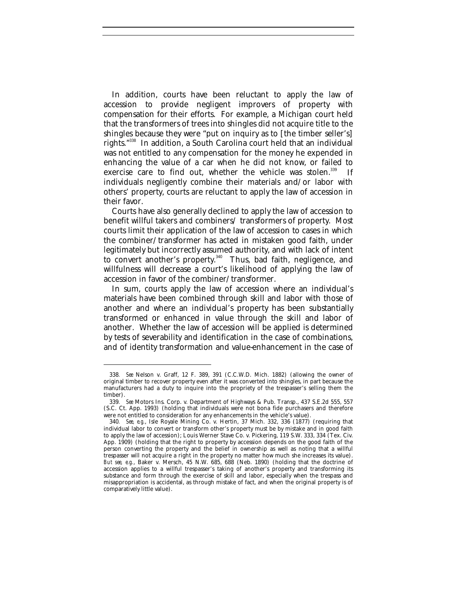In addition, courts have been reluctant to apply the law of accession to provide negligent improvers of property with compensation for their efforts. For example, a Michigan court held that the transformers of trees into shingles did not acquire title to the shingles because they were "put on inquiry as to [the timber seller's] rights."<sup>338</sup> In addition, a South Carolina court held that an individual was not entitled to any compensation for the money he expended in enhancing the value of a car when he did not know, or failed to exercise care to find out, whether the vehicle was stolen.<sup>339</sup> If individuals negligently combine their materials and/or labor with others' property, courts are reluctant to apply the law of accession in their favor.

Courts have also generally declined to apply the law of accession to benefit willful takers and combiners/ transformers of property. Most courts limit their application of the law of accession to cases in which the combiner/transformer has acted in mistaken good faith, under legitimately but incorrectly assumed authority, and with lack of intent to convert another's property.<sup>340</sup> Thus, bad faith, negligence, and willfulness will decrease a court's likelihood of applying the law of accession in favor of the combiner/transformer.

In sum, courts apply the law of accession where an individual's materials have been combined through skill and labor with those of another and where an individual's property has been substantially transformed or enhanced in value through the skill and labor of another. Whether the law of accession will be applied is determined by tests of severability and identification in the case of combinations, and of identity transformation and value-enhancement in the case of

<sup>338</sup>*. See* Nelson v. Graff, 12 F. 389, 391 (C.C.W.D. Mich. 1882) (allowing the owner of original timber to recover property even after it was converted into shingles, in part because the manufacturers had a duty to inquire into the propriety of the trespasser's selling them the timber).

<sup>339</sup>*. See* Motors Ins. Corp. v. Department of Highways & Pub. Transp., 437 S.E.2d 555, 557 (S.C. Ct. App. 1993) (holding that individuals were not bona fide purchasers and therefore were not entitled to consideration for any enhancements in the vehicle's value).

<sup>340</sup>*. See, e.g.*, Isle Royale Mining Co. v. Hertin, 37 Mich. 332, 336 (1877) (requiring that individual labor to convert or transform other's property must be by mistake and in good faith to apply the law of accession); Louis Werner Stave Co. v. Pickering, 119 S.W. 333, 334 (Tex. Civ. App. 1909) (holding that the right to property by accession depends on the good faith of the person converting the property and the belief in ownership as well as noting that a willful trespasser will not acquire a right in the property no matter how much she increases its value). *But see, e.g.*, Baker v. Mersch, 45 N.W. 685, 688 (Neb. 1890) (holding that the doctrine of accession applies to a willful trespasser's taking of another's property and transforming its substance and form through the exercise of skill and labor, especially when the trespass and misappropriation is accidental, as through mistake of fact, and when the original property is of comparatively little value).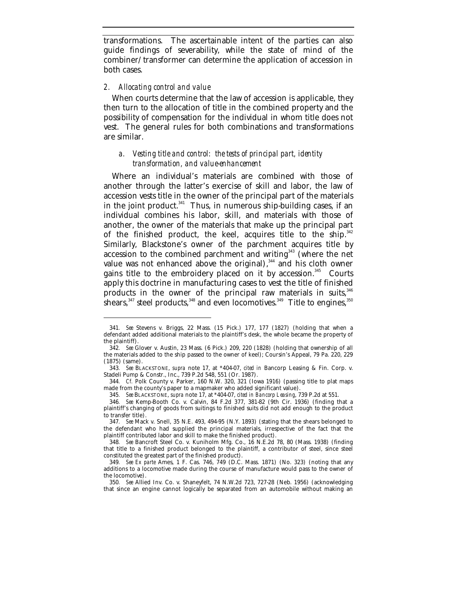transformations. The ascertainable intent of the parties can also guide findings of severability, while the state of mind of the combiner/transformer can determine the application of accession in both cases.

# *2. Allocating control and value*

-

When courts determine that the law of accession is applicable, they then turn to the allocation of title in the combined property and the possibility of compensation for the individual in whom title does not vest. The general rules for both combinations and transformations are similar.

# *a. Vesting title and control: the tests of principal part, identity transformation, and value-enhancement*

Where an individual's materials are combined with those of another through the latter's exercise of skill and labor, the law of accession vests title in the owner of the principal part of the materials in the joint product. $341$  Thus, in numerous ship-building cases, if an individual combines his labor, skill, and materials with those of another, the owner of the materials that make up the principal part of the finished product, the keel, acquires title to the ship.<sup>342</sup> Similarly, Blackstone's owner of the parchment acquires title by accession to the combined parchment and writing<sup>343</sup> (where the net value was not enhanced above the original),<sup>344</sup> and his cloth owner gains title to the embroidery placed on it by accession.<sup>345</sup> Courts apply this doctrine in manufacturing cases to vest the title of finished products in the owner of the principal raw materials in suits,  $346$ shears,  $347$  steel products,  $348$  and even locomotives.  $349$  Title to engines,  $350$ 

<sup>341</sup>*. See* Stevens v. Briggs, 22 Mass. (15 Pick.) 177, 177 (1827) (holding that when a defendant added additional materials to the plaintiff's desk, the whole became the property of the plaintiff).

<sup>342</sup>*. See* Glover v. Austin, 23 Mass. (6 Pick.) 209, 220 (1828) (holding that ownership of all the materials added to the ship passed to the owner of keel); Coursin's Appeal, 79 Pa. 220, 229 (1875) (same).

<sup>343</sup>*. See* BLACKSTONE, *supra* note 17, at \*404-07, *cited in* Bancorp Leasing & Fin. Corp. v. Stadeli Pump & Constr., Inc., 739 P.2d 548, 551 (Or. 1987).

<sup>344</sup>*. Cf.* Polk County v. Parker, 160 N.W. 320, 321 (Iowa 1916) (passing title to plat maps made from the county's paper to a mapmaker who added significant value).

<sup>345</sup>*. See* BLACKSTONE, *supra* note 17, at \*404-07, *cited in Bancorp Leasing*, 739 P.2d at 551.

<sup>346</sup>*. See* Kemp-Booth Co. v. Calvin, 84 F.2d 377, 381-82 (9th Cir. 1936) (finding that a plaintiff's changing of goods from suitings to finished suits did not add enough to the product to transfer title).

<sup>347</sup>*. See* Mack v. Snell, 35 N.E. 493, 494-95 (N.Y. 1893) (stating that the shears belonged to the defendant who had supplied the principal materials, irrespective of the fact that the plaintiff contributed labor and skill to make the finished product).

<sup>348</sup>*. See* Bancroft Steel Co. v. Kuniholm Mfg. Co., 16 N.E.2d 78, 80 (Mass. 1938) (finding that title to a finished product belonged to the plaintiff, a contributor of steel, since steel constituted the greatest part of the finished product).

<sup>349</sup>*. See Ex parte* Ames, 1 F. Cas. 746, 749 (D.C. Mass. 1871) (No. 323) (noting that any additions to a locomotive made during the course of manufacture would pass to the owner of the locomotive).

<sup>350</sup>*. See* Allied Inv. Co. v. Shaneyfelt, 74 N.W.2d 723, 727-28 (Neb. 1956) (acknowledging that since an engine cannot logically be separated from an automobile without making an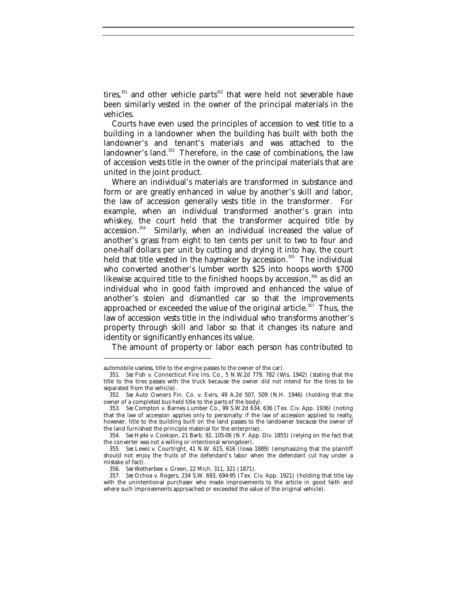tires, $351$  and other vehicle parts $352$  that were held not severable have been similarly vested in the owner of the principal materials in the vehicles.

Courts have even used the principles of accession to vest title to a building in a landowner when the building has built with both the landowner's and tenant's materials and was attached to the landowner's land.<sup>353</sup> Therefore, in the case of combinations, the law of accession vests title in the owner of the principal materials that are united in the joint product.

Where an individual's materials are transformed in substance and form or are greatly enhanced in value by another's skill and labor, the law of accession generally vests title in the transformer. For example, when an individual transformed another's grain into whiskey, the court held that the transformer acquired title by accession.<sup>354</sup> Similarly, when an individual increased the value of another's grass from eight to ten cents per unit to two to four and one-half dollars per unit by cutting and drying it into hay, the court held that title vested in the haymaker by accession.<sup>355</sup> The individual who converted another's lumber worth \$25 into hoops worth \$700 likewise acquired title to the finished hoops by accession,<sup>356</sup> as did an individual who in good faith improved and enhanced the value of another's stolen and dismantled car so that the improvements approached or exceeded the value of the original article.<sup>357</sup> Thus, the law of accession vests title in the individual who transforms another's property through skill and labor so that it changes its nature and identity or significantly enhances its value.

The amount of property or labor each person has contributed to

automobile useless, title to the engine passes to the owner of the car).

<sup>351</sup>*. See* Fish v. Connecticut Fire Ins. Co., 5 N.W.2d 779, 782 (Wis. 1942) (stating that the title to the tires passes with the truck because the owner did not intend for the tires to be separated from the vehicle).

<sup>352</sup>*. See* Auto Owners Fin. Co. v. Evirs, 49 A.2d 507, 509 (N.H. 1946) (holding that the owner of a completed bus held title to the parts of the body).

<sup>353</sup>*. See* Compton v. Barnes Lumber Co., 99 S.W.2d 634, 636 (Tex. Civ. App. 1936) (noting that the law of accession applies only to personalty; if the law of accession applied to realty, however, title to the building built on the land passes to the landowner because the owner of the land furnished the principle material for the enterprise).

<sup>354</sup>*. See* Hyde v. Cookson, 21 Barb. 92, 105-06 (N.Y. App. Div. 1855) (relying on the fact that the converter was not a willing or intentional wrongdoer).

<sup>355</sup>*. See* Lewis v. Courtright, 41 N.W. 615, 616 (Iowa 1889) (emphasizing that the plaintiff should not enjoy the fruits of the defendant's labor when the defendant cut hay under a mistake of fact).

<sup>356</sup>*. See* Wetherbee v. Green, 22 Mich. 311, 321 (1871).

<sup>357</sup>*. See* Ochoa v. Rogers, 234 S.W. 693, 694-95 (Tex. Civ. App. 1921) (holding that title lay with the unintentional purchaser who made improvements to the article in good faith and where such improvements approached or exceeded the value of the original vehicle).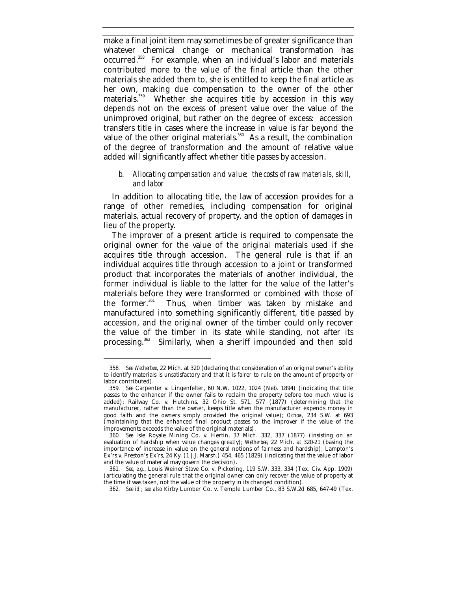make a final joint item may sometimes be of greater significance than whatever chemical change or mechanical transformation has occurred.<sup>358</sup> For example, when an individual's labor and materials contributed more to the value of the final article than the other materials she added them to, she is entitled to keep the final article as her own, making due compensation to the owner of the other materials.<sup>359</sup> Whether she acquires title by accession in this way depends not on the excess of present value over the value of the unimproved original, but rather on the degree of excess: accession transfers title in cases where the increase in value is far beyond the value of the other original materials.<sup>360</sup> As a result, the combination of the degree of transformation and the amount of relative value added will significantly affect whether title passes by accession.

# *b. Allocating compensation and value: the costs of raw materials, skill, and labor*

In addition to allocating title, the law of accession provides for a range of other remedies, including compensation for original materials, actual recovery of property, and the option of damages in lieu of the property.

The improver of a present article is required to compensate the original owner for the value of the original materials used if she acquires title through accession. The general rule is that if an individual acquires title through accession to a joint or transformed product that incorporates the materials of another individual, the former individual is liable to the latter for the value of the latter's materials before they were transformed or combined with those of the former.<sup>361</sup> Thus, when timber was taken by mistake and Thus, when timber was taken by mistake and manufactured into something significantly different, title passed by accession, and the original owner of the timber could only recover the value of the timber in its state while standing, not after its processing.<sup>362</sup> Similarly, when a sheriff impounded and then sold

<sup>358</sup>*. See Wetherbee*, 22 Mich. at 320 (declaring that consideration of an original owner's ability to identify materials is unsatisfactory and that it is fairer to rule on the amount of property or labor contributed).

<sup>359</sup>*. See* Carpenter v. Lingenfelter, 60 N.W. 1022, 1024 (Neb. 1894) (indicating that title passes to the enhancer if the owner fails to reclaim the property before too much value is added); Railway Co. v. Hutchins, 32 Ohio St. 571, 577 (1877) (determining that the manufacturer, rather than the owner, keeps title when the manufacturer expends money in good faith and the owners simply provided the original value); *Ochoa*, 234 S.W. at 693 (maintaining that the enhanced final product passes to the improver if the value of the improvements exceeds the value of the original materials).

<sup>360</sup>*. See* Isle Royale Mining Co. v. Hertin, 37 Mich. 332, 337 (1877) (insisting on an evaluation of hardship when value changes greatly); *Wetherbee*, 22 Mich. at 320-21 (basing the importance of increase in value on the general notions of fairness and hardship); Lampton's Ex'rs v. Preston's Ex'rs, 24 Ky. (1 J.J. Marsh.) 454, 465 (1829) (indicating that the value of labor and the value of material may govern the decision).

<sup>361</sup>*. See, e.g.*, Louis Weiner Stave Co. v. Pickering, 119 S.W. 333, 334 (Tex. Civ. App. 1909) (articulating the general rule that the original owner can only recover the value of property at the time it was taken, not the value of the property in its changed condition).

<sup>362</sup>*. See id.*; *see also* Kirby Lumber Co. v. Temple Lumber Co., 83 S.W.2d 685, 647-49 (Tex.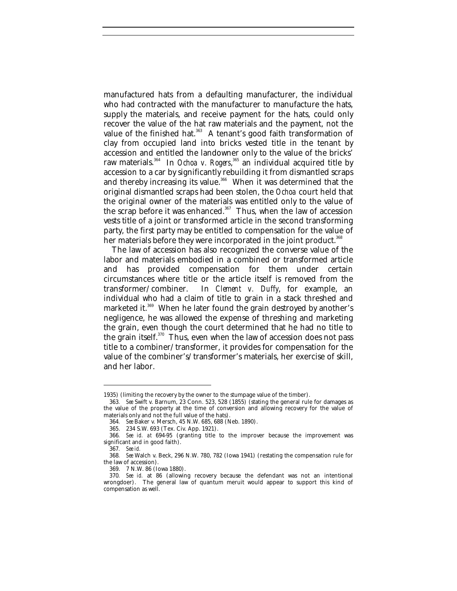manufactured hats from a defaulting manufacturer, the individual who had contracted with the manufacturer to manufacture the hats, supply the materials, and receive payment for the hats, could only recover the value of the hat raw materials and the payment, not the value of the finished hat.<sup>363</sup> A tenant's good faith transformation of clay from occupied land into bricks vested title in the tenant by accession and entitled the landowner only to the value of the bricks' raw materials.<sup>364</sup> In *Ochoa v. Rogers*, <sup>365</sup> an individual acquired title by accession to a car by significantly rebuilding it from dismantled scraps and thereby increasing its value.<sup>366</sup> When it was determined that the original dismantled scraps had been stolen, the *Ochoa* court held that the original owner of the materials was entitled only to the value of the scrap before it was enhanced.<sup>367</sup> Thus, when the law of accession vests title of a joint or transformed article in the second transforming party, the first party may be entitled to compensation for the value of her materials before they were incorporated in the joint product.<sup>368</sup>

The law of accession has also recognized the converse value of the labor and materials embodied in a combined or transformed article and has provided compensation for them under certain circumstances where title or the article itself is removed from the transformer/combiner. In *Clement v. Duffy*, for example, an individual who had a claim of title to grain in a stack threshed and marketed it.<sup>369</sup> When he later found the grain destroyed by another's negligence, he was allowed the expense of threshing and marketing the grain, even though the court determined that he had no title to the grain itself. $370$  Thus, even when the law of accession does not pass title to a combiner/transformer, it provides for compensation for the value of the combiner's/transformer's materials, her exercise of skill, and her labor.

<sup>1935) (</sup>limiting the recovery by the owner to the stumpage value of the timber).

<sup>363</sup>*. See* Swift v. Barnum, 23 Conn. 523, 528 (1855) (stating the general rule for damages as the value of the property at the time of conversion and allowing recovery for the value of materials only and not the full value of the hats).

<sup>364</sup>*. See* Baker v. Mersch, 45 N.W. 685, 688 (Neb. 1890).

<sup>365.</sup> 234 S.W. 693 (Tex. Civ. App. 1921).

<sup>366</sup>*. See id. at* 694-95 (granting title to the improver because the improvement was significant and in good faith).

<sup>367</sup>*. See id.*

<sup>368</sup>*. See* Walch v. Beck, 296 N.W. 780, 782 (Iowa 1941) (restating the compensation rule for the law of accession).

<sup>369.</sup> 7 N.W. 86 (Iowa 1880).

<sup>370</sup>*. See id.* at 86 (allowing recovery because the defendant was not an intentional wrongdoer). The general law of quantum meruit would appear to support this kind of compensation as well.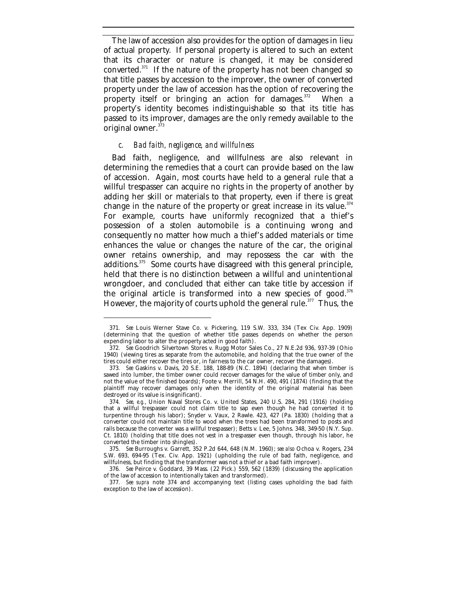The law of accession also provides for the option of damages in lieu of actual property. If personal property is altered to such an extent that its character or nature is changed, it may be considered converted. $371$  If the nature of the property has not been changed so that title passes by accession to the improver, the owner of converted property under the law of accession has the option of recovering the property itself or bringing an action for damages.<sup>372</sup> When a property's identity becomes indistinguishable so that its title has passed to its improver, damages are the only remedy available to the original owner. $373$ 

# *c. Bad faith, negligence, and willfulness*

-

Bad faith, negligence, and willfulness are also relevant in determining the remedies that a court can provide based on the law of accession. Again, most courts have held to a general rule that a willful trespasser can acquire no rights in the property of another by adding her skill or materials to that property, even if there is great change in the nature of the property or great increase in its value. $374$ For example, courts have uniformly recognized that a thief's possession of a stolen automobile is a continuing wrong and consequently no matter how much a thief's added materials or time enhances the value or changes the nature of the car, the original owner retains ownership, and may repossess the car with the additions.<sup>375</sup> Some courts have disagreed with this general principle, held that there is no distinction between a willful and unintentional wrongdoer, and concluded that either can take title by accession if the original article is transformed into a new species of good.<sup>376</sup> However, the majority of courts uphold the general rule.<sup>377</sup> Thus, the

<sup>371</sup>*. See* Louis Werner Stave Co. v. Pickering, 119 S.W. 333, 334 (Tex Civ. App. 1909) (determining that the question of whether title passes depends on whether the person expending labor to alter the property acted in good faith).

<sup>372</sup>*. See* Goodrich Silvertown Stores v. Rugg Motor Sales Co., 27 N.E.2d 936, 937-39 (Ohio 1940) (viewing tires as separate from the automobile, and holding that the true owner of the tires could either recover the tires or, in fairness to the car owner, recover the damages).

<sup>373</sup>*. See* Gaskins v. Davis, 20 S.E. 188, 188-89 (N.C. 1894) (declaring that when timber is sawed into lumber, the timber owner could recover damages for the value of timber only, and not the value of the finished boards); Foote v. Merrill, 54 N.H. 490, 491 (1874) (finding that the plaintiff may recover damages only when the identity of the original material has been destroyed or its value is insignificant).

<sup>374</sup>*. See, e.g.*, Union Naval Stores Co. v. United States, 240 U.S. 284, 291 (1916) (holding that a willful trespasser could not claim title to sap even though he had converted it to turpentine through his labor); Snyder v. Vaux, 2 Rawle. 423, 427 (Pa. 1830) (holding that a converter could not maintain title to wood when the trees had been transformed to posts and rails because the converter was a willful trespasser); Betts v. Lee, 5 Johns. 348, 349-50 (N.Y. Sup. Ct. 1810) (holding that title does not vest in a trespasser even though, through his labor, he converted the timber into shingles).

<sup>375</sup>*. See* Burroughs v. Garrett, 352 P.2d 644, 648 (N.M. 1960); *see also* Ochoa v. Rogers, 234 S.W. 693, 694-95 (Tex. Civ. App. 1921) (upholding the rule of bad faith, negligence, and willfulness, but finding that the transformer was not a thief or a bad faith improver).

<sup>376</sup>*. See* Peirce v. Goddard, 39 Mass. (22 Pick.) 559, 562 (1839) (discussing the application of the law of accession to intentionally taken and transformed).

<sup>377</sup>*. See supra* note 374 and accompanying text (listing cases upholding the bad faith exception to the law of accession).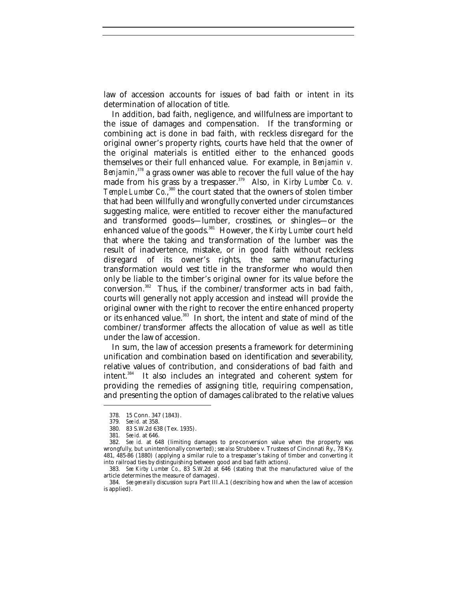law of accession accounts for issues of bad faith or intent in its determination of allocation of title.

In addition, bad faith, negligence, and willfulness are important to the issue of damages and compensation. If the transforming or combining act is done in bad faith, with reckless disregard for the original owner's property rights, courts have held that the owner of the original materials is entitled either to the enhanced goods themselves or their full enhanced value. For example, in *Benjamin v.* Benjamin,<sup>378</sup> a grass owner was able to recover the full value of the hay made from his grass by a trespasser.<sup>379</sup> Also, in *Kirby Lumber Co. v.* Temple Lumber Co.,<sup>380</sup> the court stated that the owners of stolen timber that had been willfully and wrongfully converted under circumstances suggesting malice, were entitled to recover either the manufactured and transformed goods—lumber, crosstines, or shingles—or the enhanced value of the goods.<sup>381</sup> However, the *Kirby Lumber* court held that where the taking and transformation of the lumber was the result of inadvertence, mistake, or in good faith without reckless disregard of its owner's rights, the same manufacturing transformation would vest title in the transformer who would then only be liable to the timber's original owner for its value before the  $conversion.<sup>382</sup>$  Thus, if the combiner/transformer acts in bad faith, courts will generally not apply accession and instead will provide the original owner with the right to recover the entire enhanced property or its enhanced value.<sup>383</sup> In short, the intent and state of mind of the combiner/transformer affects the allocation of value as well as title under the law of accession.

In sum, the law of accession presents a framework for determining unification and combination based on identification and severability, relative values of contribution, and considerations of bad faith and intent.<sup>384</sup> It also includes an integrated and coherent system for providing the remedies of assigning title, requiring compensation, and presenting the option of damages calibrated to the relative values

<sup>378.</sup> 15 Conn. 347 (1843).

<sup>379</sup>*. See id.* at 358.

<sup>380.</sup> 83 S.W.2d 638 (Tex. 1935).

<sup>381</sup>*. See id.* at 646.

<sup>382</sup>*. See id.* at 648 (limiting damages to pre-conversion value when the property was wrongfully, but unintentionally converted); *see also* Strubbee v. Trustees of Cincinnati Ry., 78 Ky. 481, 485-86 (1880) (applying a similar rule to a trespasser's taking of timber and converting it into railroad ties by distinguishing between good and bad faith actions).

<sup>383</sup>*. See Kirby Lumber Co.*, 83 S.W.2d at 646 (stating that the manufactured value of the article determines the measure of damages).

<sup>384</sup>*. See generally* discussion *supra* Part III.A.1 (describing how and when the law of accession is applied).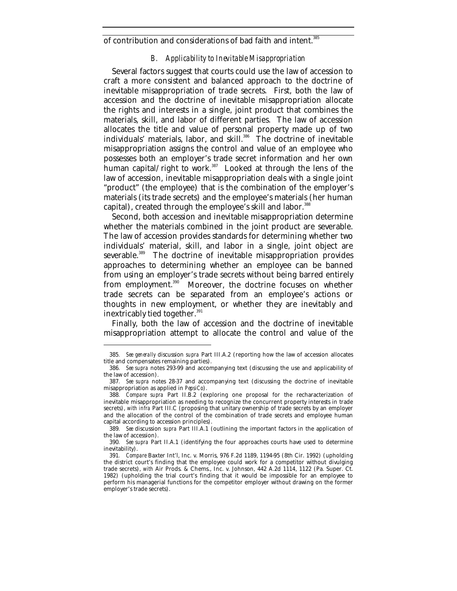of contribution and considerations of bad faith and intent.<sup>385</sup>

### *B. Applicability to Inevitable Misappropriation*

Several factors suggest that courts could use the law of accession to craft a more consistent and balanced approach to the doctrine of inevitable misappropriation of trade secrets. First, both the law of accession and the doctrine of inevitable misappropriation allocate the rights and interests in a single, joint product that combines the materials, skill, and labor of different parties. The law of accession allocates the title and value of personal property made up of two individuals' materials, labor, and skill.<sup>386</sup> The doctrine of inevitable misappropriation assigns the control and value of an employee who possesses both an employer's trade secret information and her own human capital/right to work. $387$  Looked at through the lens of the law of accession, inevitable misappropriation deals with a single joint "product" (the employee) that is the combination of the employer's materials (its trade secrets) and the employee's materials (her human capital), created through the employee's skill and labor.<sup>388</sup>

Second, both accession and inevitable misappropriation determine whether the materials combined in the joint product are severable. The law of accession provides standards for determining whether two individuals' material, skill, and labor in a single, joint object are severable.<sup>389</sup> The doctrine of inevitable misappropriation provides approaches to determining whether an employee can be banned from using an employer's trade secrets without being barred entirely from employment.<sup>390</sup> Moreover, the doctrine focuses on whether trade secrets can be separated from an employee's actions or thoughts in new employment, or whether they are inevitably and inextricably tied together.<sup>391</sup>

Finally, both the law of accession and the doctrine of inevitable misappropriation attempt to allocate the control and value of the

<sup>385</sup>*. See generally* discussion *supra* Part III.A.2 (reporting how the law of accession allocates title and compensates remaining parties).

<sup>386</sup>*. See supra* notes 293-99 and accompanying text (discussing the use and applicability of the law of accession).

<sup>387</sup>*. See supra* notes 28-37 and accompanying text (discussing the doctrine of inevitable misappropriation as applied in *PepsiCo*).

<sup>388</sup>*. Compare supra* Part II.B.2 (exploring one proposal for the recharacterization of inevitable misappropriation as needing to recognize the concurrent property interests in trade secrets), *with infra* Part III.C (proposing that unitary ownership of trade secrets by an employer and the allocation of the control of the combination of trade secrets and employee human capital according to accession principles).

<sup>389</sup>*. See* discussion *supra* Part III.A.1 (outlining the important factors in the application of the law of accession).

<sup>390</sup>*. See supra* Part II.A.1 (identifying the four approaches courts have used to determine inevitability).

<sup>391</sup>*. Compare* Baxter Int'l, Inc. v. Morris, 976 F.2d 1189, 1194-95 (8th Cir. 1992) (upholding the district court's finding that the employee could work for a competitor without divulging trade secrets), *with* Air Prods. & Chems., Inc. v. Johnson, 442 A.2d 1114, 1122 (Pa. Super. Ct. 1982) (upholding the trial court's finding that it would be impossible for an employee to perform his managerial functions for the competitor employer without drawing on the former employer's trade secrets).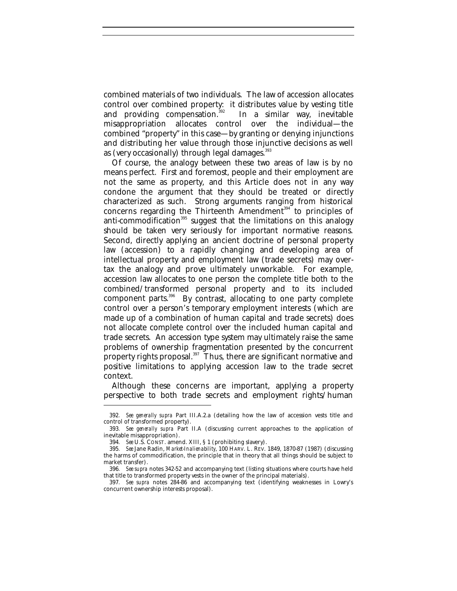combined materials of two individuals. The law of accession allocates control over combined property: it distributes value by vesting title and providing compensation. $392$  In a similar way, inevitable misappropriation allocates control over the individual—the combined "property" in this case—by granting or denying injunctions and distributing her value through those injunctive decisions as well as (very occasionally) through legal damages. $393$ 

Of course, the analogy between these two areas of law is by no means perfect. First and foremost, people and their employment are not the same as property, and this Article does not in any way condone the argument that they should be treated or directly characterized as such. Strong arguments ranging from historical concerns regarding the Thirteenth Amendment $394$  to principles of anti-commodification<sup>395</sup> suggest that the limitations on this analogy should be taken very seriously for important normative reasons. Second, directly applying an ancient doctrine of personal property law (accession) to a rapidly changing and developing area of intellectual property and employment law (trade secrets) may overtax the analogy and prove ultimately unworkable. For example, accession law allocates to one person the complete title both to the combined/transformed personal property and to its included component parts.<sup>396</sup> By contrast, allocating to one party complete control over a person's temporary employment interests (which are made up of a combination of human capital and trade secrets) does not allocate complete control over the included human capital and trade secrets. An accession type system may ultimately raise the same problems of ownership fragmentation presented by the concurrent property rights proposal.<sup>397</sup> Thus, there are significant normative and positive limitations to applying accession law to the trade secret context.

Although these concerns are important, applying a property perspective to both trade secrets and employment rights/human

<sup>392</sup>*. See generally supra* Part III.A.2.a (detailing how the law of accession vests title and control of transformed property).

<sup>393</sup>*. See generally supra* Part II.A (discussing current approaches to the application of inevitable misappropriation).

<sup>394</sup>*. See* U.S. CONST. amend. XIII, § 1 (prohibiting slavery).

<sup>395</sup>*. See* Jane Radin, *Market-Inalienability*, 100 HARV. L. REV. 1849, 1870-87 (1987) (discussing the harms of commodification, the principle that in theory that all things should be subject to market transfer).

<sup>396</sup>*. See supra* notes 342-52 and accompanying text (listing situations where courts have held that title to transformed property vests in the owner of the principal materials).

<sup>397</sup>*. See supra* notes 284-86 and accompanying text (identifying weaknesses in Lowry's concurrent ownership interests proposal).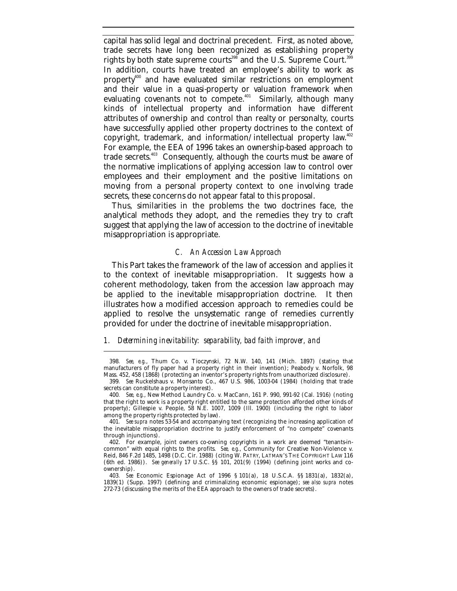capital has solid legal and doctrinal precedent. First, as noted above, trade secrets have long been recognized as establishing property rights by both state supreme courts<sup>398</sup> and the U.S. Supreme Court.<sup>399</sup> In addition, courts have treated an employee's ability to work as property<sup>400</sup> and have evaluated similar restrictions on employment and their value in a quasi-property or valuation framework when evaluating covenants not to compete.<sup> $401$ </sup> Similarly, although many kinds of intellectual property and information have different attributes of ownership and control than realty or personalty, courts have successfully applied other property doctrines to the context of copyright, trademark, and information/intellectual property law.<sup>402</sup> For example, the EEA of 1996 takes an ownership-based approach to trade secrets.<sup>403</sup> Consequently, although the courts must be aware of the normative implications of applying accession law to control over employees and their employment and the positive limitations on moving from a personal property context to one involving trade secrets, these concerns do not appear fatal to this proposal.

Thus, similarities in the problems the two doctrines face, the analytical methods they adopt, and the remedies they try to craft suggest that applying the law of accession to the doctrine of inevitable misappropriation is appropriate.

#### *C. An Accession Law Approach*

This Part takes the framework of the law of accession and applies it to the context of inevitable misappropriation. It suggests how a coherent methodology, taken from the accession law approach may be applied to the inevitable misappropriation doctrine. It then illustrates how a modified accession approach to remedies could be applied to resolve the unsystematic range of remedies currently provided for under the doctrine of inevitable misappropriation.

## *1. Determining inevitability: separability, bad faith improver, and*

<sup>398</sup>*. See, e.g.*, Thum Co. v. Tioczynski, 72 N.W. 140, 141 (Mich. 1897) (stating that manufacturers of fly paper had a property right in their invention); Peabody v. Norfolk, 98 Mass. 452, 458 (1868) (protecting an inventor's property rights from unauthorized disclosure).

<sup>399</sup>*. See* Ruckelshaus v. Monsanto Co., 467 U.S. 986, 1003-04 (1984) (holding that trade secrets can constitute a property interest).

<sup>400</sup>*. See, e.g.*, New Method Laundry Co. v. MacCann, 161 P. 990, 991-92 (Cal. 1916) (noting that the right to work is a property right entitled to the same protection afforded other kinds of property); Gillespie v. People, 58 N.E. 1007, 1009 (Ill. 1900) (including the right to labor among the property rights protected by law).

<sup>401</sup>*. See supra* notes 53-54 and accompanying text (recognizing the increasing application of the inevitable misappropriation doctrine to justify enforcement of "no compete" covenants through injunctions).

<sup>402.</sup> For example, joint owners co-owning copyrights in a work are deemed "tenants-incommon" with equal rights to the profits. *See, e.g.*, Community for Creative Non-Violence v. Reid, 846 F.2d 1485, 1498 (D.C. Cir. 1988) (citing W. PATRY, LATMAN'S THE COPYRIGHT LAW 116 (6th ed. 1986)). *See generally* 17 U.S.C. §§ 101, 201(9) (1994) (defining joint works and coownership).

<sup>403</sup>*. See* Economic Espionage Act of 1996 § 101(a), 18 U.S.C.A. §§ 1831(a), 1832(a), 1839(1) (Supp. 1997) (defining and criminalizing economic espionage); *see also supra* notes 272-73 (discussing the merits of the EEA approach to the owners of trade secrets).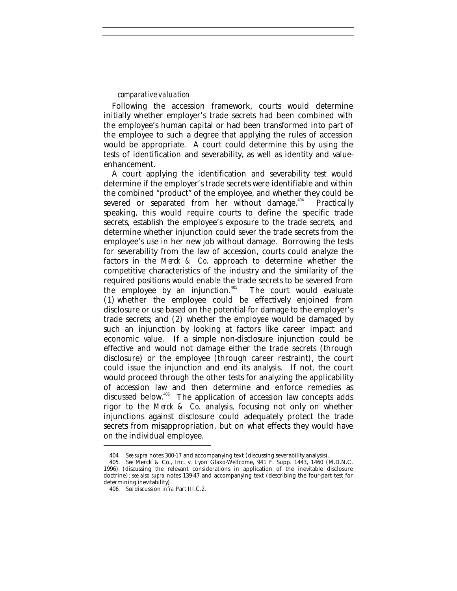## *comparative valuation*

Following the accession framework, courts would determine initially whether employer's trade secrets had been combined with the employee's human capital or had been transformed into part of the employee to such a degree that applying the rules of accession would be appropriate. A court could determine this by using the tests of identification and severability, as well as identity and valueenhancement.

A court applying the identification and severability test would determine if the employer's trade secrets were identifiable and within the combined "product" of the employee, and whether they could be severed or separated from her without damage.<sup>404</sup> Practically speaking, this would require courts to define the specific trade secrets, establish the employee's exposure to the trade secrets, and determine whether injunction could sever the trade secrets from the employee's use in her new job without damage. Borrowing the tests for severability from the law of accession, courts could analyze the factors in the *Merck & Co.* approach to determine whether the competitive characteristics of the industry and the similarity of the required positions would enable the trade secrets to be severed from the employee by an injunction. $405$  The court would evaluate (1) whether the employee could be effectively enjoined from disclosure or use based on the potential for damage to the employer's trade secrets; and (2) whether the employee would be damaged by such an injunction by looking at factors like career impact and economic value. If a simple non-disclosure injunction could be effective and would not damage either the trade secrets (through disclosure) or the employee (through career restraint), the court could issue the injunction and end its analysis. If not, the court would proceed through the other tests for analyzing the applicability of accession law and then determine and enforce remedies as discussed below.<sup>406</sup> The application of accession law concepts adds rigor to the *Merck & Co.* analysis, focusing not only on whether injunctions against disclosure could adequately protect the trade secrets from misappropriation, but on what effects they would have on the individual employee.

<sup>404</sup>*. See supra* notes 300-17 and accompanying text (discussing severability analysis).

<sup>405</sup>*. See* Merck & Co., Inc. v. Lyon Glaxo-Wellcome, 941 F. Supp. 1443, 1460 (M.D.N.C. 1996) (discussing the relevant considerations in application of the inevitable disclosure doctrine); *see also supra* notes 139-47 and accompanying text (describing the four-part test for determining inevitability).

<sup>406</sup>*. See* discussion *infra* Part III.C.2.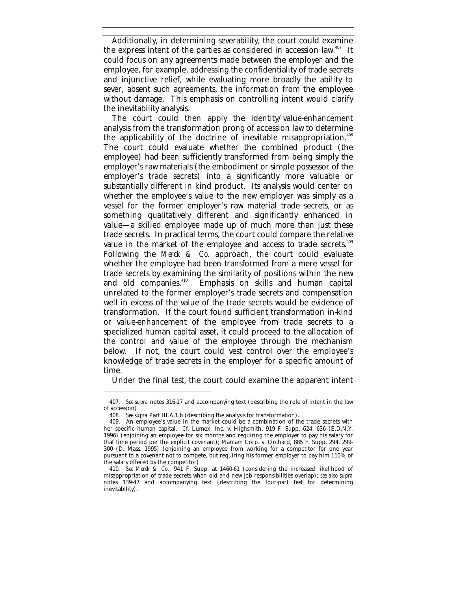Additionally, in determining severability, the court could examine the express intent of the parties as considered in accession law.<sup>407</sup> It could focus on any agreements made between the employer and the employee, for example, addressing the confidentiality of trade secrets and injunctive relief, while evaluating more broadly the ability to sever, absent such agreements, the information from the employee without damage. This emphasis on controlling intent would clarify the inevitability analysis.

The court could then apply the identity/value-enhancement analysis from the transformation prong of accession law to determine the applicability of the doctrine of inevitable misappropriation.<sup>408</sup> The court could evaluate whether the combined product (the employee) had been sufficiently transformed from being simply the employer's raw materials (the embodiment or simple possessor of the employer's trade secrets) into a significantly more valuable or substantially different in kind product. Its analysis would center on whether the employee's value to the new employer was simply as a vessel for the former employer's raw material trade secrets, or as something qualitatively different and significantly enhanced in value—a skilled employee made up of much more than just these trade secrets. In practical terms, the court could compare the relative value in the market of the employee and access to trade secrets.<sup>409</sup> Following the *Merck & Co.* approach, the court could evaluate whether the employee had been transformed from a mere vessel for trade secrets by examining the similarity of positions within the new<br>and old companies.<sup>410</sup> Emphasis on skills and human capital Emphasis on skills and human capital unrelated to the former employer's trade secrets and compensation well in excess of the value of the trade secrets would be evidence of transformation. If the court found sufficient transformation in-kind or value-enhancement of the employee from trade secrets to a specialized human capital asset, it could proceed to the allocation of the control and value of the employee through the mechanism below. If not, the court could vest control over the employee's knowledge of trade secrets in the employer for a specific amount of time.

Under the final test, the court could examine the apparent intent

<sup>407</sup>*. See supra* notes 316-17 and accompanying text (describing the role of intent in the law of accession).

<sup>408</sup>*. See supra* Part III.A.1.b (describing the analysis for transformation).

<sup>409.</sup> An employee's value in the market could be a combination of the trade secrets with her specific human capital. *Cf.* Lumex, Inc. v. Highsmith, 919 F. Supp. 624, 636 (E.D.N.Y. 1996) (enjoining an employee for six months and requiring the employer to pay his salary for that time period per the explicit covenant); Marcam Corp. v. Orchard, 885 F. Supp. 294, 299- 300 (D. Mass. 1995) (enjoining an employee from working for a competitor for one year pursuant to a covenant not to compete, but requiring his former employer to pay him 110% of the salary offered by the competitor).

<sup>410</sup>*. See Merck & Co.*, 941 F. Supp. at 1460-61 (considering the increased likelihood of misappropriation of trade secrets when old and new job responsibilities overlap); *see also supra* notes 139-47 and accompanying text (describing the four-part test for determining inevitability).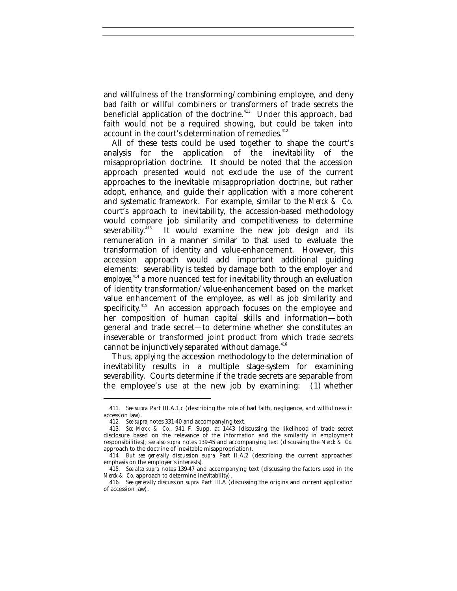and willfulness of the transforming/combining employee, and deny bad faith or willful combiners or transformers of trade secrets the beneficial application of the doctrine.<sup>411</sup> Under this approach, bad faith would not be a required showing, but could be taken into account in the court's determination of remedies.<sup>412</sup>

All of these tests could be used together to shape the court's analysis for the application of the inevitability of the misappropriation doctrine. It should be noted that the accession approach presented would not exclude the use of the current approaches to the inevitable misappropriation doctrine, but rather adopt, enhance, and guide their application with a more coherent and systematic framework. For example, similar to the *Merck & Co.* court's approach to inevitability, the accession-based methodology would compare job similarity and competitiveness to determine<br>severability.<sup>413</sup> It would examine the new iob design and its It would examine the new job design and its remuneration in a manner similar to that used to evaluate the transformation of identity and value-enhancement. However, this accession approach would add important additional guiding elements: severability is tested by damage both to the employer *and employee*, <sup>414</sup> a more nuanced test for inevitability through an evaluation of identity transformation/value-enhancement based on the market value enhancement of the employee, as well as job similarity and specificity.<sup>415</sup> An accession approach focuses on the employee and her composition of human capital skills and information—both general and trade secret—to determine whether she constitutes an inseverable or transformed joint product from which trade secrets cannot be injunctively separated without damage. $416$ 

Thus, applying the accession methodology to the determination of inevitability results in a multiple stage-system for examining severability. Courts determine if the trade secrets are separable from the employee's use at the new job by examining: (1) whether

<sup>411</sup>*. See supra* Part III.A.1.c (describing the role of bad faith, negligence, and willfullness in accession law).

<sup>412</sup>*. See supra* notes 331-40 and accompanying text.

<sup>413</sup>*. See Merck & Co.*, 941 F. Supp. at 1443 (discussing the likelihood of trade secret disclosure based on the relevance of the information and the similarity in employment responsibilities); *see also supra* notes 139-45 and accompanying text (discussing the *Merck & Co.* approach to the doctrine of inevitable misappropriation).

<sup>414</sup>*. But see generally* discussion *supra* Part II.A.2 (describing the current approaches' emphasis on the employer's interests).

<sup>415</sup>*. See also supra* notes 139-47 and accompanying text (discussing the factors used in the *Merck & Co.* approach to determine inevitability).

<sup>416</sup>*. See generally* discussion *supra* Part III.A (discussing the origins and current application of accession law).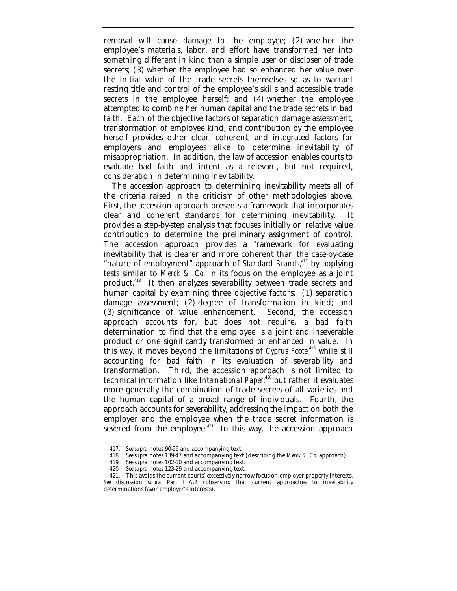removal will cause damage to the employee; (2) whether the employee's materials, labor, and effort have transformed her into something different in kind than a simple user or discloser of trade secrets; (3) whether the employee had so enhanced her value over the initial value of the trade secrets themselves so as to warrant resting title and control of the employee's skills and accessible trade secrets in the employee herself; and (4) whether the employee attempted to combine her human capital and the trade secrets in bad faith. Each of the objective factors of separation damage assessment, transformation of employee kind, and contribution by the employee herself provides other clear, coherent, and integrated factors for employers and employees alike to determine inevitability of misappropriation. In addition, the law of accession enables courts to evaluate bad faith and intent as a relevant, but not required, consideration in determining inevitability.

The accession approach to determining inevitability meets all of the criteria raised in the criticism of other methodologies above. First, the accession approach presents a framework that incorporates clear and coherent standards for determining inevitability. It provides a step-by-step analysis that focuses initially on relative value contribution to determine the preliminary assignment of control. The accession approach provides a framework for evaluating inevitability that is clearer and more coherent than the case-by-case "nature of employment" approach of *Standard Brands*, <sup>417</sup> by applying tests similar to *Merck & Co.* in its focus on the employee as a joint product.<sup>418</sup> It then analyzes severability between trade secrets and human capital by examining three objective factors: (1) separation damage assessment; (2) degree of transformation in kind; and (3) significance of value enhancement. Second, the accession  $(3)$  significance of value enhancement. approach accounts for, but does not require, a bad faith determination to find that the employee is a joint and inseverable product or one significantly transformed or enhanced in value. In this way, it moves beyond the limitations of *Cyprus Foote*, <sup>419</sup> while still accounting for bad faith in its evaluation of severability and transformation. Third, the accession approach is not limited to technical information like *International Paper*; <sup>420</sup> but rather it evaluates more generally the combination of trade secrets of all varieties and the human capital of a broad range of individuals. Fourth, the approach accounts for severability, addressing the impact on both the employer and the employee when the trade secret information is severed from the employee. $421$  In this way, the accession approach

<sup>417.</sup> *See supra* notes 90-96 and accompanying text.

<sup>418</sup>*. See supra* notes 139-47 and accompanying text (describing the *Merck & Co.* approach).

<sup>419</sup>*. See supra* notes 102-10 and accompanying text.

<sup>420</sup>*. See supra* notes 123-29 and accompanying text.

<sup>421.</sup> This avoids the current courts' excessively narrow focus on employer property interests. *See* discussion *supra* Part II.A.2 (observing that current approaches to inevitability determinations favor employer's interests).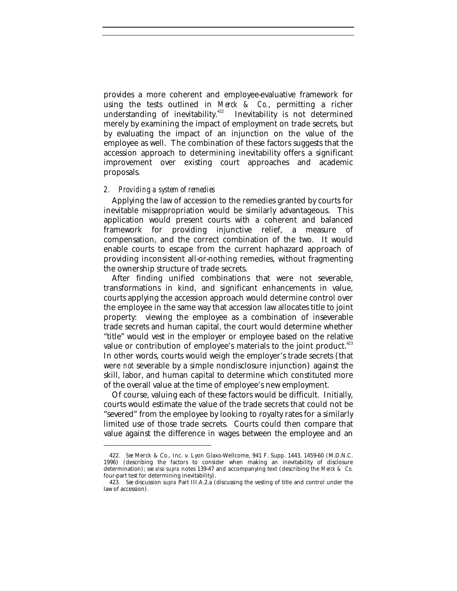provides a more coherent and employee-evaluative framework for using the tests outlined in *Merck & Co.*, permitting a richer understanding of inevitability.<sup>422</sup> Inevitability is not determined merely by examining the impact of employment on trade secrets, but by evaluating the impact of an injunction on the value of the employee as well. The combination of these factors suggests that the accession approach to determining inevitability offers a significant improvement over existing court approaches and academic proposals.

## *2. Providing a system of remedies*

-

Applying the law of accession to the remedies granted by courts for inevitable misappropriation would be similarly advantageous. This application would present courts with a coherent and balanced framework for providing injunctive relief, a measure of compensation, and the correct combination of the two. It would enable courts to escape from the current haphazard approach of providing inconsistent all-or-nothing remedies, without fragmenting the ownership structure of trade secrets.

After finding unified combinations that were not severable, transformations in kind, and significant enhancements in value, courts applying the accession approach would determine control over the employee in the same way that accession law allocates title to joint property: viewing the employee as a combination of inseverable trade secrets and human capital, the court would determine whether "title" would vest in the employer or employee based on the relative value or contribution of employee's materials to the joint product.<sup>423</sup> In other words, courts would weigh the employer's trade secrets (that were *not* severable by a simple nondisclosure injunction) against the skill, labor, and human capital to determine which constituted more of the overall value at the time of employee's new employment.

Of course, valuing each of these factors would be difficult. Initially, courts would estimate the value of the trade secrets that could not be "severed" from the employee by looking to royalty rates for a similarly limited use of those trade secrets. Courts could then compare that value against the difference in wages between the employee and an

<sup>422</sup>*. See* Merck & Co., Inc. v. Lyon Glaxo-Wellcome, 941 F. Supp. 1443, 1459-60 (M.D.N.C. 1996) (describing the factors to consider when making an inevitability of disclosure determination); *see also supra* notes 139-47 and accompanying text (describing the *Merck & Co.* four-part test for determining inevitability).

<sup>423</sup>*. See* discussion *supra* Part III.A.2.a (discussing the vesting of title and control under the law of accession).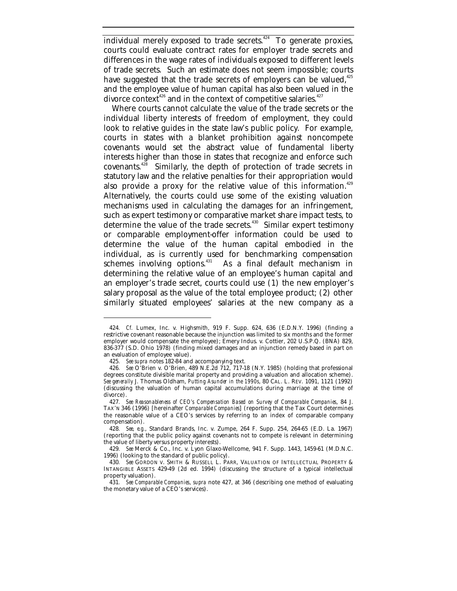individual merely exposed to trade secrets.<sup>424</sup> To generate proxies, courts could evaluate contract rates for employer trade secrets and differences in the wage rates of individuals exposed to different levels of trade secrets. Such an estimate does not seem impossible; courts have suggested that the trade secrets of employers can be valued, $425$ and the employee value of human capital has also been valued in the divorce context<sup>426</sup> and in the context of competitive salaries.<sup>427</sup>

Where courts cannot calculate the value of the trade secrets or the individual liberty interests of freedom of employment, they could look to relative guides in the state law's public policy. For example, courts in states with a blanket prohibition against noncompete covenants would set the abstract value of fundamental liberty interests higher than those in states that recognize and enforce such covenants.<sup>428</sup> Similarly, the depth of protection of trade secrets in statutory law and the relative penalties for their appropriation would also provide a proxy for the relative value of this information.<sup>429</sup> Alternatively, the courts could use some of the existing valuation mechanisms used in calculating the damages for an infringement, such as expert testimony or comparative market share impact tests, to determine the value of the trade secrets.<sup>430</sup> Similar expert testimony or comparable employment-offer information could be used to determine the value of the human capital embodied in the individual, as is currently used for benchmarking compensation schemes involving options.<sup>431</sup> As a final default mechanism in As a final default mechanism in determining the relative value of an employee's human capital and an employer's trade secret, courts could use (1) the new employer's salary proposal as the value of the total employee product; (2) other similarly situated employees' salaries at the new company as a

<sup>424</sup>*. Cf.* Lumex, Inc. v. Highsmith, 919 F. Supp. 624, 636 (E.D.N.Y. 1996) (finding a restrictive covenant reasonable because the injunction was limited to six months and the former employer would compensate the employee); Emery Indus. v. Cottier, 202 U.S.P.Q. (BNA) 829, 836-377 (S.D. Ohio 1978) (finding mixed damages and an injunction remedy based in part on an evaluation of employee value).

<sup>425</sup>*. See supra* notes 182-84 and accompanying text.

<sup>426</sup>*. See* O'Brien v. O'Brien, 489 N.E.2d 712, 717-18 (N.Y. 1985) (holding that professional degrees constitute divisible marital property and providing a valuation and allocation scheme). *See generally* J. Thomas Oldham, *Putting Asunder in the 1990s*, 80 CAL. L. REV. 1091, 1121 (1992) (discussing the valuation of human capital accumulations during marriage at the time of divorce).

<sup>427</sup>*. See Reasonableness of CEO's Compensation Based on Survey of Comparable Companies*, 84 J. TAX'N 346 (1996) [hereinafter *Comparable Companies*] (reporting that the Tax Court determines the reasonable value of a CEO's services by referring to an index of comparable company compensation).

<sup>428</sup>*. See, e.g.*, Standard Brands, Inc. v. Zumpe, 264 F. Supp. 254, 264-65 (E.D. La. 1967) (reporting that the public policy against covenants not to compete is relevant in determining the value of liberty versus property interests).

<sup>429</sup>*. See* Merck & Co., Inc. v. Lyon Glaxo-Wellcome, 941 F. Supp. 1443, 1459-61 (M.D.N.C. 1996) (looking to the standard of public policy).

<sup>430</sup>*. See* GORDON V. SMITH & RUSSELL L. PARR, VALUATION OF INTELLECTUAL PROPERTY & INTANGIBLE ASSETS 429-49 (2d ed. 1994) (discussing the structure of a typical intellectual property valuation).

<sup>431</sup>*. See Comparable Companies*, *supra* note 427, at 346 (describing one method of evaluating the monetary value of a CEO's services).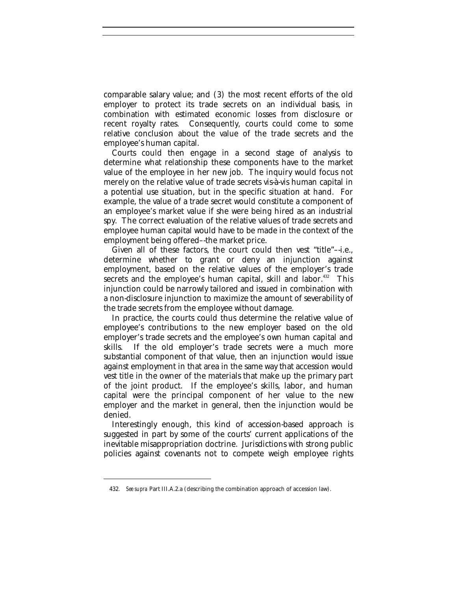comparable salary value; and (3) the most recent efforts of the old employer to protect its trade secrets on an individual basis, in combination with estimated economic losses from disclosure or recent royalty rates. Consequently, courts could come to some relative conclusion about the value of the trade secrets and the employee's human capital.

Courts could then engage in a second stage of analysis to determine what relationship these components have to the market value of the employee in her new job. The inquiry would focus not merely on the relative value of trade secrets vis-à-vis human capital in a potential use situation, but in the specific situation at hand. For example, the value of a trade secret would constitute a component of an employee's market value if she were being hired as an industrial spy. The correct evaluation of the relative values of trade secrets and employee human capital would have to be made in the context of the employment being offered–-the market price.

Given all of these factors, the court could then vest "title"–-i.e., determine whether to grant or deny an injunction against employment, based on the relative values of the employer's trade secrets and the employee's human capital, skill and labor.<sup>432</sup> This injunction could be narrowly tailored and issued in combination with a non-disclosure injunction to maximize the amount of severability of the trade secrets from the employee without damage.

In practice, the courts could thus determine the relative value of employee's contributions to the new employer based on the old employer's trade secrets and the employee's own human capital and skills. If the old employer's trade secrets were a much more substantial component of that value, then an injunction would issue against employment in that area in the same way that accession would vest title in the owner of the materials that make up the primary part of the joint product. If the employee's skills, labor, and human capital were the principal component of her value to the new employer and the market in general, then the injunction would be denied.

Interestingly enough, this kind of accession-based approach is suggested in part by some of the courts' current applications of the inevitable misappropriation doctrine. Jurisdictions with strong public policies against covenants not to compete weigh employee rights

<sup>432</sup>*. See supra* Part III.A.2.a (describing the combination approach of accession law).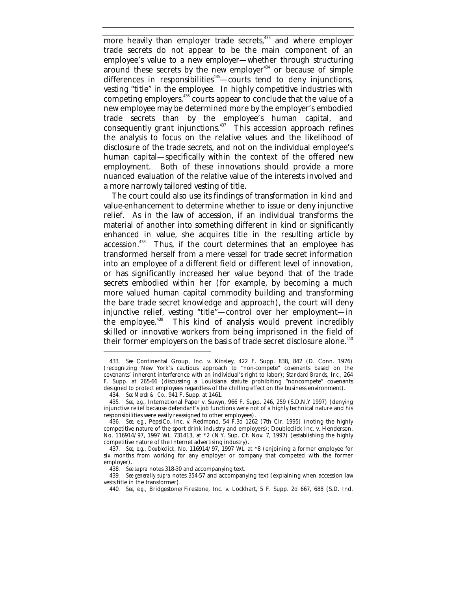more heavily than employer trade secrets,<sup>433</sup> and where employer trade secrets do not appear to be the main component of an employee's value to a new employer—whether through structuring around these secrets by the new employer<sup>434</sup> or because of simple differences in responsibilities<sup>435</sup>—courts tend to deny injunctions, vesting "title" in the employee. In highly competitive industries with competing employers,<sup>436</sup> courts appear to conclude that the value of a new employee may be determined more by the employer's embodied trade secrets than by the employee's human capital, and consequently grant injunctions. $437$  This accession approach refines the analysis to focus on the relative values and the likelihood of disclosure of the trade secrets, and not on the individual employee's human capital—specifically within the context of the offered new employment. Both of these innovations should provide a more nuanced evaluation of the relative value of the interests involved and a more narrowly tailored vesting of title.

The court could also use its findings of transformation in kind and value-enhancement to determine whether to issue or deny injunctive relief. As in the law of accession, if an individual transforms the material of another into something different in kind or significantly enhanced in value, she acquires title in the resulting article by accession.<sup>438</sup> Thus, if the court determines that an employee has transformed herself from a mere vessel for trade secret information into an employee of a different field or different level of innovation, or has significantly increased her value beyond that of the trade secrets embodied within her (for example, by becoming a much more valued human capital commodity building and transforming the bare trade secret knowledge and approach), the court will deny injunctive relief, vesting "title"—control over her employment—in the employee.<sup>439</sup> This kind of analysis would prevent incredibly skilled or innovative workers from being imprisoned in the field of their former employers on the basis of trade secret disclosure alone.<sup>440</sup>

<sup>433</sup>*. See* Continental Group, Inc. v. Kinsley, 422 F. Supp. 838, 842 (D. Conn. 1976) (recognizing New York's cautious approach to "non-compete" covenants based on the covenants' inherent interference with an individual's right to labor); *Standard Brands, Inc.*, 264 F. Supp. at 265-66 (discussing a Louisiana statute prohibiting "noncompete" covenants designed to protect employees regardless of the chilling effect on the business environment).

<sup>434</sup>*. See Merck & Co.*, 941 F. Supp. at 1461.

<sup>435</sup>*. See, e.g.*, International Paper v. Suwyn, 966 F. Supp. 246, 259 (S.D.N.Y 1997) (denying injunctive relief because defendant's job functions were not of a highly technical nature and his responsibilities were easily reassigned to other employees).

<sup>436</sup>*. See, e.g.*, PepsiCo, Inc. v. Redmond, 54 F.3d 1262 (7th Cir. 1995) (noting the highly competitive nature of the sport drink industry and employers); Doubleclick Inc. v. Henderson, No. 116914/97, 1997 WL 731413, at \*2 (N.Y. Sup. Ct. Nov. 7, 1997) (establishing the highly competitive nature of the Internet advertising industry).

<sup>437</sup>*. See, e.g.*, *Doubleclick*, No. 116914/97, 1997 WL at \*8 (enjoining a former employee for six months from working for any employer or company that competed with the former employer).

<sup>438</sup>*. See supra* notes 318-30 and accompanying text.

<sup>439</sup>*. See generally supra* notes 354-57 and accompanying text (explaining when accession law vests title in the transformer).

<sup>440</sup>*. See, e.g.*, Bridgestone/Firestone, Inc. v. Lockhart, 5 F. Supp. 2d 667, 688 (S.D. Ind.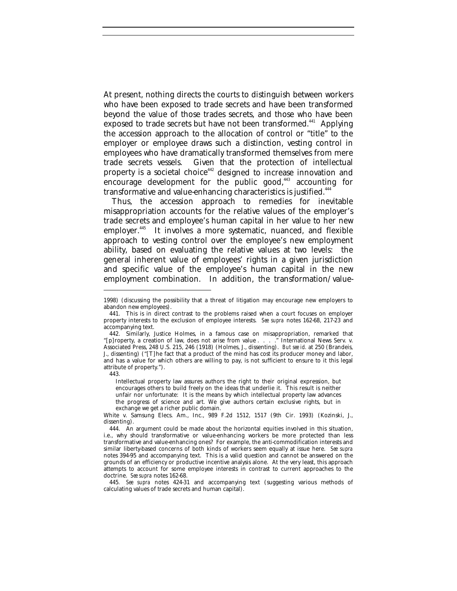At present, nothing directs the courts to distinguish between workers who have been exposed to trade secrets and have been transformed beyond the value of those trades secrets, and those who have been exposed to trade secrets but have not been transformed.<sup>441</sup> Applying the accession approach to the allocation of control or "title" to the employer or employee draws such a distinction, vesting control in employees who have dramatically transformed themselves from mere trade secrets vessels. Given that the protection of intellectual property is a societal choice<sup>442</sup> designed to increase innovation and encourage development for the public good, $443$  accounting for transformative and value-enhancing characteristics is justified.<sup>444</sup>

Thus, the accession approach to remedies for inevitable misappropriation accounts for the relative values of the employer's trade secrets and employee's human capital in her value to her new employer.<sup>445</sup> It involves a more systematic, nuanced, and flexible approach to vesting control over the employee's new employment ability, based on evaluating the relative values at two levels: the general inherent value of employees' rights in a given jurisdiction and specific value of the employee's human capital in the new employment combination. In addition, the transformation/value-

443.

-

Intellectual property law assures authors the right to their original expression, but encourages others to build freely on the ideas that underlie it. This result is neither unfair nor unfortunate: It is the means by which intellectual property law advances the progress of science and art. We give authors certain exclusive rights, but in exchange we get a richer public domain.

445*. See supra* notes 424-31 and accompanying text (suggesting various methods of calculating values of trade secrets and human capital).

<sup>1998) (</sup>discussing the possibility that a threat of litigation may encourage new employers to abandon new employees).

<sup>441.</sup> This is in direct contrast to the problems raised when a court focuses on employer property interests to the exclusion of employee interests. *See supra* notes 162-68, 217-23 and accompanying text.

<sup>442.</sup> Similarly, Justice Holmes, in a famous case on misappropriation, remarked that "[p]roperty, a creation of law, does not arise from value . . . ." International News Serv. v. Associated Press, 248 U.S. 215, 246 (1918) (Holmes, J., dissenting). *But see id.* at 250 (Brandeis, J., dissenting) ("[T]he fact that a product of the mind has cost its producer money and labor, and has a value for which others are willing to pay, is not sufficient to ensure to it this legal attribute of property.").

White v. Samsung Elecs. Am., Inc., 989 F.2d 1512, 1517 (9th Cir. 1993) (Kozinski, J., dissenting).

<sup>444.</sup> An argument could be made about the horizontal equities involved in this situation, i.e., why should transformative or value-enhancing workers be more protected than less transformative and value-enhancing ones? For example, the anti-commodification interests and similar liberty-based concerns of both kinds of workers seem equally at issue here. *See supra* notes 394-95 and accompanying text. This is a valid question and cannot be answered on the grounds of an efficiency or productive incentive analysis alone. At the very least, this approach attempts to account for some employee interests in contrast to current approaches to the doctrine. *See supra* notes 162-68.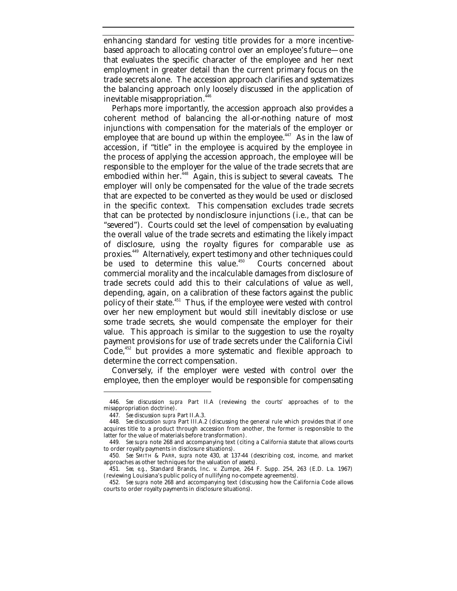enhancing standard for vesting title provides for a more incentivebased approach to allocating control over an employee's future—one that evaluates the specific character of the employee and her next employment in greater detail than the current primary focus on the trade secrets alone. The accession approach clarifies and systematizes the balancing approach only loosely discussed in the application of inevitable misappropriation.<sup>446</sup>

Perhaps more importantly, the accession approach also provides a coherent method of balancing the all-or-nothing nature of most injunctions with compensation for the materials of the employer or employee that are bound up within the employee.<sup>447</sup> As in the law of accession, if "title" in the employee is acquired by the employee in the process of applying the accession approach, the employee will be responsible to the employer for the value of the trade secrets that are embodied within her.<sup>448</sup> Again, this is subject to several caveats. The employer will only be compensated for the value of the trade secrets that are expected to be converted as they would be used or disclosed in the specific context. This compensation excludes trade secrets that can be protected by nondisclosure injunctions (i.e., that can be "severed"). Courts could set the level of compensation by evaluating the overall value of the trade secrets and estimating the likely impact of disclosure, using the royalty figures for comparable use as proxies.<sup>449</sup> Alternatively, expert testimony and other techniques could be used to determine this value.<sup>450</sup> Courts concerned about commercial morality and the incalculable damages from disclosure of trade secrets could add this to their calculations of value as well, depending, again, on a calibration of these factors against the public policy of their state.<sup>451</sup> Thus, if the employee were vested with control over her new employment but would still inevitably disclose or use some trade secrets, she would compensate the employer for their value. This approach is similar to the suggestion to use the royalty payment provisions for use of trade secrets under the California Civil Code,<sup>452</sup> but provides a more systematic and flexible approach to determine the correct compensation.

Conversely, if the employer were vested with control over the employee, then the employer would be responsible for compensating

<sup>446</sup>*. See* discussion *supra* Part II.A (reviewing the courts' approaches of to the misappropriation doctrine).

<sup>447</sup>*. See* discussion *supra* Part II.A.3.

<sup>448</sup>*. See* discussion *supra* Part III.A.2 (discussing the general rule which provides that if one acquires title to a product through accession from another, the former is responsible to the latter for the value of materials before transformation).

<sup>449</sup>*. See supra* note 268 and accompanying text (citing a California statute that allows courts to order royalty payments in disclosure situations).

<sup>450</sup>*. See* SMITH & PARR, *supra* note 430, at 137-44 (describing cost, income, and market approaches as other techniques for the valuation of assets).

<sup>451</sup>*. See, e.g.*, Standard Brands, Inc. v. Zumpe, 264 F. Supp. 254, 263 (E.D. La. 1967) (reviewing Louisiana's public policy of nullifying no-compete agreements).

<sup>452</sup>*. See supra* note 268 and accompanying text (discussing how the California Code allows courts to order royalty payments in disclosure situations).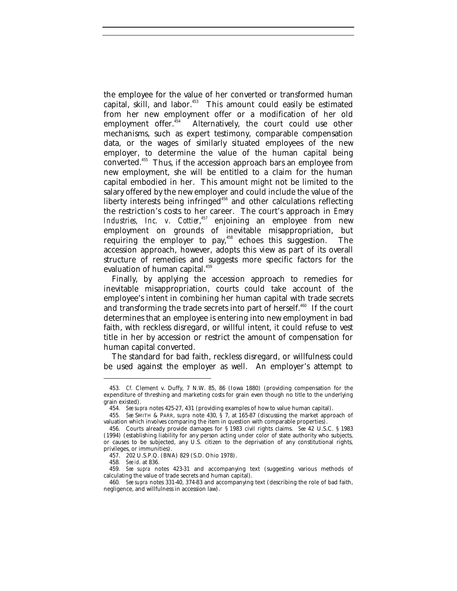the employee for the value of her converted or transformed human capital, skill, and labor.<sup>453</sup> This amount could easily be estimated from her new employment offer or a modification of her old employment offer.<sup>454</sup> Alternatively, the court could use other Alternatively, the court could use other mechanisms, such as expert testimony, comparable compensation data, or the wages of similarly situated employees of the new employer, to determine the value of the human capital being converted.<sup>455</sup> Thus, if the accession approach bars an employee from new employment, she will be entitled to a claim for the human capital embodied in her. This amount might not be limited to the salary offered by the new employer and could include the value of the liberty interests being infringed<sup>456</sup> and other calculations reflecting the restriction's costs to her career. The court's approach in *Emery Industries, Inc. v. Cottier*, <sup>457</sup> enjoining an employee from new employment on grounds of inevitable misappropriation, but requiring the employer to pay, $458$  echoes this suggestion. The accession approach, however, adopts this view as part of its overall structure of remedies and suggests more specific factors for the evaluation of human capital.<sup>459</sup>

Finally, by applying the accession approach to remedies for inevitable misappropriation, courts could take account of the employee's intent in combining her human capital with trade secrets and transforming the trade secrets into part of herself.<sup>460</sup> If the court determines that an employee is entering into new employment in bad faith, with reckless disregard, or willful intent, it could refuse to vest title in her by accession or restrict the amount of compensation for human capital converted.

The standard for bad faith, reckless disregard, or willfulness could be used against the employer as well. An employer's attempt to

<sup>453</sup>*. Cf.* Clement v. Duffy, 7 N.W. 85, 86 (Iowa 1880) (providing compensation for the expenditure of threshing and marketing costs for grain even though no title to the underlying grain existed).

<sup>454</sup>*. See supra* notes 425-27, 431 (providing examples of how to value human capital).

<sup>455</sup>*. See* SMITH & PARR, *supra* note 430, § 7, at 165-87 (discussing the market approach of valuation which involves comparing the item in question with comparable properties).

<sup>456.</sup> Courts already provide damages for § 1983 civil rights claims. *See* 42 U.S.C. § 1983 (1994) (establishing liability for any person acting under color of state authority who subjects, or causes to be subjected, any U.S. citizen to the deprivation of any constitutional rights, privileges, or immunities).

<sup>457.</sup> 202 U.S.P.Q. (BNA) 829 (S.D. Ohio 1978).

<sup>458</sup>*. See id.* at 836.

<sup>459</sup>*. See supra* notes 423-31 and accompanying text (suggesting various methods of calculating the value of trade secrets and human capital).

<sup>460</sup>*. See supra* notes 331-40, 374-83 and accompanying text (describing the role of bad faith, negligence, and willfulness in accession law).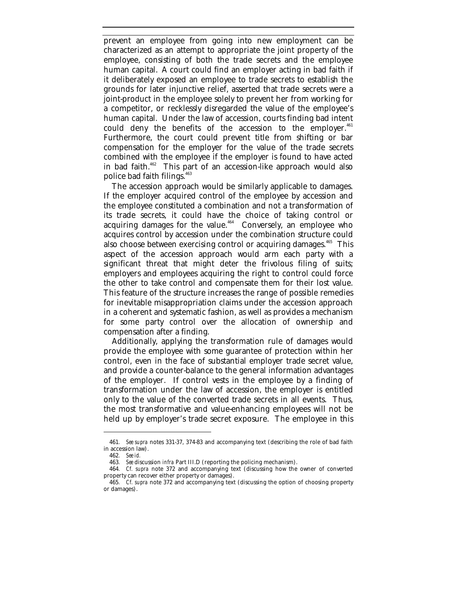prevent an employee from going into new employment can be characterized as an attempt to appropriate the joint property of the employee, consisting of both the trade secrets and the employee human capital. A court could find an employer acting in bad faith if it deliberately exposed an employee to trade secrets to establish the grounds for later injunctive relief, asserted that trade secrets were a joint-product in the employee solely to prevent her from working for a competitor, or recklessly disregarded the value of the employee's human capital. Under the law of accession, courts finding bad intent could deny the benefits of the accession to the employer. $461$ Furthermore, the court could prevent title from shifting or bar compensation for the employer for the value of the trade secrets combined with the employee if the employer is found to have acted in bad faith.<sup>462</sup> This part of an accession-like approach would also police bad faith filings.<sup>463</sup>

The accession approach would be similarly applicable to damages. If the employer acquired control of the employee by accession and the employee constituted a combination and not a transformation of its trade secrets, it could have the choice of taking control or acquiring damages for the value. $464$  Conversely, an employee who acquires control by accession under the combination structure could also choose between exercising control or acquiring damages.<sup>465</sup> This aspect of the accession approach would arm each party with a significant threat that might deter the frivolous filing of suits; employers and employees acquiring the right to control could force the other to take control and compensate them for their lost value. This feature of the structure increases the range of possible remedies for inevitable misappropriation claims under the accession approach in a coherent and systematic fashion, as well as provides a mechanism for some party control over the allocation of ownership and compensation after a finding.

Additionally, applying the transformation rule of damages would provide the employee with some guarantee of protection within her control, even in the face of substantial employer trade secret value, and provide a counter-balance to the general information advantages of the employer. If control vests in the employee by a finding of transformation under the law of accession, the employer is entitled only to the value of the converted trade secrets in all events. Thus, the most transformative and value-enhancing employees will not be held up by employer's trade secret exposure. The employee in this

<sup>461</sup>*. See supra* notes 331-37, 374-83 and accompanying text (describing the role of bad faith in accession law).

<sup>462</sup>*. See id.*

<sup>463</sup>*. See* discussion *infra* Part III.D (reporting the policing mechanism).

<sup>464</sup>*. Cf. supra* note 372 and accompanying text (discussing how the owner of converted property can recover either property or damages).

<sup>465</sup>*. Cf. supra* note 372 and accompanying text (discussing the option of choosing property or damages).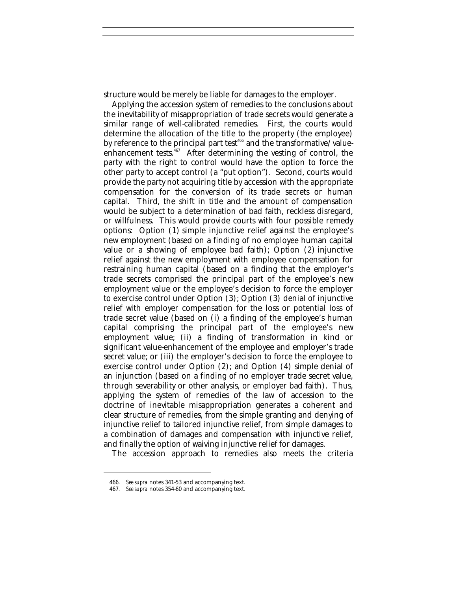structure would be merely be liable for damages to the employer.

Applying the accession system of remedies to the conclusions about the inevitability of misappropriation of trade secrets would generate a similar range of well-calibrated remedies. First, the courts would determine the allocation of the title to the property (the employee) by reference to the principal part test<sup>466</sup> and the transformative/valueenhancement tests. ${}^{467}$  After determining the vesting of control, the party with the right to control would have the option to force the other party to accept control (a "put option"). Second, courts would provide the party not acquiring title by accession with the appropriate compensation for the conversion of its trade secrets or human capital. Third, the shift in title and the amount of compensation would be subject to a determination of bad faith, reckless disregard, or willfulness. This would provide courts with four possible remedy options: Option (1) simple injunctive relief against the employee's new employment (based on a finding of no employee human capital value or a showing of employee bad faith); Option (2) injunctive relief against the new employment with employee compensation for restraining human capital (based on a finding that the employer's trade secrets comprised the principal part of the employee's new employment value or the employee's decision to force the employer to exercise control under Option (3); Option (3) denial of injunctive relief with employer compensation for the loss or potential loss of trade secret value (based on (i) a finding of the employee's human capital comprising the principal part of the employee's new employment value; (ii) a finding of transformation in kind or significant value-enhancement of the employee and employer's trade secret value; or (iii) the employer's decision to force the employee to exercise control under Option (2); and Option (4) simple denial of an injunction (based on a finding of no employer trade secret value, through severability or other analysis, or employer bad faith). Thus, applying the system of remedies of the law of accession to the doctrine of inevitable misappropriation generates a coherent and clear structure of remedies, from the simple granting and denying of injunctive relief to tailored injunctive relief, from simple damages to a combination of damages and compensation with injunctive relief, and finally the option of waiving injunctive relief for damages.

The accession approach to remedies also meets the criteria

<sup>466</sup>*. See supra* notes 341-53 and accompanying text.

<sup>467</sup>*. See supra* notes 354-60 and accompanying text.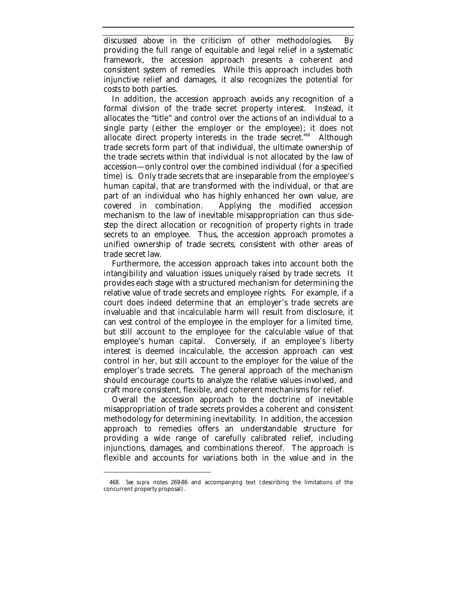discussed above in the criticism of other methodologies. By providing the full range of equitable and legal relief in a systematic framework, the accession approach presents a coherent and consistent system of remedies. While this approach includes both injunctive relief and damages, it also recognizes the potential for costs to both parties.

In addition, the accession approach avoids any recognition of a formal division of the trade secret property interest. Instead, it allocates the "title" and control over the actions of an individual to a single party (either the employer or the employee); it does not allocate direct property interests in the trade secret.<sup>468</sup> Although trade secrets form part of that individual, the ultimate ownership of the trade secrets within that individual is not allocated by the law of accession—only control over the combined individual (for a specified time) is. Only trade secrets that are inseparable from the employee's human capital, that are transformed with the individual, or that are part of an individual who has highly enhanced her own value, are covered in combination. Applying the modified accession mechanism to the law of inevitable misappropriation can thus sidestep the direct allocation or recognition of property rights in trade secrets to an employee. Thus, the accession approach promotes a unified ownership of trade secrets, consistent with other areas of trade secret law.

Furthermore, the accession approach takes into account both the intangibility and valuation issues uniquely raised by trade secrets. It provides each stage with a structured mechanism for determining the relative value of trade secrets and employee rights. For example, if a court does indeed determine that an employer's trade secrets are invaluable and that incalculable harm will result from disclosure, it can vest control of the employee in the employer for a limited time, but still account to the employee for the calculable value of that employee's human capital. Conversely, if an employee's liberty interest is deemed incalculable, the accession approach can vest control in her, but still account to the employer for the value of the employer's trade secrets. The general approach of the mechanism should encourage courts to analyze the relative values involved, and craft more consistent, flexible, and coherent mechanisms for relief.

Overall the accession approach to the doctrine of inevitable misappropriation of trade secrets provides a coherent and consistent methodology for determining inevitability. In addition, the accession approach to remedies offers an understandable structure for providing a wide range of carefully calibrated relief, including injunctions, damages, and combinations thereof. The approach is flexible and accounts for variations both in the value and in the

<sup>468</sup>*. See supra* notes 269-86 and accompanying text (describing the limitations of the concurrent property proposal).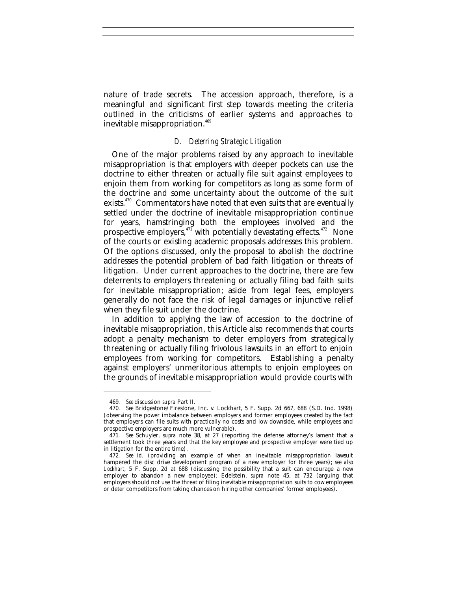nature of trade secrets. The accession approach, therefore, is a meaningful and significant first step towards meeting the criteria outlined in the criticisms of earlier systems and approaches to inevitable misappropriation.<sup>469</sup>

## *D. Deterring Strategic Litigation*

One of the major problems raised by any approach to inevitable misappropriation is that employers with deeper pockets can use the doctrine to either threaten or actually file suit against employees to enjoin them from working for competitors as long as some form of the doctrine and some uncertainty about the outcome of the suit exists.<sup>470</sup> Commentators have noted that even suits that are eventually settled under the doctrine of inevitable misappropriation continue for years, hamstringing both the employees involved and the prospective employers,<sup>471</sup> with potentially devastating effects.<sup>472</sup> None of the courts or existing academic proposals addresses this problem. Of the options discussed, only the proposal to abolish the doctrine addresses the potential problem of bad faith litigation or threats of litigation. Under current approaches to the doctrine, there are few deterrents to employers threatening or actually filing bad faith suits for inevitable misappropriation; aside from legal fees, employers generally do not face the risk of legal damages or injunctive relief when they file suit under the doctrine.

In addition to applying the law of accession to the doctrine of inevitable misappropriation, this Article also recommends that courts adopt a penalty mechanism to deter employers from strategically threatening or actually filing frivolous lawsuits in an effort to enjoin employees from working for competitors. Establishing a penalty against employers' unmeritorious attempts to enjoin employees on the grounds of inevitable misappropriation would provide courts with

<sup>469</sup>*. See* discussion *supra* Part II.

<sup>470</sup>*. See* Bridgestone/Firestone, Inc. v. Lockhart, 5 F. Supp. 2d 667, 688 (S.D. Ind. 1998) (observing the power imbalance between employers and former employees created by the fact that employers can file suits with practically no costs and low downside, while employees and prospective employers are much more vulnerable).

<sup>471</sup>*. See* Schuyler, *supra* note 38, at 27 (reporting the defense attorney's lament that a settlement took three years and that the key employee and prospective employer were tied up in litigation for the entire time).

<sup>472</sup>*. See id.* (providing an example of when an inevitable misappropriation lawsuit hampered the disc drive development program of a new employer for three years); *see also Lockhart*, 5 F. Supp. 2d at 688 (discussing the possibility that a suit can encourage a new employer to abandon a new employee); Edelstein, *supra* note 45, at 732 (arguing that employers should not use the threat of filing inevitable misappropriation suits to cow employees or deter competitors from taking chances on hiring other companies' former employees).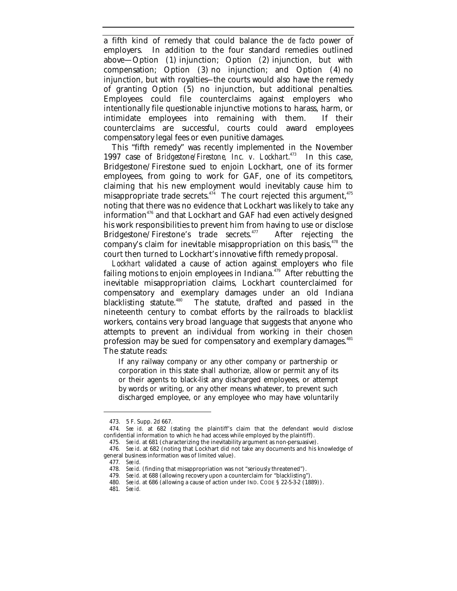a fifth kind of remedy that could balance the *de facto* power of employers. In addition to the four standard remedies outlined above—Option (1) injunction; Option (2) injunction, but with compensation; Option (3) no injunction; and Option (4) no injunction, but with royalties-–the courts would also have the remedy of granting Option (5) no injunction, but additional penalties. Employees could file counterclaims against employers who intentionally file questionable injunctive motions to harass, harm, or intimidate employees into remaining with them. If their counterclaims are successful, courts could award employees compensatory legal fees or even punitive damages.

This "fifth remedy" was recently implemented in the November 1997 case of *Bridgestone/Firestone, Inc. v. Lockhart*. In this case. Bridgestone/Firestone sued to enjoin Lockhart, one of its former employees, from going to work for GAF, one of its competitors, claiming that his new employment would inevitably cause him to misappropriate trade secrets.<sup>474</sup> The court rejected this argument,<sup>475</sup> noting that there was no evidence that Lockhart was likely to take any information<sup> $476$ </sup> and that Lockhart and GAF had even actively designed his work responsibilities to prevent him from having to use or disclose Bridgestone/Firestone's trade secrets.<sup>477</sup> After rejecting the company's claim for inevitable misappropriation on this basis, $478$  the court then turned to Lockhart's innovative fifth remedy proposal.

*Lockhart* validated a cause of action against employers who file failing motions to enjoin employees in Indiana. $479$  After rebutting the inevitable misappropriation claims, Lockhart counterclaimed for compensatory and exemplary damages under an old Indiana blacklisting statute.<sup>480</sup> The statute, drafted and passed in the nineteenth century to combat efforts by the railroads to blacklist workers, contains very broad language that suggests that anyone who attempts to prevent an individual from working in their chosen profession may be sued for compensatory and exemplary damages.<sup>481</sup> The statute reads:

If any railway company or any other company or partnership or corporation in this state shall authorize, allow or permit any of its or their agents to black-list any discharged employees, or attempt by words or writing, or any other means whatever, to prevent such discharged employee, or any employee who may have voluntarily

477*. See id.*

<sup>473.</sup> 5 F. Supp. 2d 667.

<sup>474</sup>*. See id.* at 682 (stating the plaintiff's claim that the defendant would disclose confidential information to which he had access while employed by the plaintiff).

<sup>475</sup>*. See id.* at 681 (characterizing the inevitability argument as non-persuasive).

<sup>476</sup>*. See id*. at 682 (noting that Lockhart did not take any documents and his knowledge of general business information was of limited value).

<sup>478</sup>*. See id.* (finding that misappropriation was not "seriously threatened").

<sup>479</sup>*. See id.* at 688 (allowing recovery upon a counterclaim for "blacklisting").

<sup>480</sup>*. See id.* at 686 (allowing a cause of action under IND. CODE § 22-5-3-2 (1889)).

<sup>481</sup>*. See id.*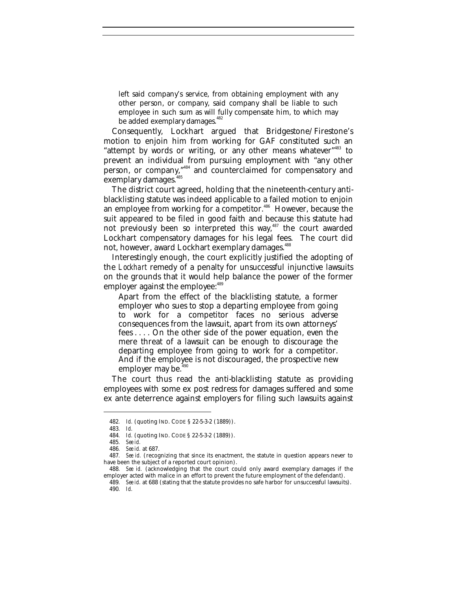left said company's service, from obtaining employment with any other person, or company, said company shall be liable to such employee in such sum as will fully compensate him, to which may be added exemplary damages.<sup>482</sup>

Consequently, Lockhart argued that Bridgestone/Firestone's motion to enjoin him from working for GAF constituted such an "attempt by words or writing, or any other means whatever"<sup>483</sup> to prevent an individual from pursuing employment with "any other person, or company,"<sup>484</sup> and counterclaimed for compensatory and exemplary damages.<sup>485</sup>

The district court agreed, holding that the nineteenth-century antiblacklisting statute was indeed applicable to a failed motion to enjoin an employee from working for a competitor.<sup>486</sup> However, because the suit appeared to be filed in good faith and because this statute had not previously been so interpreted this way,<sup>487</sup> the court awarded Lockhart compensatory damages for his legal fees. The court did not, however, award Lockhart exemplary damages.<sup>488</sup>

Interestingly enough, the court explicitly justified the adopting of the *Lockhart* remedy of a penalty for unsuccessful injunctive lawsuits on the grounds that it would help balance the power of the former employer against the employee:<sup>489</sup>

Apart from the effect of the blacklisting statute, a former employer who sues to stop a departing employee from going to work for a competitor faces no serious adverse consequences from the lawsuit, apart from its own attorneys' fees . . . . On the other side of the power equation, even the mere threat of a lawsuit can be enough to discourage the departing employee from going to work for a competitor. And if the employee is not discouraged, the prospective new employer may be.<sup>490</sup>

The court thus read the anti-blacklisting statute as providing employees with some ex post redress for damages suffered and some ex ante deterrence against employers for filing such lawsuits against

<sup>482</sup>*. Id.* (quoting IND. CODE § 22-5-3-2 (1889)).

<sup>483</sup>*. Id.*

<sup>484</sup>*. Id.* (quoting IND. CODE § 22-5-3-2 (1889)).

<sup>485</sup>*. See id.*

<sup>486</sup>*. See id.* at 687.

<sup>487</sup>*. See id.* (recognizing that since its enactment, the statute in question appears never to have been the subject of a reported court opinion).

<sup>488</sup>*. See id.* (acknowledging that the court could only award exemplary damages if the employer acted with malice in an effort to prevent the future employment of the defendant).

<sup>489</sup>*. See id.* at 688 (stating that the statute provides no safe harbor for unsuccessful lawsuits). 490*. Id.*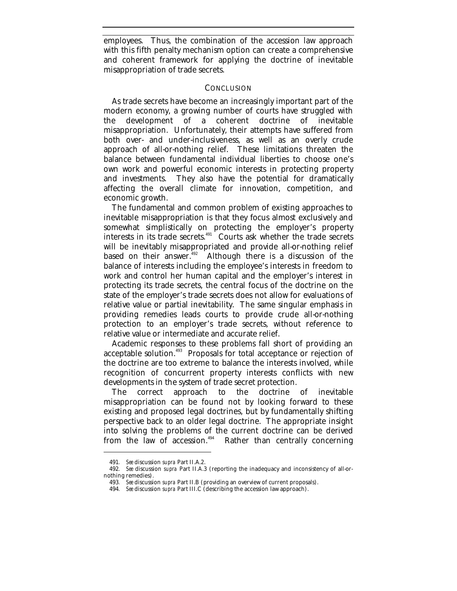employees. Thus, the combination of the accession law approach with this fifth penalty mechanism option can create a comprehensive and coherent framework for applying the doctrine of inevitable misappropriation of trade secrets.

## **CONCLUSION**

As trade secrets have become an increasingly important part of the modern economy, a growing number of courts have struggled with the development of a coherent doctrine of inevitable misappropriation. Unfortunately, their attempts have suffered from both over- and under-inclusiveness, as well as an overly crude approach of all-or-nothing relief. These limitations threaten the balance between fundamental individual liberties to choose one's own work and powerful economic interests in protecting property and investments. They also have the potential for dramatically affecting the overall climate for innovation, competition, and economic growth.

The fundamental and common problem of existing approaches to inevitable misappropriation is that they focus almost exclusively and somewhat simplistically on protecting the employer's property interests in its trade secrets. $491$  Courts ask whether the trade secrets will be inevitably misappropriated and provide all-or-nothing relief based on their answer.<sup>492</sup> Although there is a discussion of the balance of interests including the employee's interests in freedom to work and control her human capital and the employer's interest in protecting its trade secrets, the central focus of the doctrine on the state of the employer's trade secrets does not allow for evaluations of relative value or partial inevitability. The same singular emphasis in providing remedies leads courts to provide crude all-or-nothing protection to an employer's trade secrets, without reference to relative value or intermediate and accurate relief.

Academic responses to these problems fall short of providing an acceptable solution.<sup>493</sup> Proposals for total acceptance or rejection of the doctrine are too extreme to balance the interests involved, while recognition of concurrent property interests conflicts with new developments in the system of trade secret protection.

The correct approach to the doctrine of inevitable misappropriation can be found not by looking forward to these existing and proposed legal doctrines, but by fundamentally shifting perspective back to an older legal doctrine. The appropriate insight into solving the problems of the current doctrine can be derived from the law of accession.<sup>494</sup> Rather than centrally concerning

<sup>491</sup>*. See* discussion *supra* Part II.A.2.

<sup>492</sup>*. See* discussion *supra* Part II.A.3 (reporting the inadequacy and inconsistency of all-ornothing remedies).

<sup>493</sup>*. See* discussion *supra* Part II.B (providing an overview of current proposals).

<sup>494</sup>*. See* discussion *supra* Part III.C (describing the accession law approach).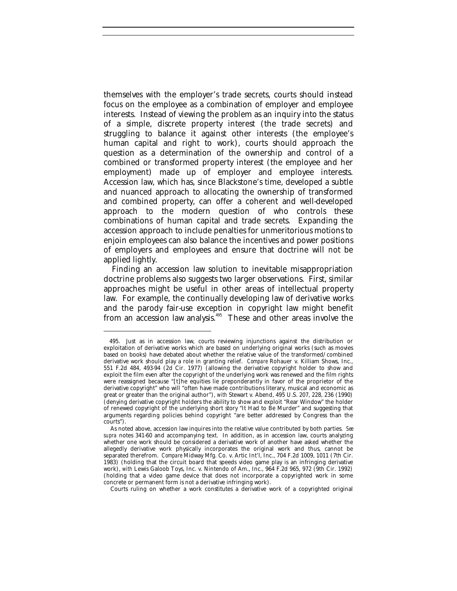themselves with the employer's trade secrets, courts should instead focus on the employee as a combination of employer and employee interests. Instead of viewing the problem as an inquiry into the status of a simple, discrete property interest (the trade secrets) and struggling to balance it against other interests (the employee's human capital and right to work), courts should approach the question as a determination of the ownership and control of a combined or transformed property interest (the employee and her employment) made up of employer and employee interests. Accession law, which has, since Blackstone's time, developed a subtle and nuanced approach to allocating the ownership of transformed and combined property, can offer a coherent and well-developed approach to the modern question of who controls these combinations of human capital and trade secrets. Expanding the accession approach to include penalties for unmeritorious motions to enjoin employees can also balance the incentives and power positions of employers and employees and ensure that doctrine will not be applied lightly.

Finding an accession law solution to inevitable misappropriation doctrine problems also suggests two larger observations. First, similar approaches might be useful in other areas of intellectual property law. For example, the continually developing law of derivative works and the parody fair-use exception in copyright law might benefit from an accession law analysis.<sup>495</sup> These and other areas involve the

<sup>495.</sup> Just as in accession law, courts reviewing injunctions against the distribution or exploitation of derivative works which are based on underlying original works (such as movies based on books) have debated about whether the relative value of the transformed/combined derivative work should play a role in granting relief. *Compare* Rohauer v. Killiam Shows, Inc., 551 F.2d 484, 493-94 (2d Cir. 1977) (allowing the derivative copyright holder to show and exploit the film even after the copyright of the underlying work was renewed and the film rights were reassigned because "[t]he equities lie preponderantly in favor of the proprietor of the derivative copyright" who will "often have made contributions literary, musical and economic as great or greater than the original author"), *with* Stewart v. Abend, 495 U.S. 207, 228, 236 (1990) (denying derivative copyright holders the ability to show and exploit "Rear Window" the holder of renewed copyright of the underlying short story "It Had to Be Murder" and suggesting that arguments regarding policies behind copyright "are better addressed by Congress than the courts").

As noted above, accession law inquires into the relative value contributed by both parties. *See supra* notes 341-60 and accompanying text. In addition, as in accession law, courts analyzing whether one work should be considered a derivative work of another have asked whether the allegedly derivative work physically incorporates the original work and thus, cannot be separated therefrom. *Compare* Midway Mfg. Co. v. Artic Int'l, Inc., 704 F.2d 1009, 1011 (7th Cir. 1983) (holding that the circuit board that speeds video game play is an infringing derivative work), *with* Lewis Galoob Toys, Inc. v. Nintendo of Am., Inc., 964 F.2d 965, 972 (9th Cir. 1992) (holding that a video game device that does not incorporate a copyrighted work in some concrete or permanent form is not a derivative infringing work).

Courts ruling on whether a work constitutes a derivative work of a copyrighted original